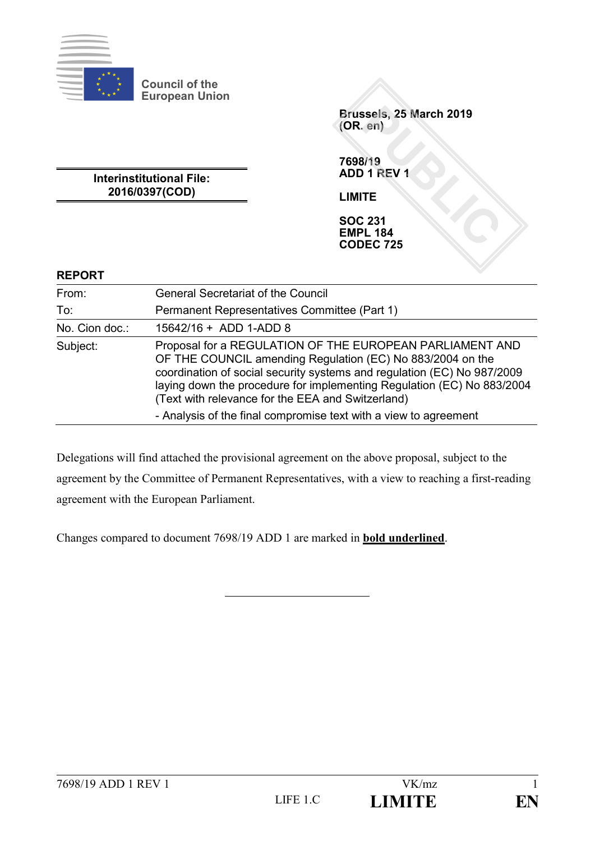

**Council of the European Union**

> **Brussels, 25 March 2019 (OR. en)**

**Interinstitutional File: 2016/0397(COD)**

**7698/19 ADD 1 REV 1**

**LIMITE**

**SOC 231 EMPL 184 CODEC 725**

### **REPORT**

| From:          | <b>General Secretariat of the Council</b>                                                                                                                                                                                                                                                                                        |
|----------------|----------------------------------------------------------------------------------------------------------------------------------------------------------------------------------------------------------------------------------------------------------------------------------------------------------------------------------|
| To:            | Permanent Representatives Committee (Part 1)                                                                                                                                                                                                                                                                                     |
| No. Cion doc.: | $15642/16 + ADD 1-ADD 8$                                                                                                                                                                                                                                                                                                         |
| Subject:       | Proposal for a REGULATION OF THE EUROPEAN PARLIAMENT AND<br>OF THE COUNCIL amending Regulation (EC) No 883/2004 on the<br>coordination of social security systems and regulation (EC) No 987/2009<br>laying down the procedure for implementing Regulation (EC) No 883/2004<br>(Text with relevance for the EEA and Switzerland) |
|                | - Analysis of the final compromise text with a view to agreement                                                                                                                                                                                                                                                                 |

Delegations will find attached the provisional agreement on the above proposal, subject to the agreement by the Committee of Permanent Representatives, with a view to reaching a first-reading agreement with the European Parliament.

Changes compared to document 7698/19 ADD 1 are marked in **bold underlined**.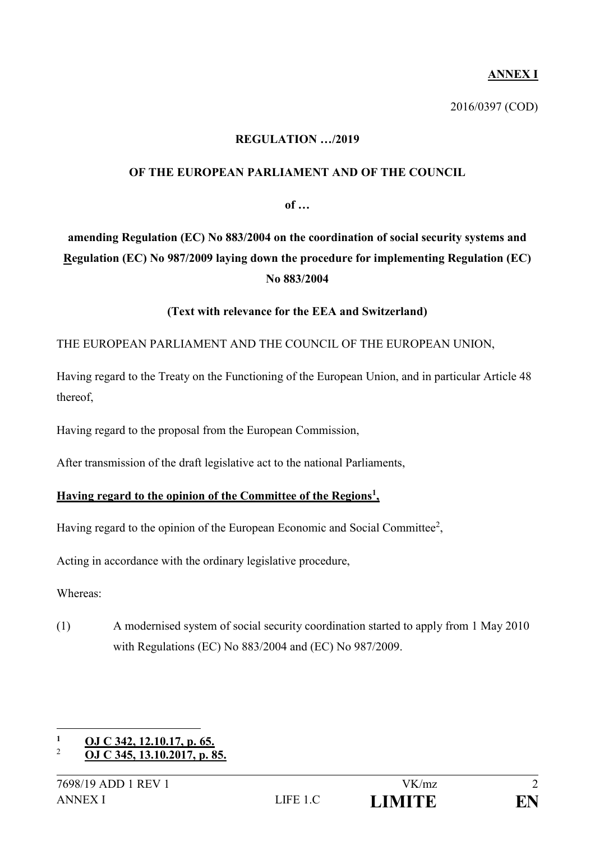## **ANNEX I**

2016/0397 (COD)

### **REGULATION …/2019**

### **OF THE EUROPEAN PARLIAMENT AND OF THE COUNCIL**

**of …**

# **amending Regulation (EC) No 883/2004 on the coordination of social security systems and Regulation (EC) No 987/2009 laying down the procedure for implementing Regulation (EC) No 883/2004**

### **(Text with relevance for the EEA and Switzerland)**

### THE EUROPEAN PARLIAMENT AND THE COUNCIL OF THE EUROPEAN UNION,

Having regard to the Treaty on the Functioning of the European Union, and in particular Article 48 thereof,

Having regard to the proposal from the European Commission,

After transmission of the draft legislative act to the national Parliaments,

#### **Having regard to the opinion of the Committee of the Regions<sup>1</sup> ,**

Having regard to the opinion of the European Economic and Social Committee<sup>2</sup>,

Acting in accordance with the ordinary legislative procedure,

Whereas:

(1) A modernised system of social security coordination started to apply from 1 May 2010 with Regulations (EC) No 883/2004 and (EC) No 987/2009.

<sup>1</sup> **<sup>1</sup> OJ C 342, 12.10.17, p. 65.**

<sup>2</sup> **OJ C 345, 13.10.2017, p. 85.**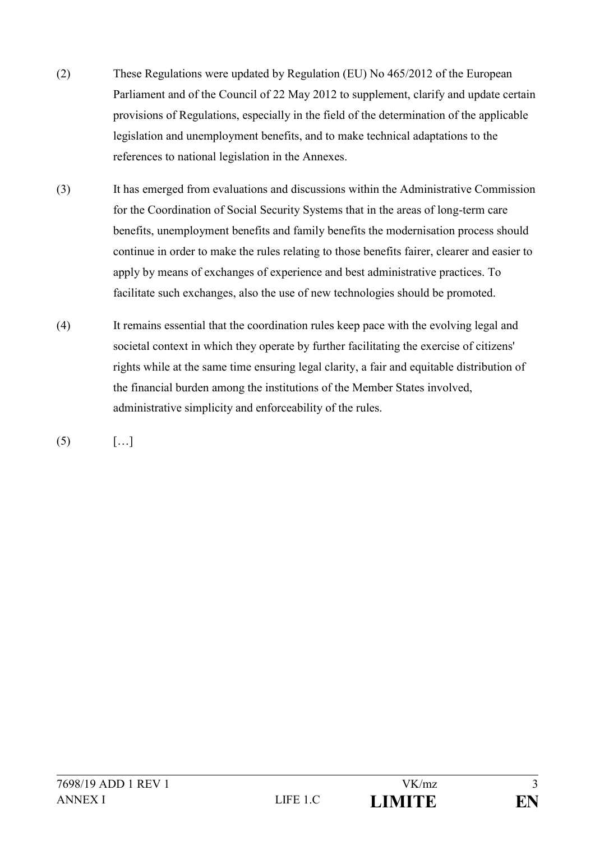- (2) These Regulations were updated by Regulation (EU) No 465/2012 of the European Parliament and of the Council of 22 May 2012 to supplement, clarify and update certain provisions of Regulations, especially in the field of the determination of the applicable legislation and unemployment benefits, and to make technical adaptations to the references to national legislation in the Annexes.
- (3) It has emerged from evaluations and discussions within the Administrative Commission for the Coordination of Social Security Systems that in the areas of long-term care benefits, unemployment benefits and family benefits the modernisation process should continue in order to make the rules relating to those benefits fairer, clearer and easier to apply by means of exchanges of experience and best administrative practices. To facilitate such exchanges, also the use of new technologies should be promoted.
- (4) It remains essential that the coordination rules keep pace with the evolving legal and societal context in which they operate by further facilitating the exercise of citizens' rights while at the same time ensuring legal clarity, a fair and equitable distribution of the financial burden among the institutions of the Member States involved, administrative simplicity and enforceability of the rules.
- $(5)$   $[...]$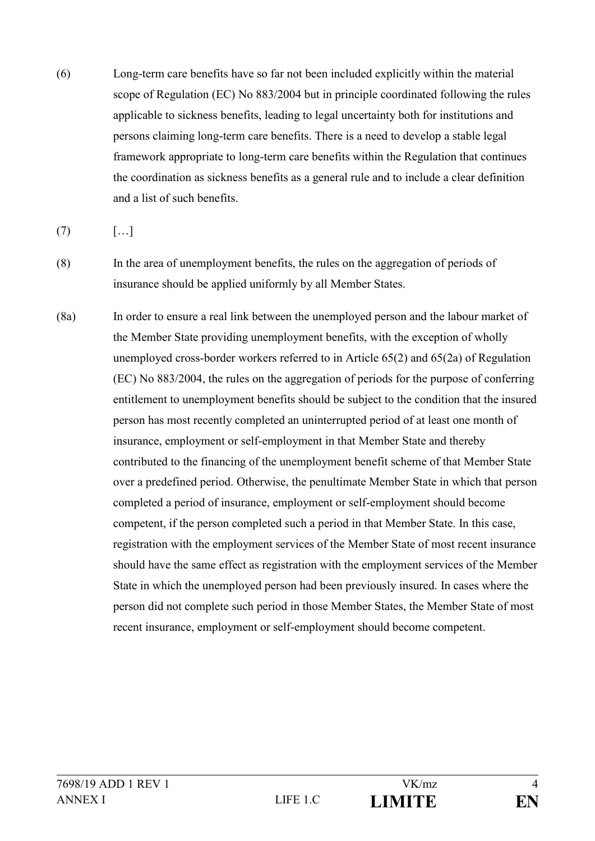(6) Long-term care benefits have so far not been included explicitly within the material scope of Regulation (EC) No 883/2004 but in principle coordinated following the rules applicable to sickness benefits, leading to legal uncertainty both for institutions and persons claiming long-term care benefits. There is a need to develop a stable legal framework appropriate to long-term care benefits within the Regulation that continues the coordination as sickness benefits as a general rule and to include a clear definition and a list of such benefits.

 $(7)$  […]

- (8) In the area of unemployment benefits, the rules on the aggregation of periods of insurance should be applied uniformly by all Member States.
- (8a) In order to ensure a real link between the unemployed person and the labour market of the Member State providing unemployment benefits, with the exception of wholly unemployed cross-border workers referred to in Article 65(2) and 65(2a) of Regulation (EC) No 883/2004, the rules on the aggregation of periods for the purpose of conferring entitlement to unemployment benefits should be subject to the condition that the insured person has most recently completed an uninterrupted period of at least one month of insurance, employment or self-employment in that Member State and thereby contributed to the financing of the unemployment benefit scheme of that Member State over a predefined period. Otherwise, the penultimate Member State in which that person completed a period of insurance, employment or self-employment should become competent, if the person completed such a period in that Member State. In this case, registration with the employment services of the Member State of most recent insurance should have the same effect as registration with the employment services of the Member State in which the unemployed person had been previously insured. In cases where the person did not complete such period in those Member States, the Member State of most recent insurance, employment or self-employment should become competent.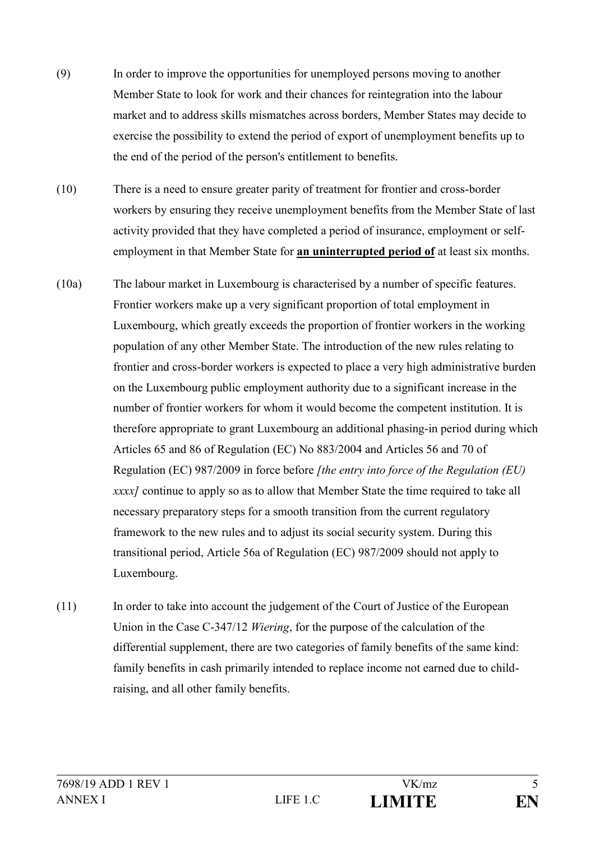- (9) In order to improve the opportunities for unemployed persons moving to another Member State to look for work and their chances for reintegration into the labour market and to address skills mismatches across borders, Member States may decide to exercise the possibility to extend the period of export of unemployment benefits up to the end of the period of the person's entitlement to benefits.
- (10) There is a need to ensure greater parity of treatment for frontier and cross-border workers by ensuring they receive unemployment benefits from the Member State of last activity provided that they have completed a period of insurance, employment or selfemployment in that Member State for **an uninterrupted period of** at least six months.
- (10a) The labour market in Luxembourg is characterised by a number of specific features. Frontier workers make up a very significant proportion of total employment in Luxembourg, which greatly exceeds the proportion of frontier workers in the working population of any other Member State. The introduction of the new rules relating to frontier and cross-border workers is expected to place a very high administrative burden on the Luxembourg public employment authority due to a significant increase in the number of frontier workers for whom it would become the competent institution. It is therefore appropriate to grant Luxembourg an additional phasing-in period during which Articles 65 and 86 of Regulation (EC) No 883/2004 and Articles 56 and 70 of Regulation (EC) 987/2009 in force before *[the entry into force of the Regulation (EU) xxxx]* continue to apply so as to allow that Member State the time required to take all necessary preparatory steps for a smooth transition from the current regulatory framework to the new rules and to adjust its social security system. During this transitional period, Article 56a of Regulation (EC) 987/2009 should not apply to Luxembourg.
- (11) In order to take into account the judgement of the Court of Justice of the European Union in the Case C-347/12 *Wiering*, for the purpose of the calculation of the differential supplement, there are two categories of family benefits of the same kind: family benefits in cash primarily intended to replace income not earned due to childraising, and all other family benefits.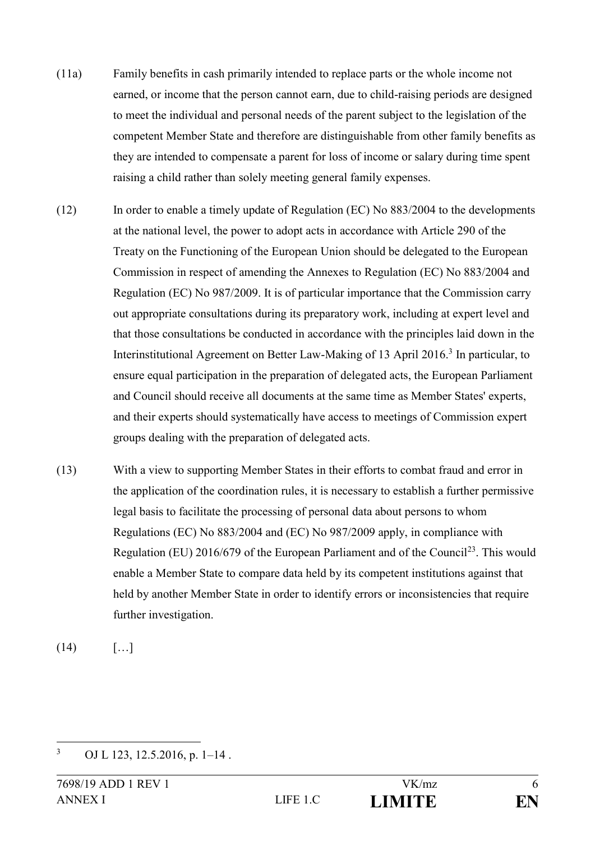- (11a) Family benefits in cash primarily intended to replace parts or the whole income not earned, or income that the person cannot earn, due to child-raising periods are designed to meet the individual and personal needs of the parent subject to the legislation of the competent Member State and therefore are distinguishable from other family benefits as they are intended to compensate a parent for loss of income or salary during time spent raising a child rather than solely meeting general family expenses.
- (12) In order to enable a timely update of Regulation (EC) No 883/2004 to the developments at the national level, the power to adopt acts in accordance with Article 290 of the Treaty on the Functioning of the European Union should be delegated to the European Commission in respect of amending the Annexes to Regulation (EC) No 883/2004 and Regulation (EC) No 987/2009. It is of particular importance that the Commission carry out appropriate consultations during its preparatory work, including at expert level and that those consultations be conducted in accordance with the principles laid down in the Interinstitutional Agreement on Better Law-Making of 13 April 2016.<sup>3</sup> In particular, to ensure equal participation in the preparation of delegated acts, the European Parliament and Council should receive all documents at the same time as Member States' experts, and their experts should systematically have access to meetings of Commission expert groups dealing with the preparation of delegated acts.
- (13) With a view to supporting Member States in their efforts to combat fraud and error in the application of the coordination rules, it is necessary to establish a further permissive legal basis to facilitate the processing of personal data about persons to whom Regulations (EC) No 883/2004 and (EC) No 987/2009 apply, in compliance with Regulation (EU) 2016/679 of the European Parliament and of the Council<sup>23</sup>. This would enable a Member State to compare data held by its competent institutions against that held by another Member State in order to identify errors or inconsistencies that require further investigation.

 $(14)$  […]

 $\overline{3}$ OJ L 123, 12.5.2016, p. 1–14.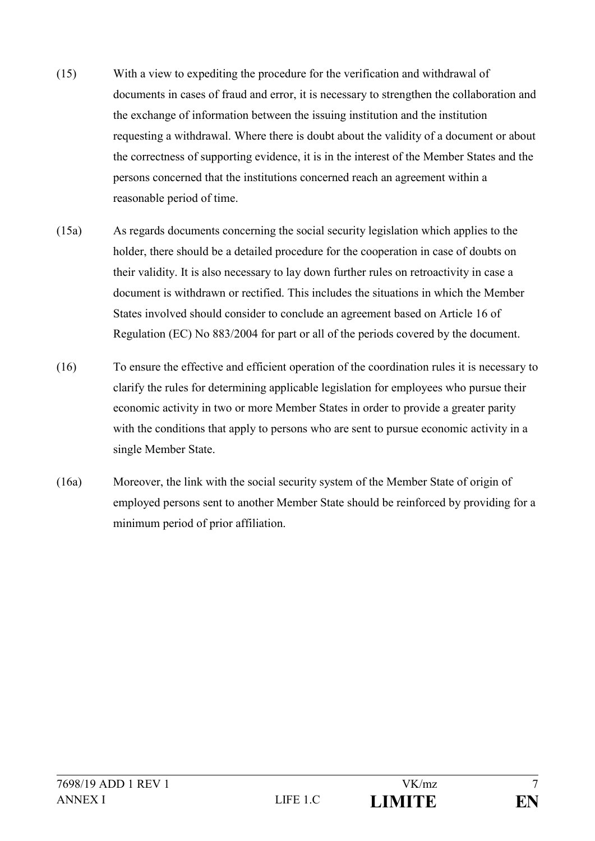- (15) With a view to expediting the procedure for the verification and withdrawal of documents in cases of fraud and error, it is necessary to strengthen the collaboration and the exchange of information between the issuing institution and the institution requesting a withdrawal. Where there is doubt about the validity of a document or about the correctness of supporting evidence, it is in the interest of the Member States and the persons concerned that the institutions concerned reach an agreement within a reasonable period of time.
- (15a) As regards documents concerning the social security legislation which applies to the holder, there should be a detailed procedure for the cooperation in case of doubts on their validity. It is also necessary to lay down further rules on retroactivity in case a document is withdrawn or rectified. This includes the situations in which the Member States involved should consider to conclude an agreement based on Article 16 of Regulation (EC) No 883/2004 for part or all of the periods covered by the document.
- (16) To ensure the effective and efficient operation of the coordination rules it is necessary to clarify the rules for determining applicable legislation for employees who pursue their economic activity in two or more Member States in order to provide a greater parity with the conditions that apply to persons who are sent to pursue economic activity in a single Member State.
- (16a) Moreover, the link with the social security system of the Member State of origin of employed persons sent to another Member State should be reinforced by providing for a minimum period of prior affiliation.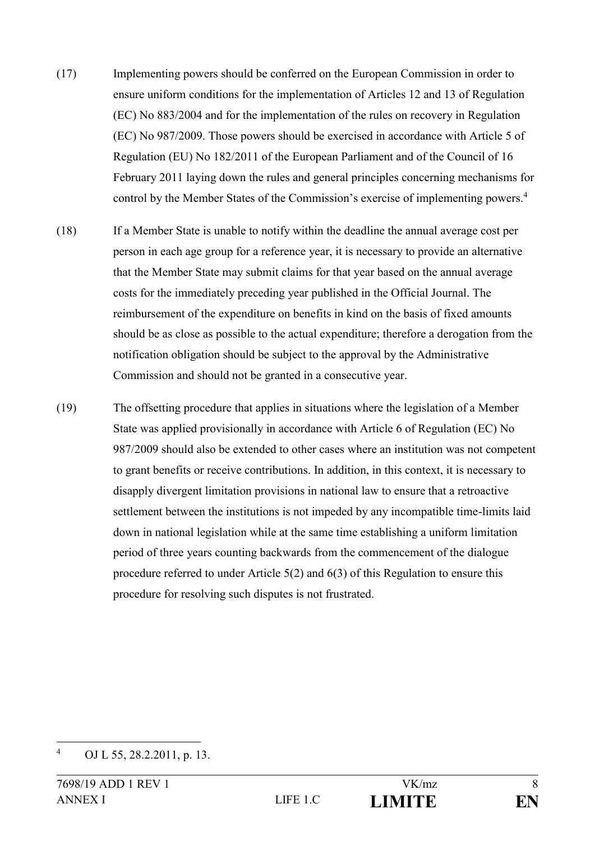- (17) Implementing powers should be conferred on the European Commission in order to ensure uniform conditions for the implementation of Articles 12 and 13 of Regulation (EC) No 883/2004 and for the implementation of the rules on recovery in Regulation (EC) No 987/2009. Those powers should be exercised in accordance with Article 5 of Regulation (EU) No 182/2011 of the European Parliament and of the Council of 16 February 2011 laying down the rules and general principles concerning mechanisms for control by the Member States of the Commission's exercise of implementing powers.<sup>4</sup>
- (18) If a Member State is unable to notify within the deadline the annual average cost per person in each age group for a reference year, it is necessary to provide an alternative that the Member State may submit claims for that year based on the annual average costs for the immediately preceding year published in the Official Journal. The reimbursement of the expenditure on benefits in kind on the basis of fixed amounts should be as close as possible to the actual expenditure; therefore a derogation from the notification obligation should be subject to the approval by the Administrative Commission and should not be granted in a consecutive year.
- (19) The offsetting procedure that applies in situations where the legislation of a Member State was applied provisionally in accordance with Article 6 of Regulation (EC) No 987/2009 should also be extended to other cases where an institution was not competent to grant benefits or receive contributions. In addition, in this context, it is necessary to disapply divergent limitation provisions in national law to ensure that a retroactive settlement between the institutions is not impeded by any incompatible time-limits laid down in national legislation while at the same time establishing a uniform limitation period of three years counting backwards from the commencement of the dialogue procedure referred to under Article 5(2) and 6(3) of this Regulation to ensure this procedure for resolving such disputes is not frustrated.

 $\overline{4}$ OJ L 55, 28.2.2011, p. 13.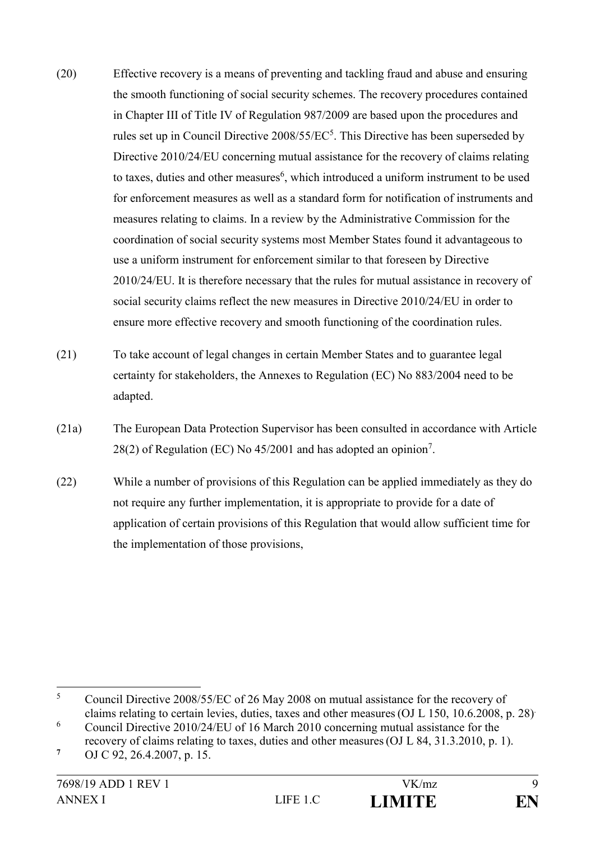- (20) Effective recovery is a means of preventing and tackling fraud and abuse and ensuring the smooth functioning of social security schemes. The recovery procedures contained in Chapter III of Title IV of Regulation 987/2009 are based upon the procedures and rules set up in Council Directive  $2008/55/EC^5$ . This Directive has been superseded by Directive 2010/24/EU concerning mutual assistance for the recovery of claims relating to taxes, duties and other measures<sup>6</sup>, which introduced a uniform instrument to be used for enforcement measures as well as a standard form for notification of instruments and measures relating to claims. In a review by the Administrative Commission for the coordination of social security systems most Member States found it advantageous to use a uniform instrument for enforcement similar to that foreseen by Directive 2010/24/EU. It is therefore necessary that the rules for mutual assistance in recovery of social security claims reflect the new measures in Directive 2010/24/EU in order to ensure more effective recovery and smooth functioning of the coordination rules.
- (21) To take account of legal changes in certain Member States and to guarantee legal certainty for stakeholders, the Annexes to Regulation (EC) No 883/2004 need to be adapted.
- (21a) The European Data Protection Supervisor has been consulted in accordance with Article  $28(2)$  of Regulation (EC) No 45/2001 and has adopted an opinion<sup>7</sup>.
- (22) While a number of provisions of this Regulation can be applied immediately as they do not require any further implementation, it is appropriate to provide for a date of application of certain provisions of this Regulation that would allow sufficient time for the implementation of those provisions,

 $\overline{\phantom{0}}$ <sup>5</sup> Council Directive 2008/55/EC of 26 May 2008 on mutual assistance for the recovery of claims relating to certain levies, duties, taxes and other measures (OJ L 150, 10.6.2008, p. 28)

<sup>6</sup> Council Directive 2010/24/EU of 16 March 2010 concerning mutual assistance for the

recovery of claims relating to taxes, duties and other measures(OJ L 84, 31.3.2010, p. 1). **7**

OJ C 92, 26.4.2007, p. 15.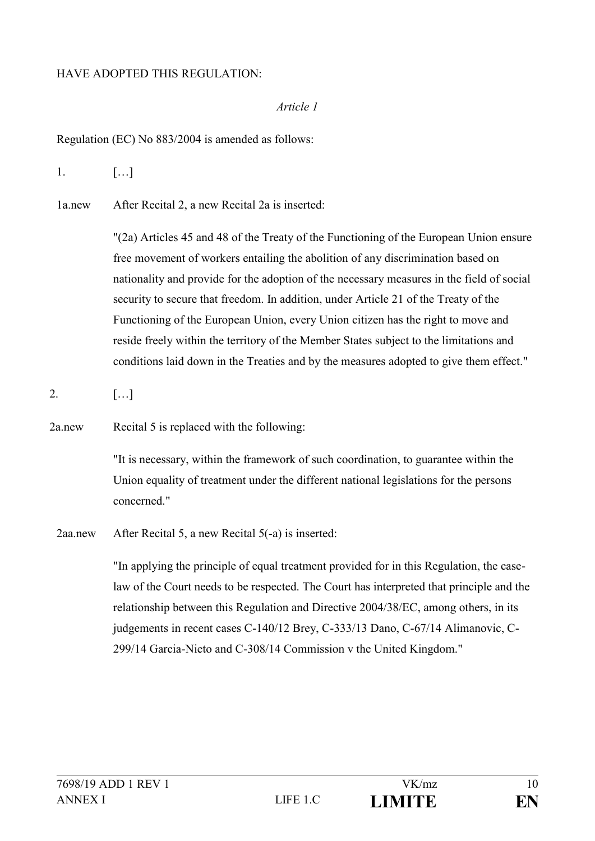### HAVE ADOPTED THIS REGULATION:

#### *Article 1*

Regulation (EC) No 883/2004 is amended as follows:

1. […]

1a.new After Recital 2, a new Recital 2a is inserted:

"(2a) Articles 45 and 48 of the Treaty of the Functioning of the European Union ensure free movement of workers entailing the abolition of any discrimination based on nationality and provide for the adoption of the necessary measures in the field of social security to secure that freedom. In addition, under Article 21 of the Treaty of the Functioning of the European Union, every Union citizen has the right to move and reside freely within the territory of the Member States subject to the limitations and conditions laid down in the Treaties and by the measures adopted to give them effect."

2. […]

2a.new Recital 5 is replaced with the following:

"It is necessary, within the framework of such coordination, to guarantee within the Union equality of treatment under the different national legislations for the persons concerned."

2aa.new After Recital 5, a new Recital 5(-a) is inserted:

"In applying the principle of equal treatment provided for in this Regulation, the caselaw of the Court needs to be respected. The Court has interpreted that principle and the relationship between this Regulation and Directive 2004/38/EC, among others, in its judgements in recent cases C-140/12 Brey, C-333/13 Dano, C-67/14 Alimanovic, C-299/14 Garcia-Nieto and C-308/14 Commission v the United Kingdom."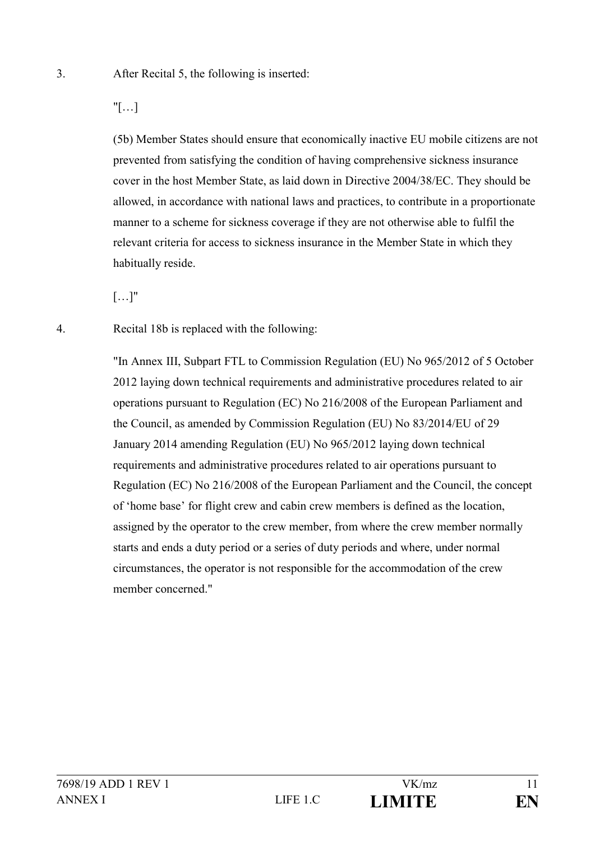"[…]

(5b) Member States should ensure that economically inactive EU mobile citizens are not prevented from satisfying the condition of having comprehensive sickness insurance cover in the host Member State, as laid down in Directive 2004/38/EC. They should be allowed, in accordance with national laws and practices, to contribute in a proportionate manner to a scheme for sickness coverage if they are not otherwise able to fulfil the relevant criteria for access to sickness insurance in the Member State in which they habitually reside.

[…]"

4. Recital 18b is replaced with the following:

"In Annex III, Subpart FTL to Commission Regulation (EU) No 965/2012 of 5 October 2012 laying down technical requirements and administrative procedures related to air operations pursuant to Regulation (EC) No 216/2008 of the European Parliament and the Council, as amended by Commission Regulation (EU) No 83/2014/EU of 29 January 2014 amending Regulation (EU) No 965/2012 laying down technical requirements and administrative procedures related to air operations pursuant to Regulation (EC) No 216/2008 of the European Parliament and the Council, the concept of 'home base' for flight crew and cabin crew members is defined as the location, assigned by the operator to the crew member, from where the crew member normally starts and ends a duty period or a series of duty periods and where, under normal circumstances, the operator is not responsible for the accommodation of the crew member concerned."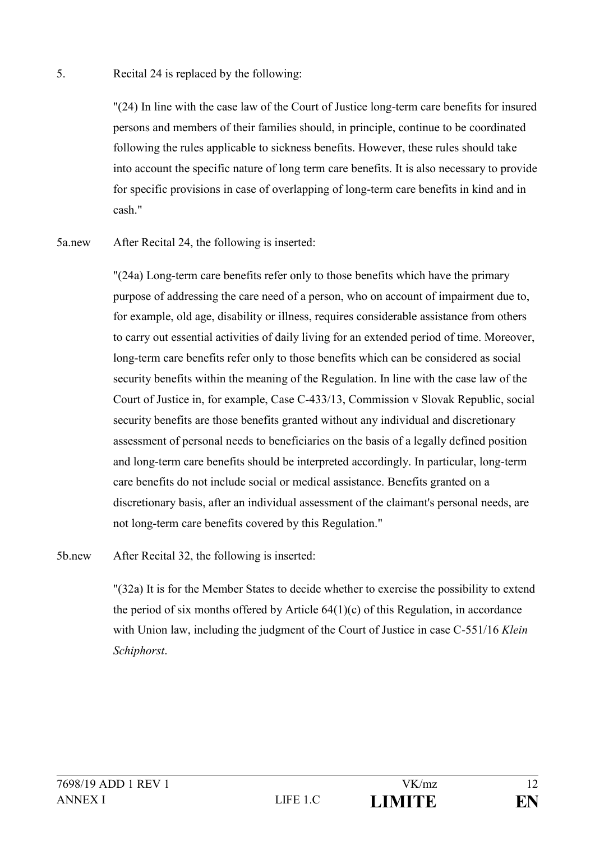### 5. Recital 24 is replaced by the following:

"(24) In line with the case law of the Court of Justice long-term care benefits for insured persons and members of their families should, in principle, continue to be coordinated following the rules applicable to sickness benefits. However, these rules should take into account the specific nature of long term care benefits. It is also necessary to provide for specific provisions in case of overlapping of long-term care benefits in kind and in cash."

5a.new After Recital 24, the following is inserted:

"(24a) Long-term care benefits refer only to those benefits which have the primary purpose of addressing the care need of a person, who on account of impairment due to, for example, old age, disability or illness, requires considerable assistance from others to carry out essential activities of daily living for an extended period of time. Moreover, long-term care benefits refer only to those benefits which can be considered as social security benefits within the meaning of the Regulation. In line with the case law of the Court of Justice in, for example, Case C-433/13, Commission v Slovak Republic, social security benefits are those benefits granted without any individual and discretionary assessment of personal needs to beneficiaries on the basis of a legally defined position and long-term care benefits should be interpreted accordingly. In particular, long-term care benefits do not include social or medical assistance. Benefits granted on a discretionary basis, after an individual assessment of the claimant's personal needs, are not long-term care benefits covered by this Regulation."

5b.new After Recital 32, the following is inserted:

"(32a) It is for the Member States to decide whether to exercise the possibility to extend the period of six months offered by Article  $64(1)(c)$  of this Regulation, in accordance with Union law, including the judgment of the Court of Justice in case C-551/16 *Klein Schiphorst*.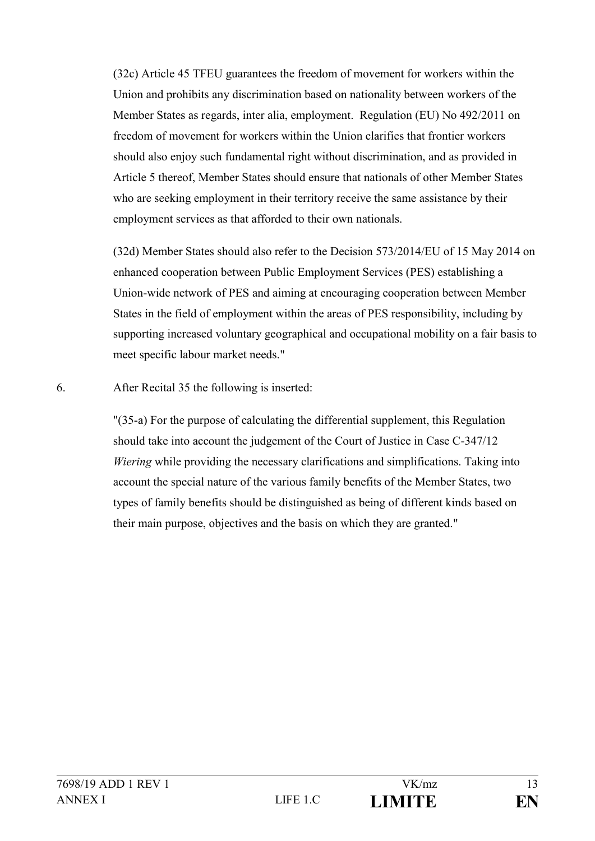(32c) Article 45 TFEU guarantees the freedom of movement for workers within the Union and prohibits any discrimination based on nationality between workers of the Member States as regards, inter alia, employment. Regulation (EU) No 492/2011 on freedom of movement for workers within the Union clarifies that frontier workers should also enjoy such fundamental right without discrimination, and as provided in Article 5 thereof, Member States should ensure that nationals of other Member States who are seeking employment in their territory receive the same assistance by their employment services as that afforded to their own nationals.

(32d) Member States should also refer to the Decision 573/2014/EU of 15 May 2014 on enhanced cooperation between Public Employment Services (PES) establishing a Union-wide network of PES and aiming at encouraging cooperation between Member States in the field of employment within the areas of PES responsibility, including by supporting increased voluntary geographical and occupational mobility on a fair basis to meet specific labour market needs."

6. After Recital 35 the following is inserted:

"(35-a) For the purpose of calculating the differential supplement, this Regulation should take into account the judgement of the Court of Justice in Case C-347/12 *Wiering* while providing the necessary clarifications and simplifications. Taking into account the special nature of the various family benefits of the Member States, two types of family benefits should be distinguished as being of different kinds based on their main purpose, objectives and the basis on which they are granted."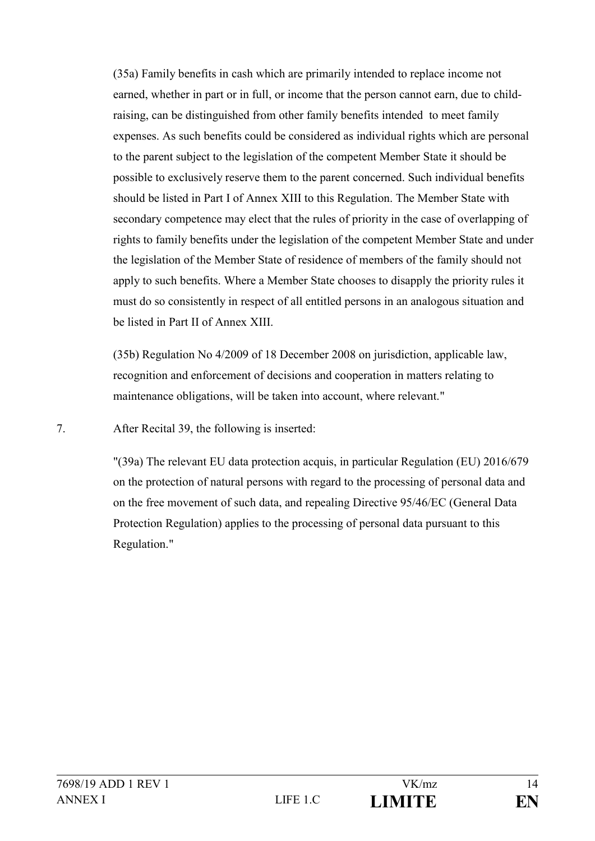(35a) Family benefits in cash which are primarily intended to replace income not earned, whether in part or in full, or income that the person cannot earn, due to childraising, can be distinguished from other family benefits intended to meet family expenses. As such benefits could be considered as individual rights which are personal to the parent subject to the legislation of the competent Member State it should be possible to exclusively reserve them to the parent concerned. Such individual benefits should be listed in Part I of Annex XIII to this Regulation. The Member State with secondary competence may elect that the rules of priority in the case of overlapping of rights to family benefits under the legislation of the competent Member State and under the legislation of the Member State of residence of members of the family should not apply to such benefits. Where a Member State chooses to disapply the priority rules it must do so consistently in respect of all entitled persons in an analogous situation and be listed in Part II of Annex XIII.

(35b) Regulation No 4/2009 of 18 December 2008 on jurisdiction, applicable law, recognition and enforcement of decisions and cooperation in matters relating to maintenance obligations, will be taken into account, where relevant."

7. After Recital 39, the following is inserted:

"(39a) The relevant EU data protection acquis, in particular Regulation (EU) 2016/679 on the protection of natural persons with regard to the processing of personal data and on the free movement of such data, and repealing Directive 95/46/EC (General Data Protection Regulation) applies to the processing of personal data pursuant to this Regulation."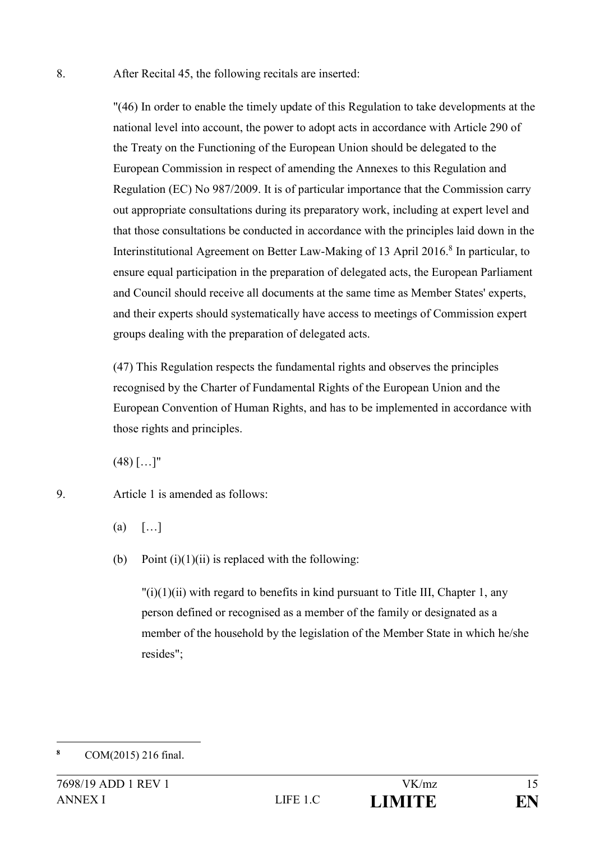8. After Recital 45, the following recitals are inserted:

"(46) In order to enable the timely update of this Regulation to take developments at the national level into account, the power to adopt acts in accordance with Article 290 of the Treaty on the Functioning of the European Union should be delegated to the European Commission in respect of amending the Annexes to this Regulation and Regulation (EC) No 987/2009. It is of particular importance that the Commission carry out appropriate consultations during its preparatory work, including at expert level and that those consultations be conducted in accordance with the principles laid down in the Interinstitutional Agreement on Better Law-Making of 13 April 2016.<sup>8</sup> In particular, to ensure equal participation in the preparation of delegated acts, the European Parliament and Council should receive all documents at the same time as Member States' experts, and their experts should systematically have access to meetings of Commission expert groups dealing with the preparation of delegated acts.

(47) This Regulation respects the fundamental rights and observes the principles recognised by the Charter of Fundamental Rights of the European Union and the European Convention of Human Rights, and has to be implemented in accordance with those rights and principles.

 $(48)$   $[...]$ "

9. Article 1 is amended as follows:

- $(a)$   $\lceil \dots \rceil$
- (b) Point  $(i)(1)(ii)$  is replaced with the following:

 $\binom{n}{i}(1)(ii)$  with regard to benefits in kind pursuant to Title III, Chapter 1, any person defined or recognised as a member of the family or designated as a member of the household by the legislation of the Member State in which he/she resides";

<sup>1</sup> **<sup>8</sup>** COM(2015) 216 final.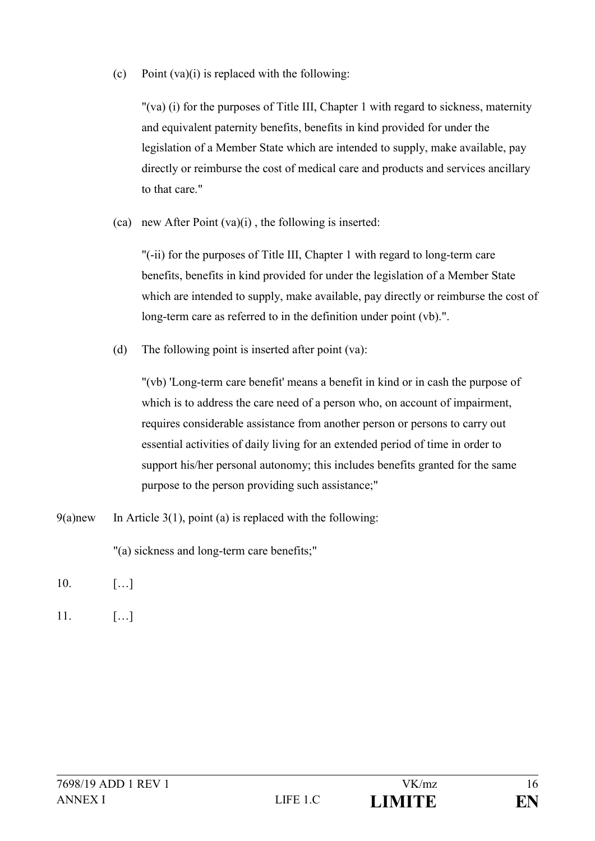(c) Point  $(va)(i)$  is replaced with the following:

"(va) (i) for the purposes of Title III, Chapter 1 with regard to sickness, maternity and equivalent paternity benefits, benefits in kind provided for under the legislation of a Member State which are intended to supply, make available, pay directly or reimburse the cost of medical care and products and services ancillary to that care."

(ca) new After Point  $(va)(i)$ , the following is inserted:

"(-ii) for the purposes of Title III, Chapter 1 with regard to long-term care benefits, benefits in kind provided for under the legislation of a Member State which are intended to supply, make available, pay directly or reimburse the cost of long-term care as referred to in the definition under point (vb).".

(d) The following point is inserted after point (va):

"(vb) 'Long-term care benefit' means a benefit in kind or in cash the purpose of which is to address the care need of a person who, on account of impairment, requires considerable assistance from another person or persons to carry out essential activities of daily living for an extended period of time in order to support his/her personal autonomy; this includes benefits granted for the same purpose to the person providing such assistance;"

9(a)new In Article 3(1), point (a) is replaced with the following:

"(a) sickness and long-term care benefits;"

- 10. […]
- $11.$  [...]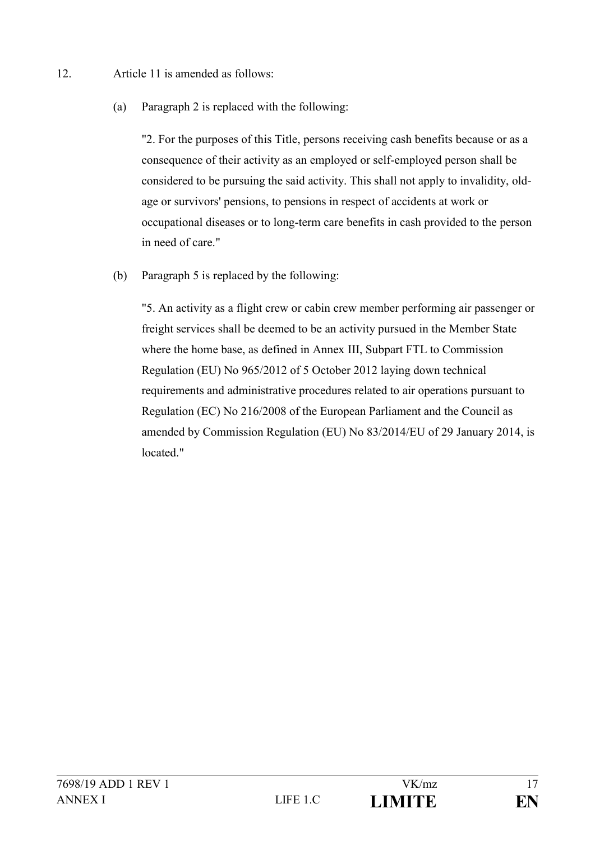- 12. Article 11 is amended as follows:
	- (a) Paragraph 2 is replaced with the following:

"2. For the purposes of this Title, persons receiving cash benefits because or as a consequence of their activity as an employed or self-employed person shall be considered to be pursuing the said activity. This shall not apply to invalidity, oldage or survivors' pensions, to pensions in respect of accidents at work or occupational diseases or to long-term care benefits in cash provided to the person in need of care."

(b) Paragraph 5 is replaced by the following:

"5. An activity as a flight crew or cabin crew member performing air passenger or freight services shall be deemed to be an activity pursued in the Member State where the home base, as defined in Annex III, Subpart FTL to Commission Regulation (EU) No 965/2012 of 5 October 2012 laying down technical requirements and administrative procedures related to air operations pursuant to Regulation (EC) No 216/2008 of the European Parliament and the Council as amended by Commission Regulation (EU) No 83/2014/EU of 29 January 2014, is located."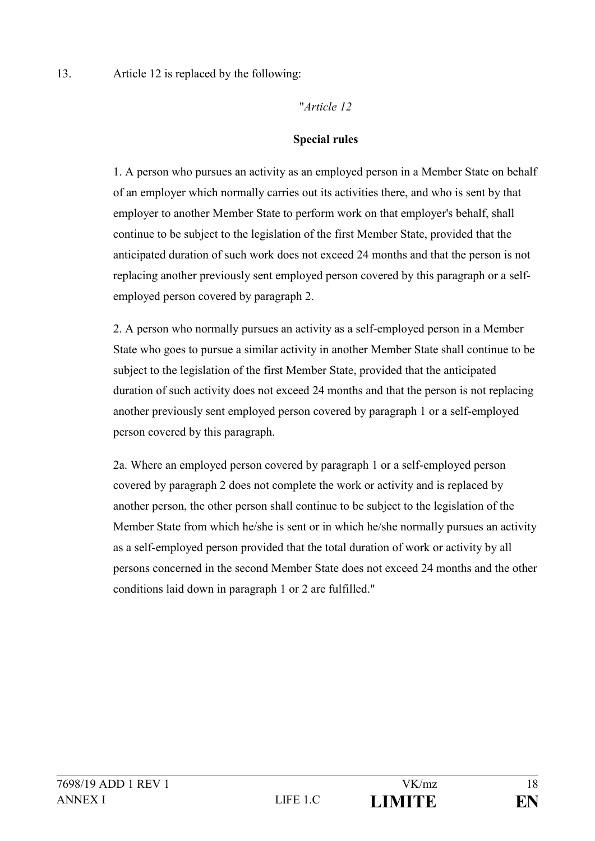### "*Article 12*

### **Special rules**

1. A person who pursues an activity as an employed person in a Member State on behalf of an employer which normally carries out its activities there, and who is sent by that employer to another Member State to perform work on that employer's behalf, shall continue to be subject to the legislation of the first Member State, provided that the anticipated duration of such work does not exceed 24 months and that the person is not replacing another previously sent employed person covered by this paragraph or a selfemployed person covered by paragraph 2.

2. A person who normally pursues an activity as a self-employed person in a Member State who goes to pursue a similar activity in another Member State shall continue to be subject to the legislation of the first Member State, provided that the anticipated duration of such activity does not exceed 24 months and that the person is not replacing another previously sent employed person covered by paragraph 1 or a self-employed person covered by this paragraph.

2a. Where an employed person covered by paragraph 1 or a self-employed person covered by paragraph 2 does not complete the work or activity and is replaced by another person, the other person shall continue to be subject to the legislation of the Member State from which he/she is sent or in which he/she normally pursues an activity as a self-employed person provided that the total duration of work or activity by all persons concerned in the second Member State does not exceed 24 months and the other conditions laid down in paragraph 1 or 2 are fulfilled."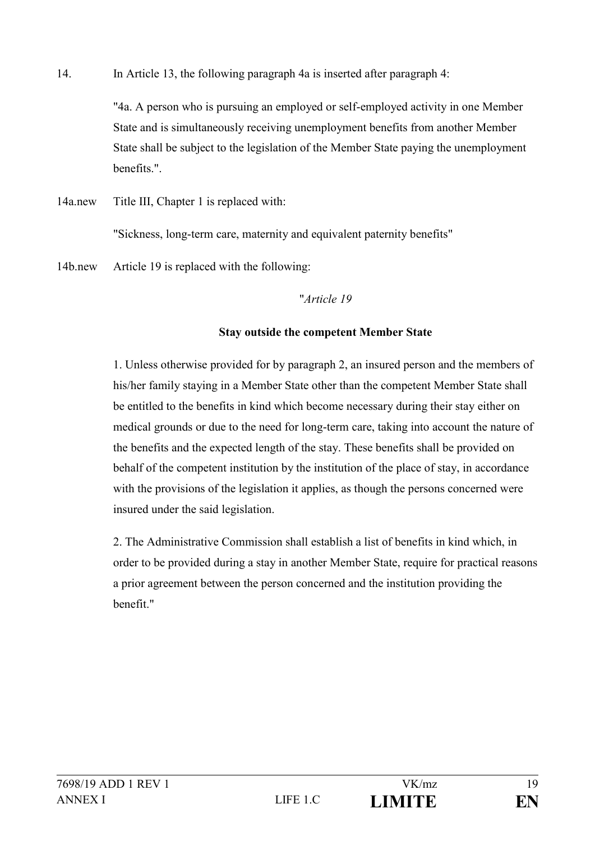14. In Article 13, the following paragraph 4a is inserted after paragraph 4:

"4a. A person who is pursuing an employed or self-employed activity in one Member State and is simultaneously receiving unemployment benefits from another Member State shall be subject to the legislation of the Member State paying the unemployment benefits.".

14a.new Title III, Chapter 1 is replaced with:

"Sickness, long-term care, maternity and equivalent paternity benefits"

14b.new Article 19 is replaced with the following:

### "*Article 19*

## **Stay outside the competent Member State**

1. Unless otherwise provided for by paragraph 2, an insured person and the members of his/her family staying in a Member State other than the competent Member State shall be entitled to the benefits in kind which become necessary during their stay either on medical grounds or due to the need for long-term care, taking into account the nature of the benefits and the expected length of the stay. These benefits shall be provided on behalf of the competent institution by the institution of the place of stay, in accordance with the provisions of the legislation it applies, as though the persons concerned were insured under the said legislation.

2. The Administrative Commission shall establish a list of benefits in kind which, in order to be provided during a stay in another Member State, require for practical reasons a prior agreement between the person concerned and the institution providing the benefit."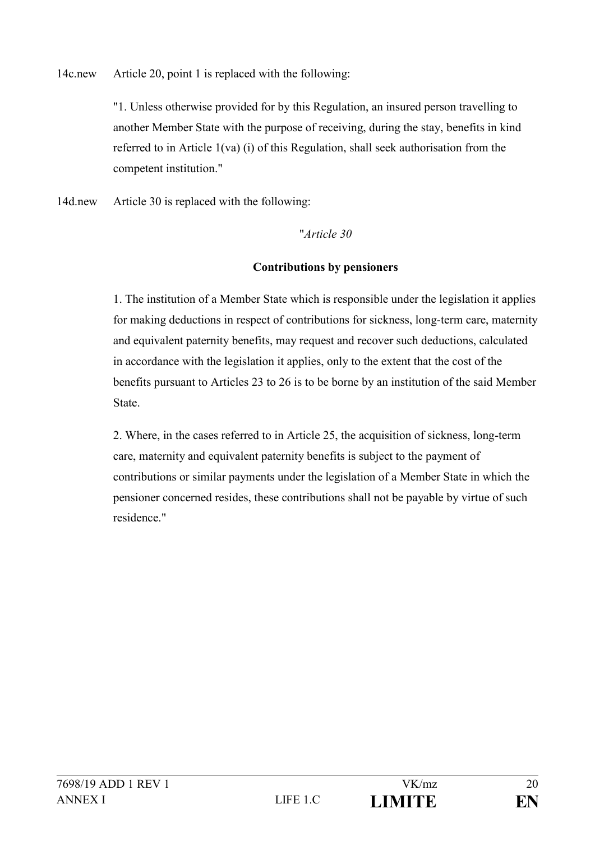14c.new Article 20, point 1 is replaced with the following:

"1. Unless otherwise provided for by this Regulation, an insured person travelling to another Member State with the purpose of receiving, during the stay, benefits in kind referred to in Article 1(va) (i) of this Regulation, shall seek authorisation from the competent institution."

14d.new Article 30 is replaced with the following:

## "*Article 30*

## **Contributions by pensioners**

1. The institution of a Member State which is responsible under the legislation it applies for making deductions in respect of contributions for sickness, long-term care, maternity and equivalent paternity benefits, may request and recover such deductions, calculated in accordance with the legislation it applies, only to the extent that the cost of the benefits pursuant to Articles 23 to 26 is to be borne by an institution of the said Member State.

2. Where, in the cases referred to in Article 25, the acquisition of sickness, long-term care, maternity and equivalent paternity benefits is subject to the payment of contributions or similar payments under the legislation of a Member State in which the pensioner concerned resides, these contributions shall not be payable by virtue of such residence."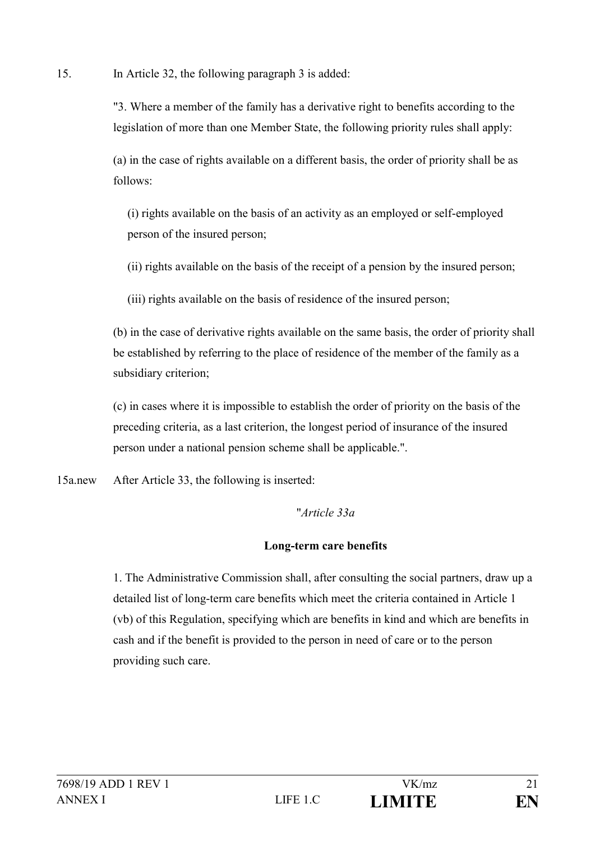15. In Article 32, the following paragraph 3 is added:

"3. Where a member of the family has a derivative right to benefits according to the legislation of more than one Member State, the following priority rules shall apply:

(a) in the case of rights available on a different basis, the order of priority shall be as follows:

(i) rights available on the basis of an activity as an employed or self-employed person of the insured person;

(ii) rights available on the basis of the receipt of a pension by the insured person;

(iii) rights available on the basis of residence of the insured person;

(b) in the case of derivative rights available on the same basis, the order of priority shall be established by referring to the place of residence of the member of the family as a subsidiary criterion;

(c) in cases where it is impossible to establish the order of priority on the basis of the preceding criteria, as a last criterion, the longest period of insurance of the insured person under a national pension scheme shall be applicable.".

15a.new After Article 33, the following is inserted:

## "*Article 33a*

## **Long-term care benefits**

1. The Administrative Commission shall, after consulting the social partners, draw up a detailed list of long-term care benefits which meet the criteria contained in Article 1 (vb) of this Regulation, specifying which are benefits in kind and which are benefits in cash and if the benefit is provided to the person in need of care or to the person providing such care.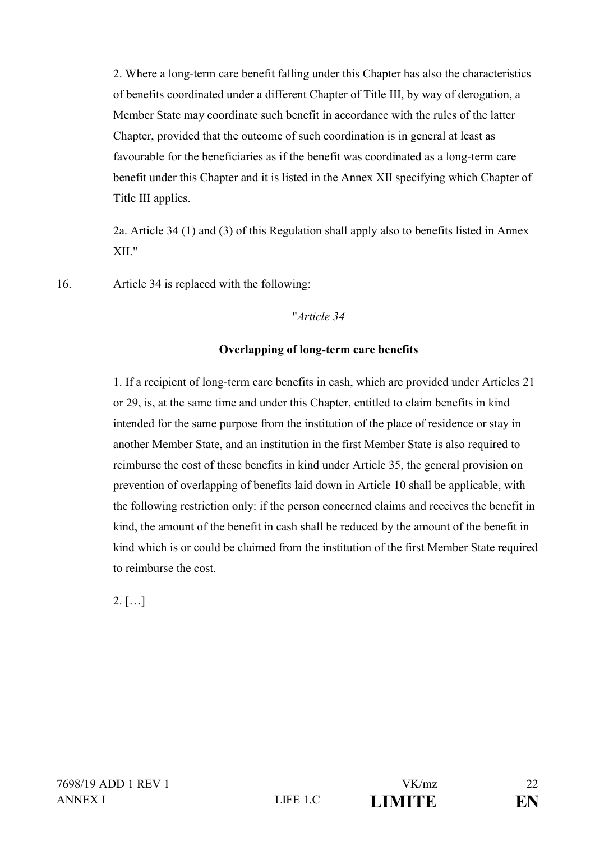2. Where a long-term care benefit falling under this Chapter has also the characteristics of benefits coordinated under a different Chapter of Title III, by way of derogation, a Member State may coordinate such benefit in accordance with the rules of the latter Chapter, provided that the outcome of such coordination is in general at least as favourable for the beneficiaries as if the benefit was coordinated as a long-term care benefit under this Chapter and it is listed in the Annex XII specifying which Chapter of Title III applies.

2a. Article 34 (1) and (3) of this Regulation shall apply also to benefits listed in Annex XII."

16. Article 34 is replaced with the following:

### "*Article 34*

## **Overlapping of long-term care benefits**

1. If a recipient of long-term care benefits in cash, which are provided under Articles 21 or 29, is, at the same time and under this Chapter, entitled to claim benefits in kind intended for the same purpose from the institution of the place of residence or stay in another Member State, and an institution in the first Member State is also required to reimburse the cost of these benefits in kind under Article 35, the general provision on prevention of overlapping of benefits laid down in Article 10 shall be applicable, with the following restriction only: if the person concerned claims and receives the benefit in kind, the amount of the benefit in cash shall be reduced by the amount of the benefit in kind which is or could be claimed from the institution of the first Member State required to reimburse the cost.

 $2.$  [...]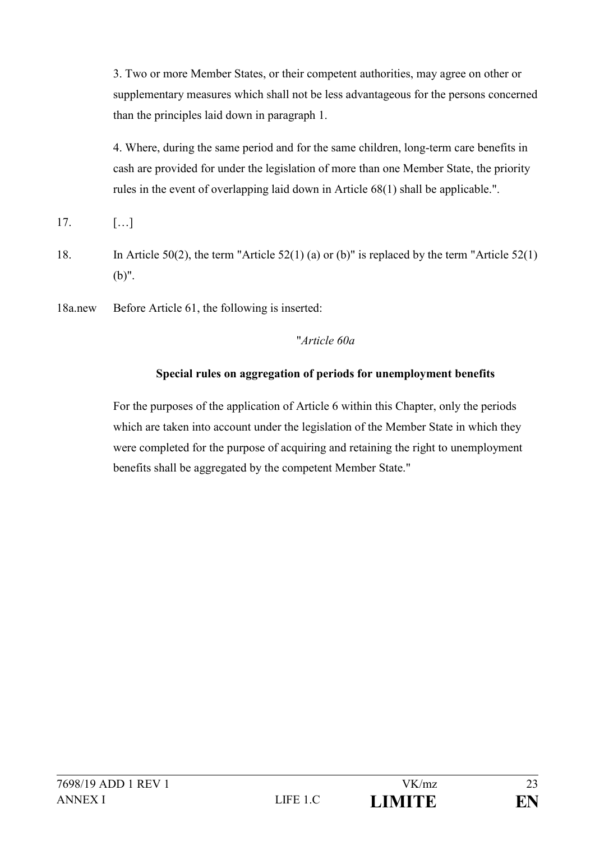3. Two or more Member States, or their competent authorities, may agree on other or supplementary measures which shall not be less advantageous for the persons concerned than the principles laid down in paragraph 1.

4. Where, during the same period and for the same children, long-term care benefits in cash are provided for under the legislation of more than one Member State, the priority rules in the event of overlapping laid down in Article 68(1) shall be applicable.".

- 17. […]
- 18. In Article 50(2), the term "Article 52(1) (a) or (b)" is replaced by the term "Article 52(1) (b)".
- 18a.new Before Article 61, the following is inserted:

## "*Article 60a*

## **Special rules on aggregation of periods for unemployment benefits**

For the purposes of the application of Article 6 within this Chapter, only the periods which are taken into account under the legislation of the Member State in which they were completed for the purpose of acquiring and retaining the right to unemployment benefits shall be aggregated by the competent Member State."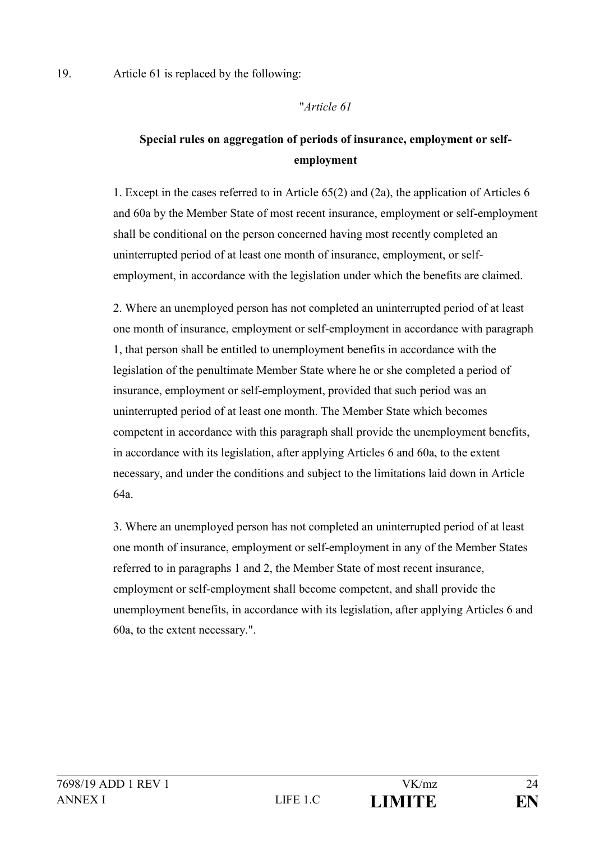19. Article 61 is replaced by the following:

### "*Article 61*

# **Special rules on aggregation of periods of insurance, employment or selfemployment**

1. Except in the cases referred to in Article 65(2) and (2a), the application of Articles 6 and 60a by the Member State of most recent insurance, employment or self-employment shall be conditional on the person concerned having most recently completed an uninterrupted period of at least one month of insurance, employment, or selfemployment, in accordance with the legislation under which the benefits are claimed.

2. Where an unemployed person has not completed an uninterrupted period of at least one month of insurance, employment or self-employment in accordance with paragraph 1, that person shall be entitled to unemployment benefits in accordance with the legislation of the penultimate Member State where he or she completed a period of insurance, employment or self-employment, provided that such period was an uninterrupted period of at least one month. The Member State which becomes competent in accordance with this paragraph shall provide the unemployment benefits, in accordance with its legislation, after applying Articles 6 and 60a, to the extent necessary, and under the conditions and subject to the limitations laid down in Article 64a.

3. Where an unemployed person has not completed an uninterrupted period of at least one month of insurance, employment or self-employment in any of the Member States referred to in paragraphs 1 and 2, the Member State of most recent insurance, employment or self-employment shall become competent, and shall provide the unemployment benefits, in accordance with its legislation, after applying Articles 6 and 60a, to the extent necessary.".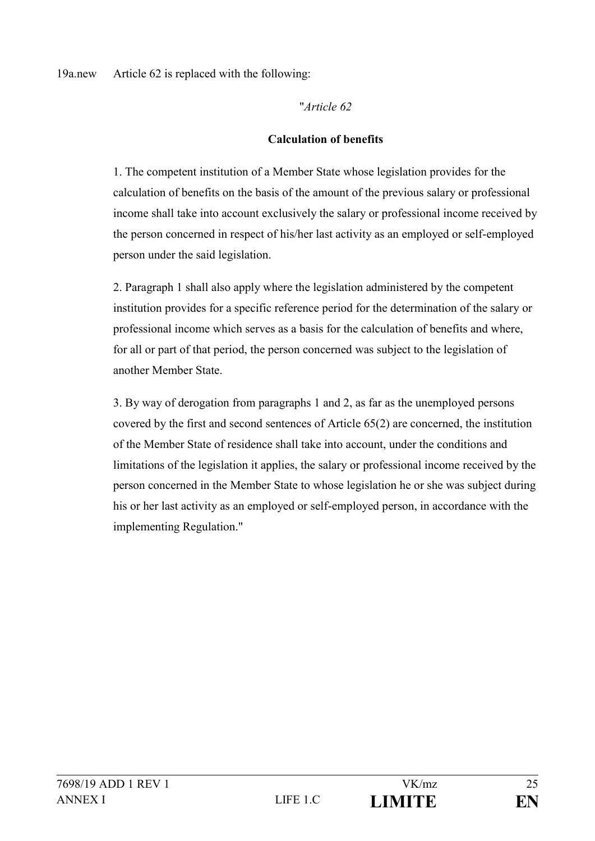"*Article 62*

## **Calculation of benefits**

1. The competent institution of a Member State whose legislation provides for the calculation of benefits on the basis of the amount of the previous salary or professional income shall take into account exclusively the salary or professional income received by the person concerned in respect of his/her last activity as an employed or self-employed person under the said legislation.

2. Paragraph 1 shall also apply where the legislation administered by the competent institution provides for a specific reference period for the determination of the salary or professional income which serves as a basis for the calculation of benefits and where, for all or part of that period, the person concerned was subject to the legislation of another Member State.

3. By way of derogation from paragraphs 1 and 2, as far as the unemployed persons covered by the first and second sentences of Article 65(2) are concerned, the institution of the Member State of residence shall take into account, under the conditions and limitations of the legislation it applies, the salary or professional income received by the person concerned in the Member State to whose legislation he or she was subject during his or her last activity as an employed or self-employed person, in accordance with the implementing Regulation."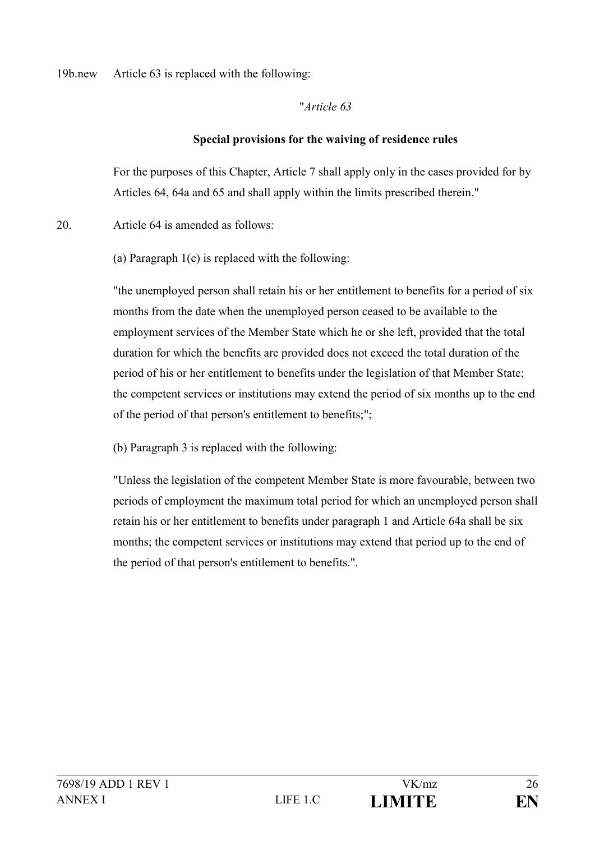### 19b.new Article 63 is replaced with the following:

### "*Article 63*

### **Special provisions for the waiving of residence rules**

For the purposes of this Chapter, Article 7 shall apply only in the cases provided for by Articles 64, 64a and 65 and shall apply within the limits prescribed therein."

20. Article 64 is amended as follows:

(a) Paragraph 1(c) is replaced with the following:

"the unemployed person shall retain his or her entitlement to benefits for a period of six months from the date when the unemployed person ceased to be available to the employment services of the Member State which he or she left, provided that the total duration for which the benefits are provided does not exceed the total duration of the period of his or her entitlement to benefits under the legislation of that Member State; the competent services or institutions may extend the period of six months up to the end of the period of that person's entitlement to benefits;";

(b) Paragraph 3 is replaced with the following:

"Unless the legislation of the competent Member State is more favourable, between two periods of employment the maximum total period for which an unemployed person shall retain his or her entitlement to benefits under paragraph 1 and Article 64a shall be six months; the competent services or institutions may extend that period up to the end of the period of that person's entitlement to benefits.".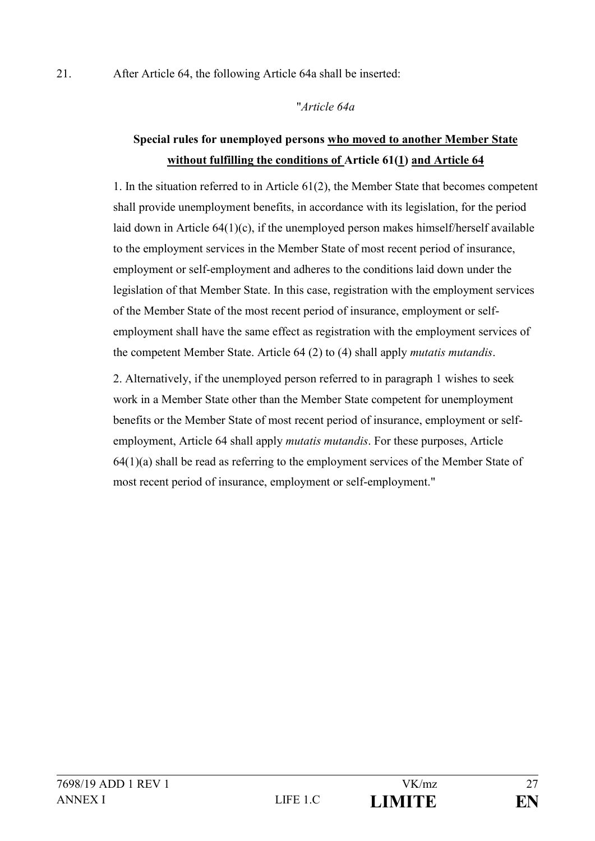### 21. After Article 64, the following Article 64a shall be inserted:

### "*Article 64a*

# **Special rules for unemployed persons who moved to another Member State without fulfilling the conditions of Article 61(1) and Article 64**

1. In the situation referred to in Article 61(2), the Member State that becomes competent shall provide unemployment benefits, in accordance with its legislation, for the period laid down in Article 64(1)(c), if the unemployed person makes himself/herself available to the employment services in the Member State of most recent period of insurance, employment or self-employment and adheres to the conditions laid down under the legislation of that Member State. In this case, registration with the employment services of the Member State of the most recent period of insurance, employment or selfemployment shall have the same effect as registration with the employment services of the competent Member State. Article 64 (2) to (4) shall apply *mutatis mutandis*.

2. Alternatively, if the unemployed person referred to in paragraph 1 wishes to seek work in a Member State other than the Member State competent for unemployment benefits or the Member State of most recent period of insurance, employment or selfemployment, Article 64 shall apply *mutatis mutandis*. For these purposes, Article 64(1)(a) shall be read as referring to the employment services of the Member State of most recent period of insurance, employment or self-employment."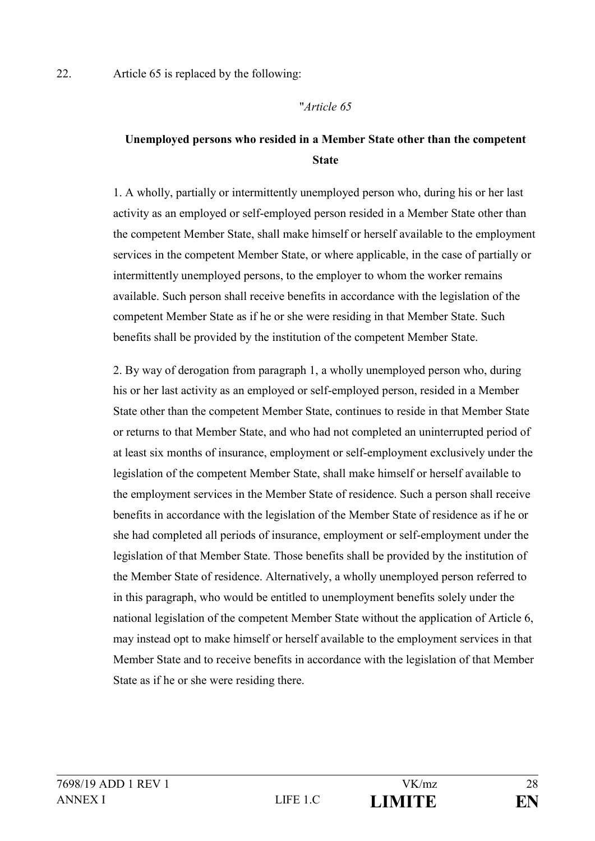22. Article 65 is replaced by the following:

#### "*Article 65*

# **Unemployed persons who resided in a Member State other than the competent State**

1. A wholly, partially or intermittently unemployed person who, during his or her last activity as an employed or self-employed person resided in a Member State other than the competent Member State, shall make himself or herself available to the employment services in the competent Member State, or where applicable, in the case of partially or intermittently unemployed persons, to the employer to whom the worker remains available. Such person shall receive benefits in accordance with the legislation of the competent Member State as if he or she were residing in that Member State. Such benefits shall be provided by the institution of the competent Member State.

2. By way of derogation from paragraph 1, a wholly unemployed person who, during his or her last activity as an employed or self-employed person, resided in a Member State other than the competent Member State, continues to reside in that Member State or returns to that Member State, and who had not completed an uninterrupted period of at least six months of insurance, employment or self-employment exclusively under the legislation of the competent Member State, shall make himself or herself available to the employment services in the Member State of residence. Such a person shall receive benefits in accordance with the legislation of the Member State of residence as if he or she had completed all periods of insurance, employment or self-employment under the legislation of that Member State. Those benefits shall be provided by the institution of the Member State of residence. Alternatively, a wholly unemployed person referred to in this paragraph, who would be entitled to unemployment benefits solely under the national legislation of the competent Member State without the application of Article 6, may instead opt to make himself or herself available to the employment services in that Member State and to receive benefits in accordance with the legislation of that Member State as if he or she were residing there.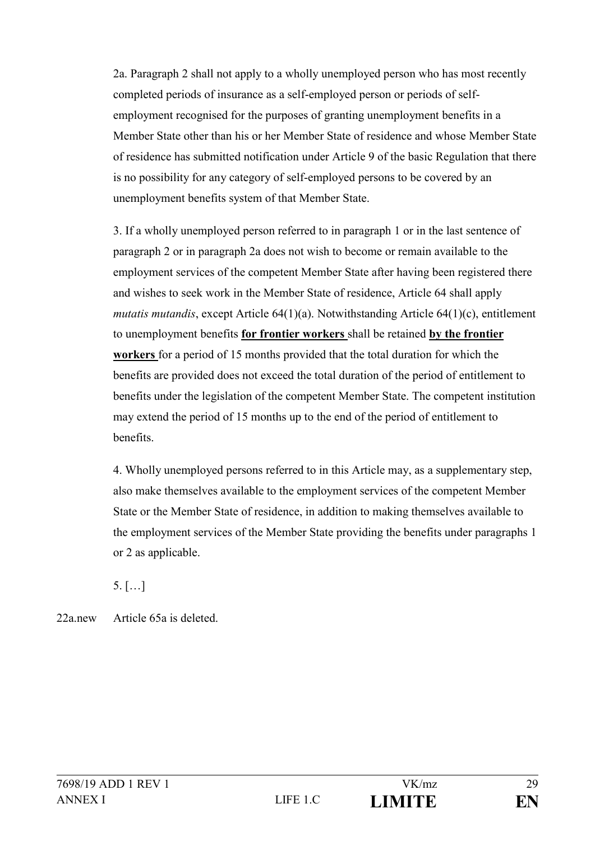2a. Paragraph 2 shall not apply to a wholly unemployed person who has most recently completed periods of insurance as a self-employed person or periods of selfemployment recognised for the purposes of granting unemployment benefits in a Member State other than his or her Member State of residence and whose Member State of residence has submitted notification under Article 9 of the basic Regulation that there is no possibility for any category of self-employed persons to be covered by an unemployment benefits system of that Member State.

3. If a wholly unemployed person referred to in paragraph 1 or in the last sentence of paragraph 2 or in paragraph 2a does not wish to become or remain available to the employment services of the competent Member State after having been registered there and wishes to seek work in the Member State of residence, Article 64 shall apply *mutatis mutandis*, except Article 64(1)(a). Notwithstanding Article 64(1)(c), entitlement to unemployment benefits **for frontier workers** shall be retained **by the frontier workers** for a period of 15 months provided that the total duration for which the benefits are provided does not exceed the total duration of the period of entitlement to benefits under the legislation of the competent Member State. The competent institution may extend the period of 15 months up to the end of the period of entitlement to benefits.

4. Wholly unemployed persons referred to in this Article may, as a supplementary step, also make themselves available to the employment services of the competent Member State or the Member State of residence, in addition to making themselves available to the employment services of the Member State providing the benefits under paragraphs 1 or 2 as applicable.

5. […]

22a.new Article 65a is deleted.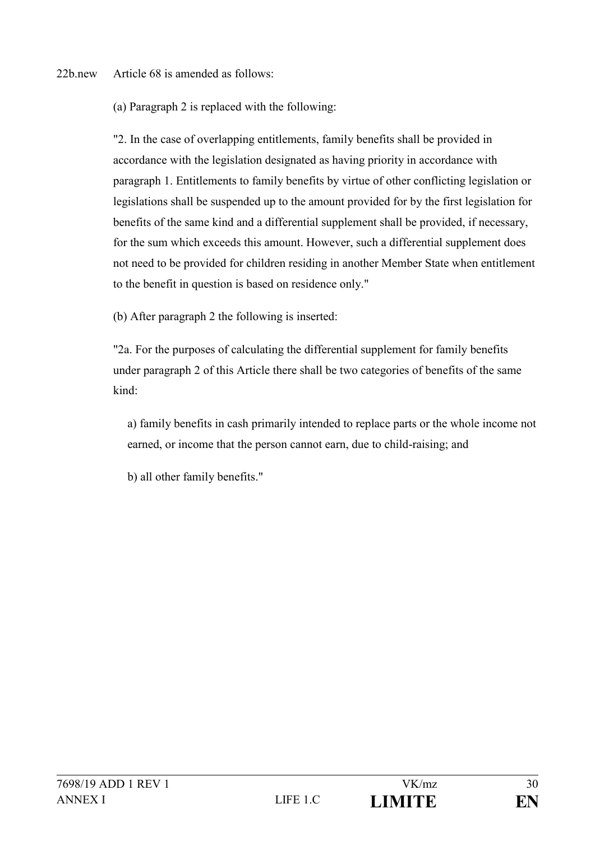22b.new Article 68 is amended as follows:

(a) Paragraph 2 is replaced with the following:

"2. In the case of overlapping entitlements, family benefits shall be provided in accordance with the legislation designated as having priority in accordance with paragraph 1. Entitlements to family benefits by virtue of other conflicting legislation or legislations shall be suspended up to the amount provided for by the first legislation for benefits of the same kind and a differential supplement shall be provided, if necessary, for the sum which exceeds this amount. However, such a differential supplement does not need to be provided for children residing in another Member State when entitlement to the benefit in question is based on residence only."

(b) After paragraph 2 the following is inserted:

"2a. For the purposes of calculating the differential supplement for family benefits under paragraph 2 of this Article there shall be two categories of benefits of the same kind:

a) family benefits in cash primarily intended to replace parts or the whole income not earned, or income that the person cannot earn, due to child-raising; and

b) all other family benefits."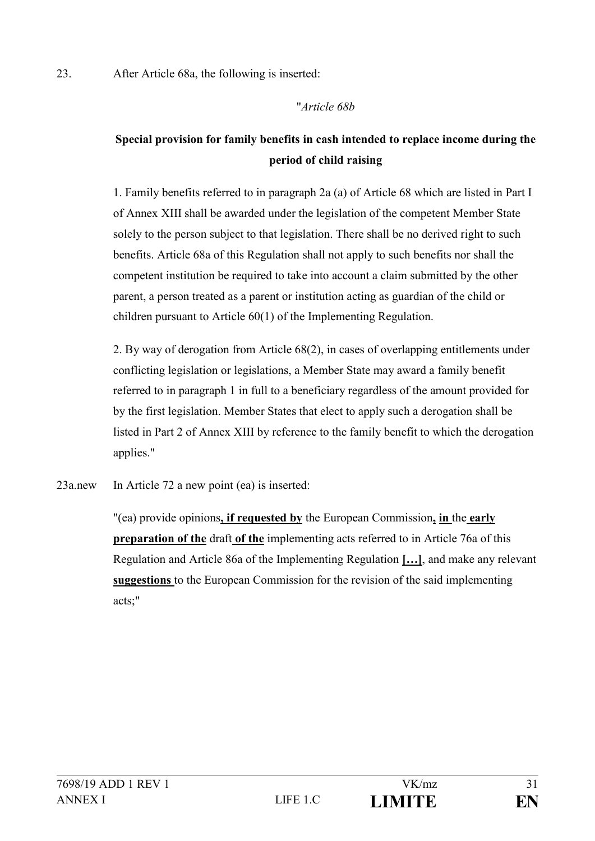23. After Article 68a, the following is inserted:

### "*Article 68b*

# **Special provision for family benefits in cash intended to replace income during the period of child raising**

1. Family benefits referred to in paragraph 2a (a) of Article 68 which are listed in Part I of Annex XIII shall be awarded under the legislation of the competent Member State solely to the person subject to that legislation. There shall be no derived right to such benefits. Article 68a of this Regulation shall not apply to such benefits nor shall the competent institution be required to take into account a claim submitted by the other parent, a person treated as a parent or institution acting as guardian of the child or children pursuant to Article 60(1) of the Implementing Regulation.

2. By way of derogation from Article 68(2), in cases of overlapping entitlements under conflicting legislation or legislations, a Member State may award a family benefit referred to in paragraph 1 in full to a beneficiary regardless of the amount provided for by the first legislation. Member States that elect to apply such a derogation shall be listed in Part 2 of Annex XIII by reference to the family benefit to which the derogation applies."

23a.new In Article 72 a new point (ea) is inserted:

"(ea) provide opinions**, if requested by** the European Commission**, in** the **early preparation of the** draft **of the** implementing acts referred to in Article 76a of this Regulation and Article 86a of the Implementing Regulation **[…]**, and make any relevant **suggestions** to the European Commission for the revision of the said implementing acts;"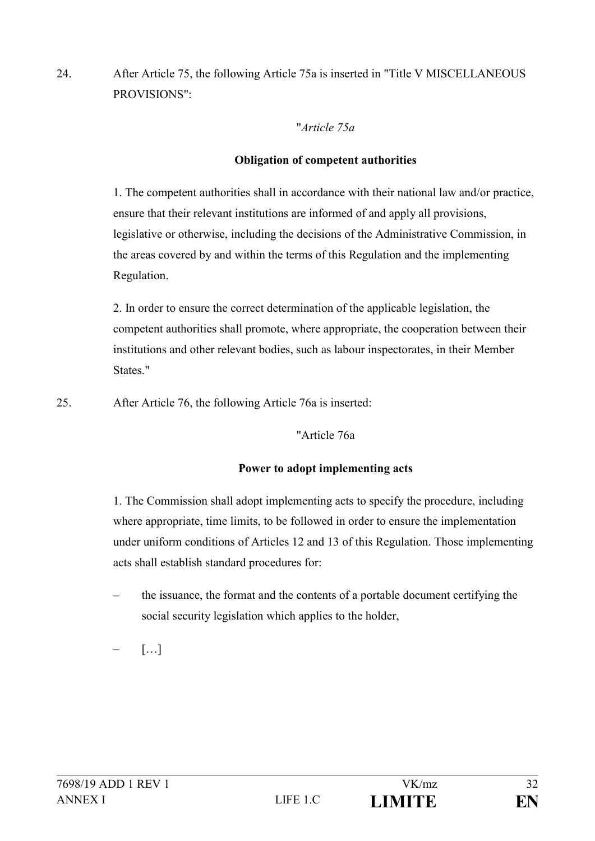24. After Article 75, the following Article 75a is inserted in "Title V MISCELLANEOUS PROVISIONS":

"*Article 75a*

## **Obligation of competent authorities**

1. The competent authorities shall in accordance with their national law and/or practice, ensure that their relevant institutions are informed of and apply all provisions, legislative or otherwise, including the decisions of the Administrative Commission, in the areas covered by and within the terms of this Regulation and the implementing Regulation.

2. In order to ensure the correct determination of the applicable legislation, the competent authorities shall promote, where appropriate, the cooperation between their institutions and other relevant bodies, such as labour inspectorates, in their Member States."

25. After Article 76, the following Article 76a is inserted:

"Article 76a

## **Power to adopt implementing acts**

1. The Commission shall adopt implementing acts to specify the procedure, including where appropriate, time limits, to be followed in order to ensure the implementation under uniform conditions of Articles 12 and 13 of this Regulation. Those implementing acts shall establish standard procedures for:

– the issuance, the format and the contents of a portable document certifying the social security legislation which applies to the holder,

 $\lceil \dots \rceil$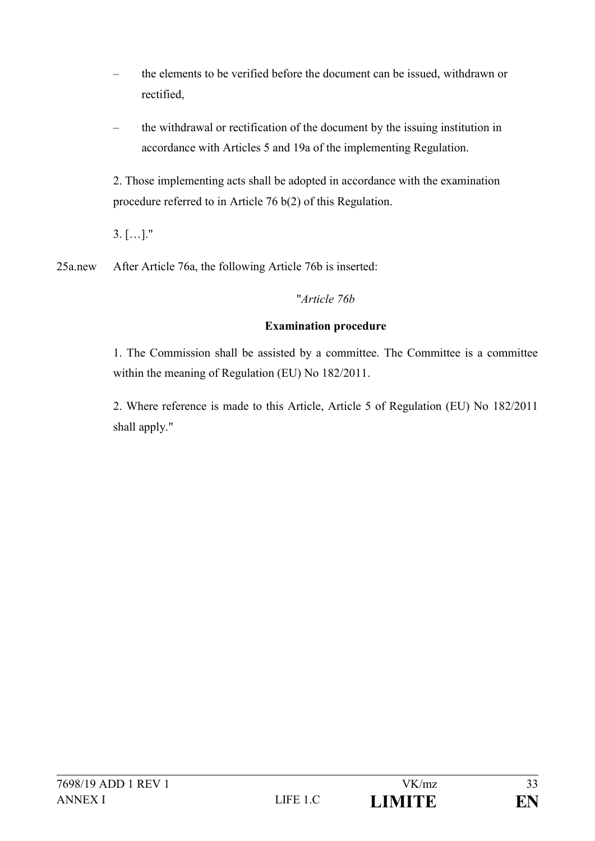- the elements to be verified before the document can be issued, withdrawn or rectified,
- the withdrawal or rectification of the document by the issuing institution in accordance with Articles 5 and 19a of the implementing Regulation.

2. Those implementing acts shall be adopted in accordance with the examination procedure referred to in Article 76 b(2) of this Regulation.

3. […]."

25a.new After Article 76a, the following Article 76b is inserted:

"*Article 76b*

## **Examination procedure**

1. The Commission shall be assisted by a committee. The Committee is a committee within the meaning of Regulation (EU) No 182/2011.

2. Where reference is made to this Article, Article 5 of Regulation (EU) No 182/2011 shall apply."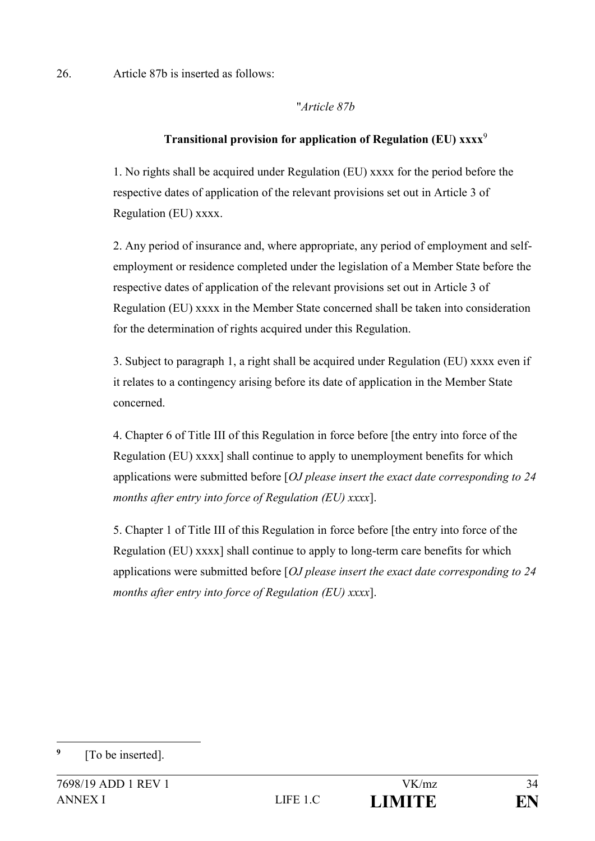26. Article 87b is inserted as follows:

"*Article 87b*

## **Transitional provision for application of Regulation (EU) xxxx**<sup>9</sup>

1. No rights shall be acquired under Regulation (EU) xxxx for the period before the respective dates of application of the relevant provisions set out in Article 3 of Regulation (EU) xxxx.

2. Any period of insurance and, where appropriate, any period of employment and selfemployment or residence completed under the legislation of a Member State before the respective dates of application of the relevant provisions set out in Article 3 of Regulation (EU) xxxx in the Member State concerned shall be taken into consideration for the determination of rights acquired under this Regulation.

3. Subject to paragraph 1, a right shall be acquired under Regulation (EU) xxxx even if it relates to a contingency arising before its date of application in the Member State concerned.

4. Chapter 6 of Title III of this Regulation in force before [the entry into force of the Regulation (EU) xxxx] shall continue to apply to unemployment benefits for which applications were submitted before [*OJ please insert the exact date corresponding to 24 months after entry into force of Regulation (EU) xxxx*].

5. Chapter 1 of Title III of this Regulation in force before [the entry into force of the Regulation (EU) xxxx] shall continue to apply to long-term care benefits for which applications were submitted before [*OJ please insert the exact date corresponding to 24 months after entry into force of Regulation (EU) xxxx*].

1

**<sup>9</sup>** [To be inserted].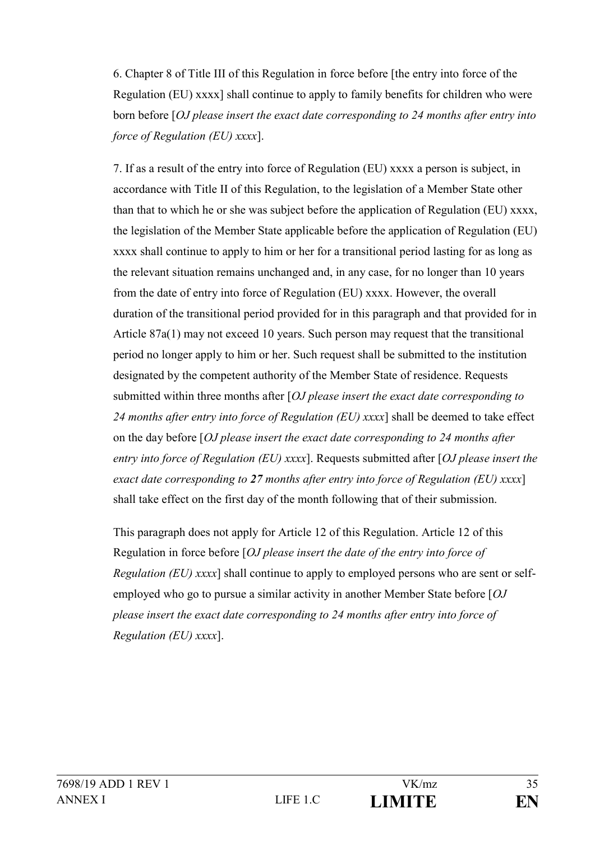6. Chapter 8 of Title III of this Regulation in force before [the entry into force of the Regulation (EU) xxxx] shall continue to apply to family benefits for children who were born before [*OJ please insert the exact date corresponding to 24 months after entry into force of Regulation (EU) xxxx*].

7. If as a result of the entry into force of Regulation (EU) xxxx a person is subject, in accordance with Title II of this Regulation, to the legislation of a Member State other than that to which he or she was subject before the application of Regulation (EU) xxxx, the legislation of the Member State applicable before the application of Regulation (EU) xxxx shall continue to apply to him or her for a transitional period lasting for as long as the relevant situation remains unchanged and, in any case, for no longer than 10 years from the date of entry into force of Regulation (EU) xxxx. However, the overall duration of the transitional period provided for in this paragraph and that provided for in Article 87a(1) may not exceed 10 years. Such person may request that the transitional period no longer apply to him or her. Such request shall be submitted to the institution designated by the competent authority of the Member State of residence. Requests submitted within three months after [*OJ please insert the exact date corresponding to 24 months after entry into force of Regulation (EU) xxxx*] shall be deemed to take effect on the day before [*OJ please insert the exact date corresponding to 24 months after entry into force of Regulation (EU) xxxx*]. Requests submitted after [*OJ please insert the exact date corresponding to 27 months after entry into force of Regulation (EU) xxxx*] shall take effect on the first day of the month following that of their submission.

This paragraph does not apply for Article 12 of this Regulation. Article 12 of this Regulation in force before [*OJ please insert the date of the entry into force of Regulation (EU) xxxx*] shall continue to apply to employed persons who are sent or selfemployed who go to pursue a similar activity in another Member State before [*OJ please insert the exact date corresponding to 24 months after entry into force of Regulation (EU) xxxx*].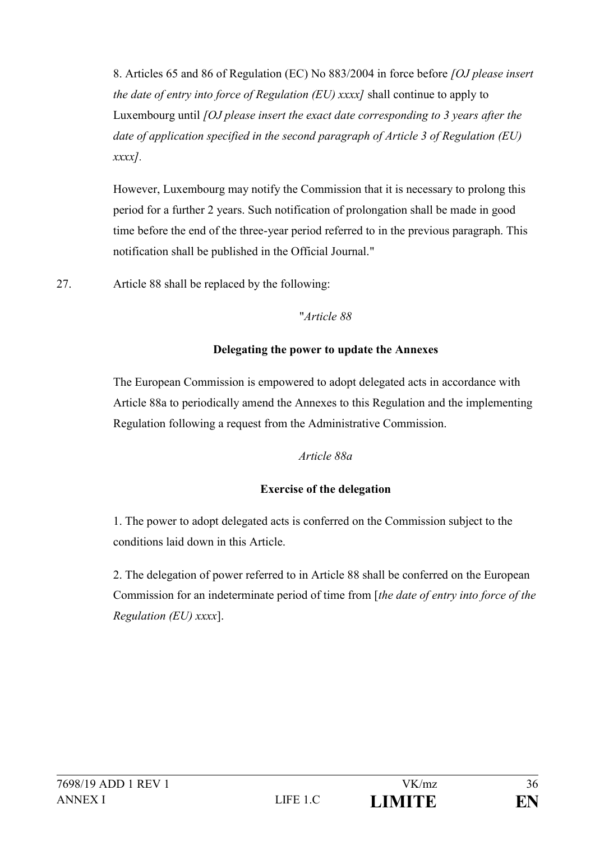8. Articles 65 and 86 of Regulation (EC) No 883/2004 in force before *[OJ please insert the date of entry into force of Regulation (EU) xxxx]* shall continue to apply to Luxembourg until *[OJ please insert the exact date corresponding to 3 years after the date of application specified in the second paragraph of Article 3 of Regulation (EU) xxxx].*

However, Luxembourg may notify the Commission that it is necessary to prolong this period for a further 2 years. Such notification of prolongation shall be made in good time before the end of the three-year period referred to in the previous paragraph. This notification shall be published in the Official Journal."

27. Article 88 shall be replaced by the following:

### "*Article 88*

## **Delegating the power to update the Annexes**

The European Commission is empowered to adopt delegated acts in accordance with Article 88a to periodically amend the Annexes to this Regulation and the implementing Regulation following a request from the Administrative Commission.

### *Article 88a*

## **Exercise of the delegation**

1. The power to adopt delegated acts is conferred on the Commission subject to the conditions laid down in this Article.

2. The delegation of power referred to in Article 88 shall be conferred on the European Commission for an indeterminate period of time from [*the date of entry into force of the Regulation (EU) xxxx*].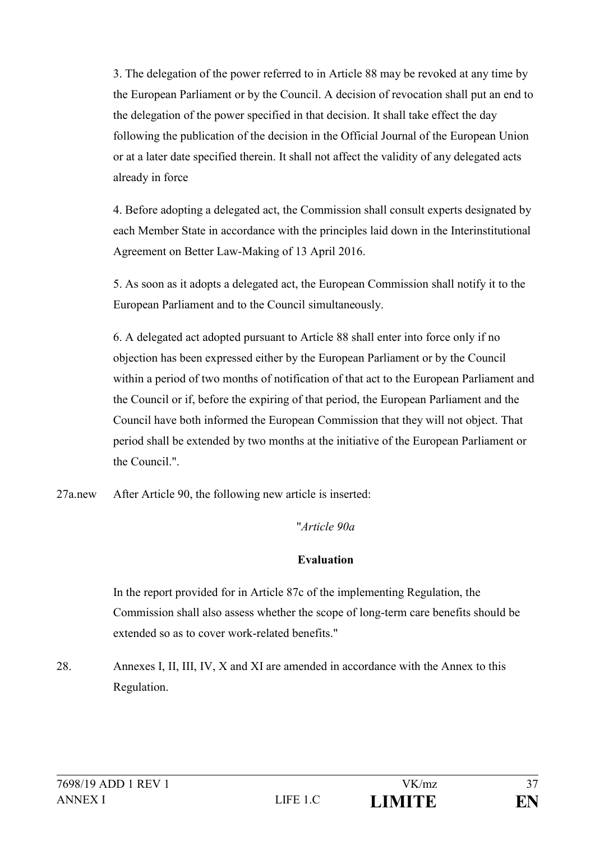3. The delegation of the power referred to in Article 88 may be revoked at any time by the European Parliament or by the Council. A decision of revocation shall put an end to the delegation of the power specified in that decision. It shall take effect the day following the publication of the decision in the Official Journal of the European Union or at a later date specified therein. It shall not affect the validity of any delegated acts already in force

4. Before adopting a delegated act, the Commission shall consult experts designated by each Member State in accordance with the principles laid down in the Interinstitutional Agreement on Better Law-Making of 13 April 2016.

5. As soon as it adopts a delegated act, the European Commission shall notify it to the European Parliament and to the Council simultaneously.

6. A delegated act adopted pursuant to Article 88 shall enter into force only if no objection has been expressed either by the European Parliament or by the Council within a period of two months of notification of that act to the European Parliament and the Council or if, before the expiring of that period, the European Parliament and the Council have both informed the European Commission that they will not object. That period shall be extended by two months at the initiative of the European Parliament or the Council."

27a.new After Article 90, the following new article is inserted:

"*Article 90a*

### **Evaluation**

In the report provided for in Article 87c of the implementing Regulation, the Commission shall also assess whether the scope of long-term care benefits should be extended so as to cover work-related benefits."

28. Annexes I, II, III, IV, X and XI are amended in accordance with the Annex to this Regulation.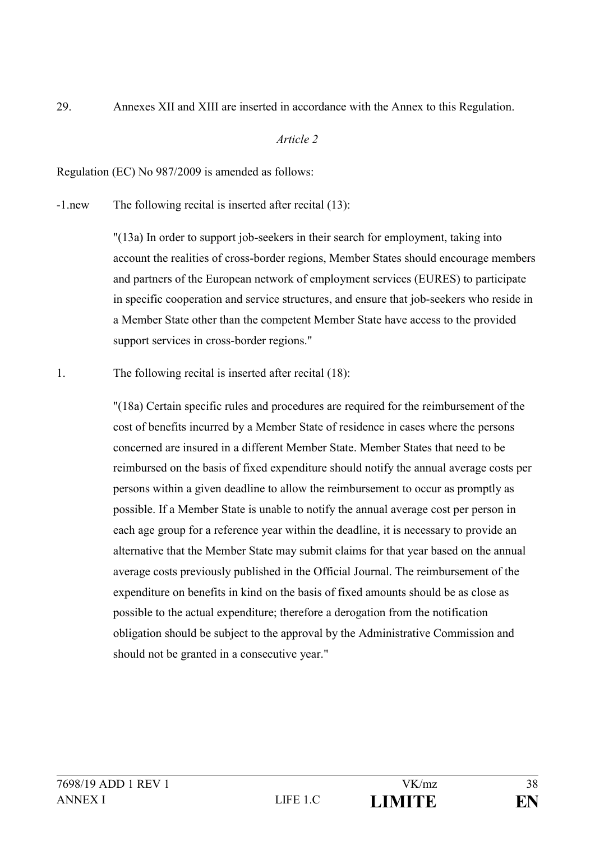29. Annexes XII and XIII are inserted in accordance with the Annex to this Regulation.

#### *Article 2*

Regulation (EC) No 987/2009 is amended as follows:

-1.new The following recital is inserted after recital (13):

"(13a) In order to support job-seekers in their search for employment, taking into account the realities of cross-border regions, Member States should encourage members and partners of the European network of employment services (EURES) to participate in specific cooperation and service structures, and ensure that job-seekers who reside in a Member State other than the competent Member State have access to the provided support services in cross-border regions."

1. The following recital is inserted after recital (18):

"(18a) Certain specific rules and procedures are required for the reimbursement of the cost of benefits incurred by a Member State of residence in cases where the persons concerned are insured in a different Member State. Member States that need to be reimbursed on the basis of fixed expenditure should notify the annual average costs per persons within a given deadline to allow the reimbursement to occur as promptly as possible. If a Member State is unable to notify the annual average cost per person in each age group for a reference year within the deadline, it is necessary to provide an alternative that the Member State may submit claims for that year based on the annual average costs previously published in the Official Journal. The reimbursement of the expenditure on benefits in kind on the basis of fixed amounts should be as close as possible to the actual expenditure; therefore a derogation from the notification obligation should be subject to the approval by the Administrative Commission and should not be granted in a consecutive year."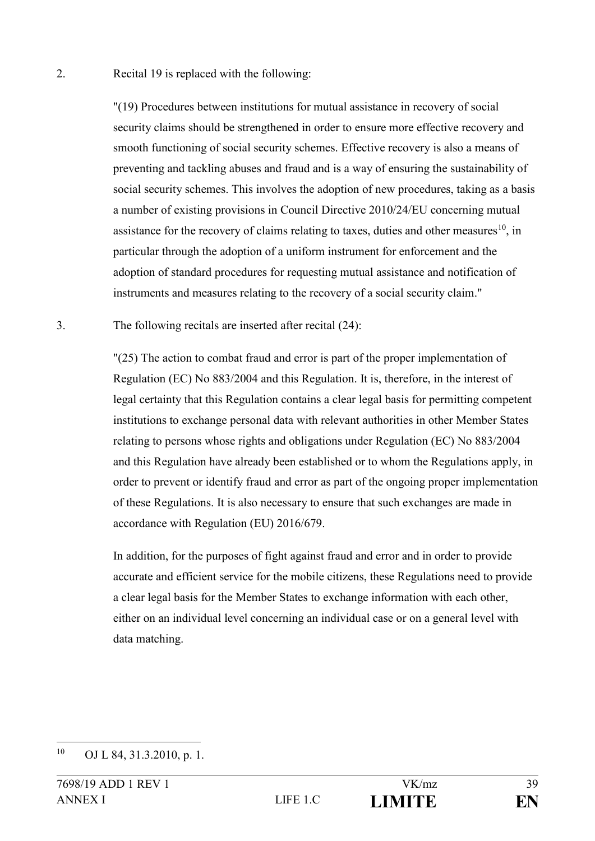2. Recital 19 is replaced with the following:

"(19) Procedures between institutions for mutual assistance in recovery of social security claims should be strengthened in order to ensure more effective recovery and smooth functioning of social security schemes. Effective recovery is also a means of preventing and tackling abuses and fraud and is a way of ensuring the sustainability of social security schemes. This involves the adoption of new procedures, taking as a basis a number of existing provisions in Council Directive 2010/24/EU concerning mutual assistance for the recovery of claims relating to taxes, duties and other measures<sup>10</sup>, in particular through the adoption of a uniform instrument for enforcement and the adoption of standard procedures for requesting mutual assistance and notification of instruments and measures relating to the recovery of a social security claim."

3. The following recitals are inserted after recital (24):

"(25) The action to combat fraud and error is part of the proper implementation of Regulation (EC) No 883/2004 and this Regulation. It is, therefore, in the interest of legal certainty that this Regulation contains a clear legal basis for permitting competent institutions to exchange personal data with relevant authorities in other Member States relating to persons whose rights and obligations under Regulation (EC) No 883/2004 and this Regulation have already been established or to whom the Regulations apply, in order to prevent or identify fraud and error as part of the ongoing proper implementation of these Regulations. It is also necessary to ensure that such exchanges are made in accordance with Regulation (EU) 2016/679.

In addition, for the purposes of fight against fraud and error and in order to provide accurate and efficient service for the mobile citizens, these Regulations need to provide a clear legal basis for the Member States to exchange information with each other, either on an individual level concerning an individual case or on a general level with data matching.

 $10$ OJ L 84, 31.3.2010, p. 1.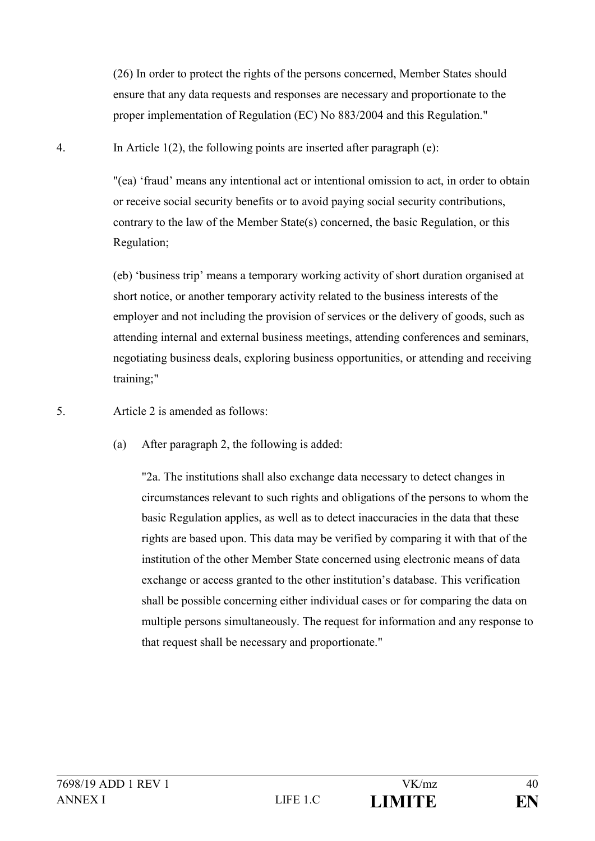(26) In order to protect the rights of the persons concerned, Member States should ensure that any data requests and responses are necessary and proportionate to the proper implementation of Regulation (EC) No 883/2004 and this Regulation."

4. In Article 1(2), the following points are inserted after paragraph (e):

"(ea) 'fraud' means any intentional act or intentional omission to act, in order to obtain or receive social security benefits or to avoid paying social security contributions, contrary to the law of the Member State(s) concerned, the basic Regulation, or this Regulation;

(eb) 'business trip' means a temporary working activity of short duration organised at short notice, or another temporary activity related to the business interests of the employer and not including the provision of services or the delivery of goods, such as attending internal and external business meetings, attending conferences and seminars, negotiating business deals, exploring business opportunities, or attending and receiving training;"

5. Article 2 is amended as follows:

(a) After paragraph 2, the following is added:

"2a. The institutions shall also exchange data necessary to detect changes in circumstances relevant to such rights and obligations of the persons to whom the basic Regulation applies, as well as to detect inaccuracies in the data that these rights are based upon. This data may be verified by comparing it with that of the institution of the other Member State concerned using electronic means of data exchange or access granted to the other institution's database. This verification shall be possible concerning either individual cases or for comparing the data on multiple persons simultaneously. The request for information and any response to that request shall be necessary and proportionate."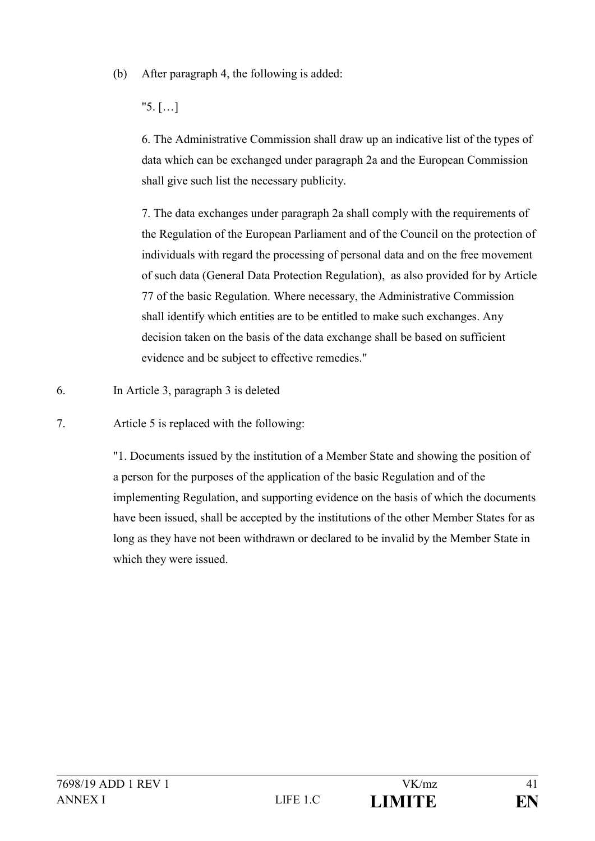(b) After paragraph 4, the following is added:

"5. […]

6. The Administrative Commission shall draw up an indicative list of the types of data which can be exchanged under paragraph 2a and the European Commission shall give such list the necessary publicity.

7. The data exchanges under paragraph 2a shall comply with the requirements of the Regulation of the European Parliament and of the Council on the protection of individuals with regard the processing of personal data and on the free movement of such data (General Data Protection Regulation), as also provided for by Article 77 of the basic Regulation. Where necessary, the Administrative Commission shall identify which entities are to be entitled to make such exchanges. Any decision taken on the basis of the data exchange shall be based on sufficient evidence and be subject to effective remedies."

6. In Article 3, paragraph 3 is deleted

7. Article 5 is replaced with the following:

"1. Documents issued by the institution of a Member State and showing the position of a person for the purposes of the application of the basic Regulation and of the implementing Regulation, and supporting evidence on the basis of which the documents have been issued, shall be accepted by the institutions of the other Member States for as long as they have not been withdrawn or declared to be invalid by the Member State in which they were issued.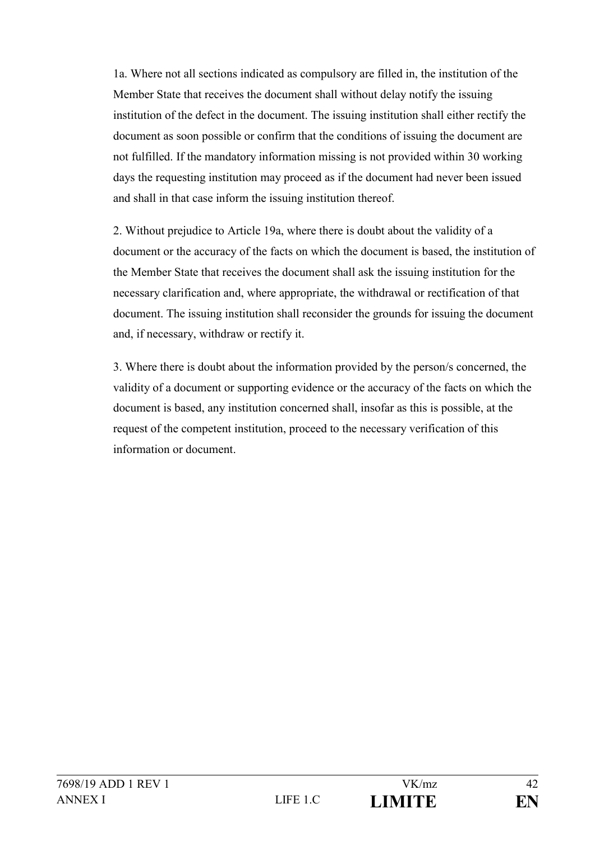1a. Where not all sections indicated as compulsory are filled in, the institution of the Member State that receives the document shall without delay notify the issuing institution of the defect in the document. The issuing institution shall either rectify the document as soon possible or confirm that the conditions of issuing the document are not fulfilled. If the mandatory information missing is not provided within 30 working days the requesting institution may proceed as if the document had never been issued and shall in that case inform the issuing institution thereof.

2. Without prejudice to Article 19a, where there is doubt about the validity of a document or the accuracy of the facts on which the document is based, the institution of the Member State that receives the document shall ask the issuing institution for the necessary clarification and, where appropriate, the withdrawal or rectification of that document. The issuing institution shall reconsider the grounds for issuing the document and, if necessary, withdraw or rectify it.

3. Where there is doubt about the information provided by the person/s concerned, the validity of a document or supporting evidence or the accuracy of the facts on which the document is based, any institution concerned shall, insofar as this is possible, at the request of the competent institution, proceed to the necessary verification of this information or document.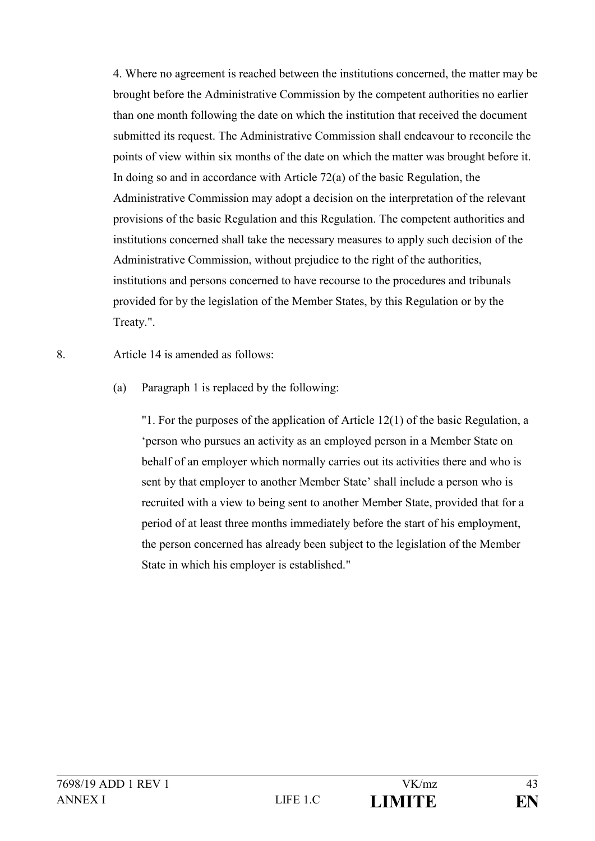4. Where no agreement is reached between the institutions concerned, the matter may be brought before the Administrative Commission by the competent authorities no earlier than one month following the date on which the institution that received the document submitted its request. The Administrative Commission shall endeavour to reconcile the points of view within six months of the date on which the matter was brought before it. In doing so and in accordance with Article 72(a) of the basic Regulation, the Administrative Commission may adopt a decision on the interpretation of the relevant provisions of the basic Regulation and this Regulation. The competent authorities and institutions concerned shall take the necessary measures to apply such decision of the Administrative Commission, without prejudice to the right of the authorities, institutions and persons concerned to have recourse to the procedures and tribunals provided for by the legislation of the Member States, by this Regulation or by the Treaty.".

8. Article 14 is amended as follows:

(a) Paragraph 1 is replaced by the following:

"1. For the purposes of the application of Article 12(1) of the basic Regulation, a 'person who pursues an activity as an employed person in a Member State on behalf of an employer which normally carries out its activities there and who is sent by that employer to another Member State' shall include a person who is recruited with a view to being sent to another Member State, provided that for a period of at least three months immediately before the start of his employment, the person concerned has already been subject to the legislation of the Member State in which his employer is established."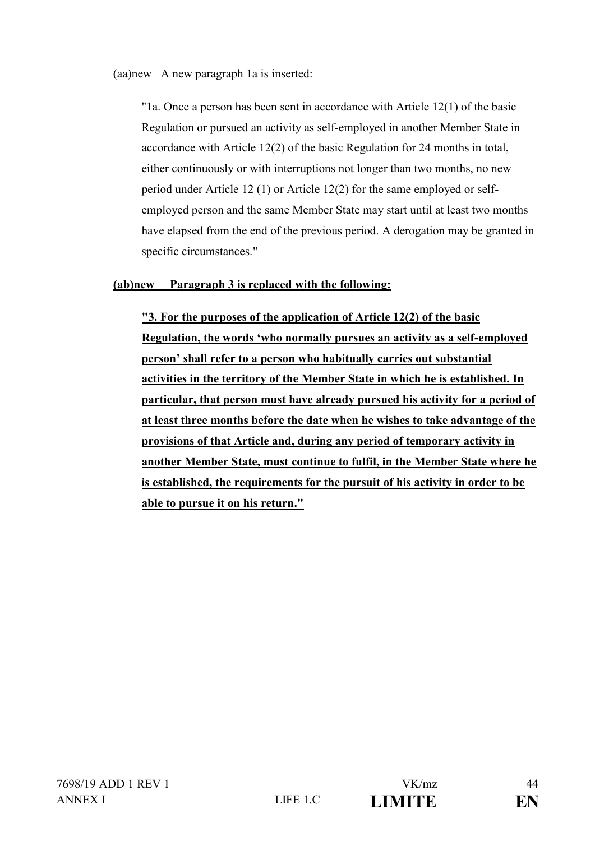(aa)new A new paragraph 1a is inserted:

"1a. Once a person has been sent in accordance with Article 12(1) of the basic Regulation or pursued an activity as self-employed in another Member State in accordance with Article 12(2) of the basic Regulation for 24 months in total, either continuously or with interruptions not longer than two months, no new period under Article 12 (1) or Article 12(2) for the same employed or selfemployed person and the same Member State may start until at least two months have elapsed from the end of the previous period. A derogation may be granted in specific circumstances."

## **(ab)new Paragraph 3 is replaced with the following:**

**"3. For the purposes of the application of Article 12(2) of the basic Regulation, the words 'who normally pursues an activity as a self-employed person' shall refer to a person who habitually carries out substantial activities in the territory of the Member State in which he is established. In particular, that person must have already pursued his activity for a period of at least three months before the date when he wishes to take advantage of the provisions of that Article and, during any period of temporary activity in another Member State, must continue to fulfil, in the Member State where he is established, the requirements for the pursuit of his activity in order to be able to pursue it on his return."**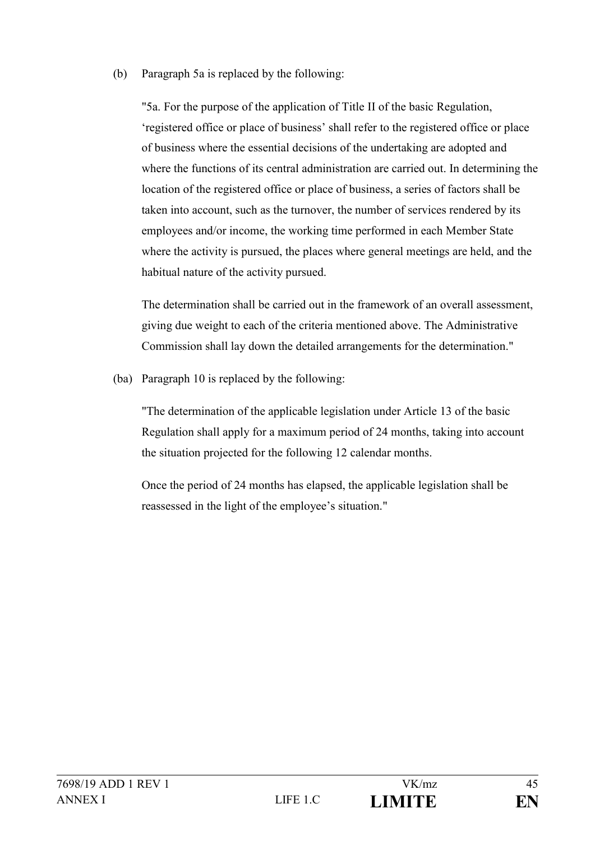(b) Paragraph 5a is replaced by the following:

"5a. For the purpose of the application of Title II of the basic Regulation, 'registered office or place of business' shall refer to the registered office or place of business where the essential decisions of the undertaking are adopted and where the functions of its central administration are carried out. In determining the location of the registered office or place of business, a series of factors shall be taken into account, such as the turnover, the number of services rendered by its employees and/or income, the working time performed in each Member State where the activity is pursued, the places where general meetings are held, and the habitual nature of the activity pursued.

The determination shall be carried out in the framework of an overall assessment, giving due weight to each of the criteria mentioned above. The Administrative Commission shall lay down the detailed arrangements for the determination."

(ba) Paragraph 10 is replaced by the following:

"The determination of the applicable legislation under Article 13 of the basic Regulation shall apply for a maximum period of 24 months, taking into account the situation projected for the following 12 calendar months.

Once the period of 24 months has elapsed, the applicable legislation shall be reassessed in the light of the employee's situation."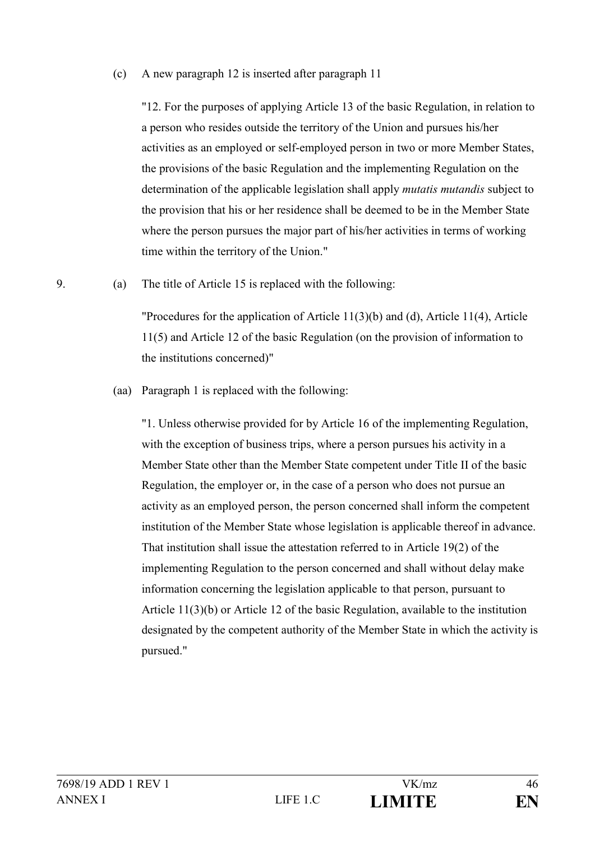#### (c) A new paragraph 12 is inserted after paragraph 11

"12. For the purposes of applying Article 13 of the basic Regulation, in relation to a person who resides outside the territory of the Union and pursues his/her activities as an employed or self-employed person in two or more Member States, the provisions of the basic Regulation and the implementing Regulation on the determination of the applicable legislation shall apply *mutatis mutandis* subject to the provision that his or her residence shall be deemed to be in the Member State where the person pursues the major part of his/her activities in terms of working time within the territory of the Union."

9. (a) The title of Article 15 is replaced with the following:

"Procedures for the application of Article 11(3)(b) and (d), Article 11(4), Article 11(5) and Article 12 of the basic Regulation (on the provision of information to the institutions concerned)"

(aa) Paragraph 1 is replaced with the following:

"1. Unless otherwise provided for by Article 16 of the implementing Regulation, with the exception of business trips, where a person pursues his activity in a Member State other than the Member State competent under Title II of the basic Regulation, the employer or, in the case of a person who does not pursue an activity as an employed person, the person concerned shall inform the competent institution of the Member State whose legislation is applicable thereof in advance. That institution shall issue the attestation referred to in Article 19(2) of the implementing Regulation to the person concerned and shall without delay make information concerning the legislation applicable to that person, pursuant to Article 11(3)(b) or Article 12 of the basic Regulation, available to the institution designated by the competent authority of the Member State in which the activity is pursued."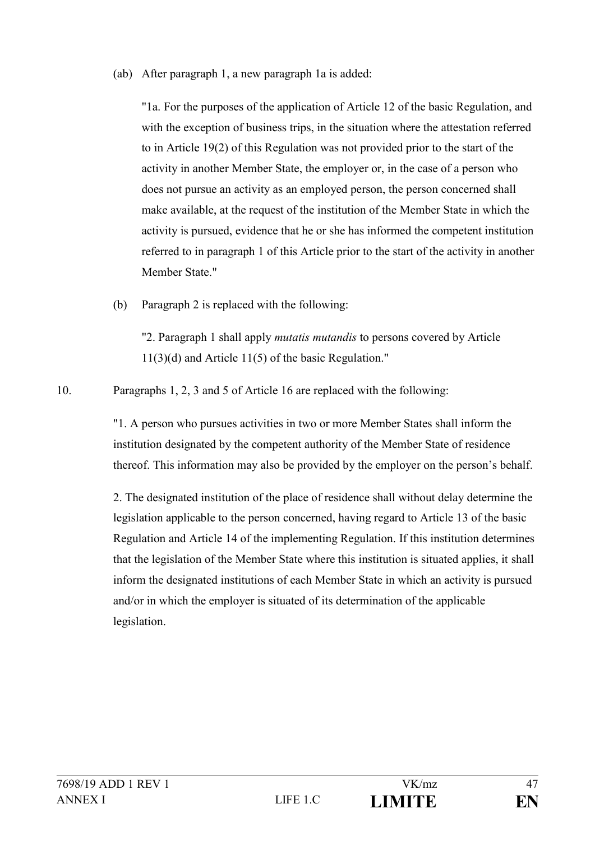(ab) After paragraph 1, a new paragraph 1a is added:

"1a. For the purposes of the application of Article 12 of the basic Regulation, and with the exception of business trips, in the situation where the attestation referred to in Article 19(2) of this Regulation was not provided prior to the start of the activity in another Member State, the employer or, in the case of a person who does not pursue an activity as an employed person, the person concerned shall make available, at the request of the institution of the Member State in which the activity is pursued, evidence that he or she has informed the competent institution referred to in paragraph 1 of this Article prior to the start of the activity in another Member State."

(b) Paragraph 2 is replaced with the following:

"2. Paragraph 1 shall apply *mutatis mutandis* to persons covered by Article 11(3)(d) and Article 11(5) of the basic Regulation."

10. Paragraphs 1, 2, 3 and 5 of Article 16 are replaced with the following:

"1. A person who pursues activities in two or more Member States shall inform the institution designated by the competent authority of the Member State of residence thereof. This information may also be provided by the employer on the person's behalf.

2. The designated institution of the place of residence shall without delay determine the legislation applicable to the person concerned, having regard to Article 13 of the basic Regulation and Article 14 of the implementing Regulation. If this institution determines that the legislation of the Member State where this institution is situated applies, it shall inform the designated institutions of each Member State in which an activity is pursued and/or in which the employer is situated of its determination of the applicable legislation.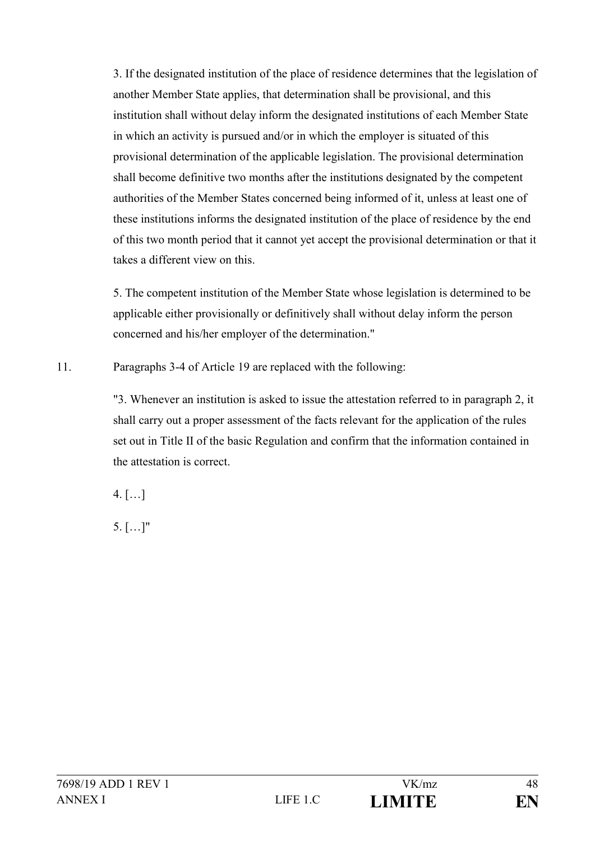3. If the designated institution of the place of residence determines that the legislation of another Member State applies, that determination shall be provisional, and this institution shall without delay inform the designated institutions of each Member State in which an activity is pursued and/or in which the employer is situated of this provisional determination of the applicable legislation. The provisional determination shall become definitive two months after the institutions designated by the competent authorities of the Member States concerned being informed of it, unless at least one of these institutions informs the designated institution of the place of residence by the end of this two month period that it cannot yet accept the provisional determination or that it takes a different view on this.

5. The competent institution of the Member State whose legislation is determined to be applicable either provisionally or definitively shall without delay inform the person concerned and his/her employer of the determination."

11. Paragraphs 3-4 of Article 19 are replaced with the following:

"3. Whenever an institution is asked to issue the attestation referred to in paragraph 2, it shall carry out a proper assessment of the facts relevant for the application of the rules set out in Title II of the basic Regulation and confirm that the information contained in the attestation is correct.

 $4.$  [...]

5. […]"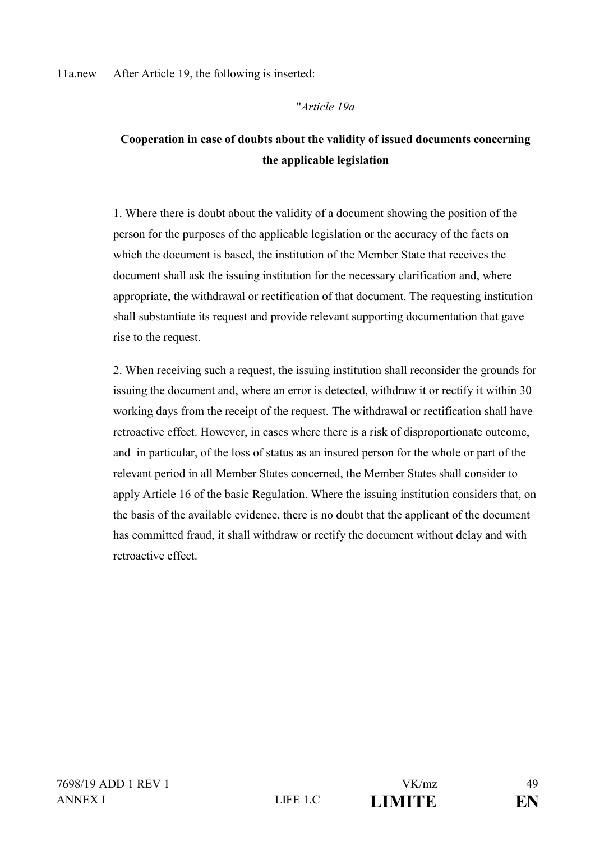11a.new After Article 19, the following is inserted:

#### "*Article 19a*

## **Cooperation in case of doubts about the validity of issued documents concerning the applicable legislation**

1. Where there is doubt about the validity of a document showing the position of the person for the purposes of the applicable legislation or the accuracy of the facts on which the document is based, the institution of the Member State that receives the document shall ask the issuing institution for the necessary clarification and, where appropriate, the withdrawal or rectification of that document. The requesting institution shall substantiate its request and provide relevant supporting documentation that gave rise to the request.

2. When receiving such a request, the issuing institution shall reconsider the grounds for issuing the document and, where an error is detected, withdraw it or rectify it within 30 working days from the receipt of the request. The withdrawal or rectification shall have retroactive effect. However, in cases where there is a risk of disproportionate outcome, and in particular, of the loss of status as an insured person for the whole or part of the relevant period in all Member States concerned, the Member States shall consider to apply Article 16 of the basic Regulation. Where the issuing institution considers that, on the basis of the available evidence, there is no doubt that the applicant of the document has committed fraud, it shall withdraw or rectify the document without delay and with retroactive effect.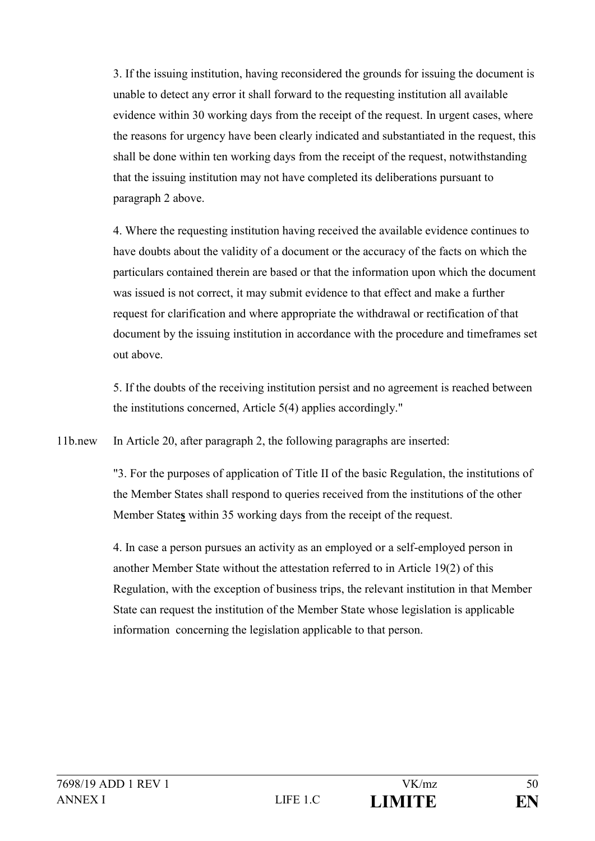3. If the issuing institution, having reconsidered the grounds for issuing the document is unable to detect any error it shall forward to the requesting institution all available evidence within 30 working days from the receipt of the request. In urgent cases, where the reasons for urgency have been clearly indicated and substantiated in the request, this shall be done within ten working days from the receipt of the request, notwithstanding that the issuing institution may not have completed its deliberations pursuant to paragraph 2 above.

4. Where the requesting institution having received the available evidence continues to have doubts about the validity of a document or the accuracy of the facts on which the particulars contained therein are based or that the information upon which the document was issued is not correct, it may submit evidence to that effect and make a further request for clarification and where appropriate the withdrawal or rectification of that document by the issuing institution in accordance with the procedure and timeframes set out above.

5. If the doubts of the receiving institution persist and no agreement is reached between the institutions concerned, Article 5(4) applies accordingly."

11b.new In Article 20, after paragraph 2, the following paragraphs are inserted:

"3. For the purposes of application of Title II of the basic Regulation, the institutions of the Member States shall respond to queries received from the institutions of the other Member State**s** within 35 working days from the receipt of the request.

4. In case a person pursues an activity as an employed or a self-employed person in another Member State without the attestation referred to in Article 19(2) of this Regulation, with the exception of business trips, the relevant institution in that Member State can request the institution of the Member State whose legislation is applicable information concerning the legislation applicable to that person.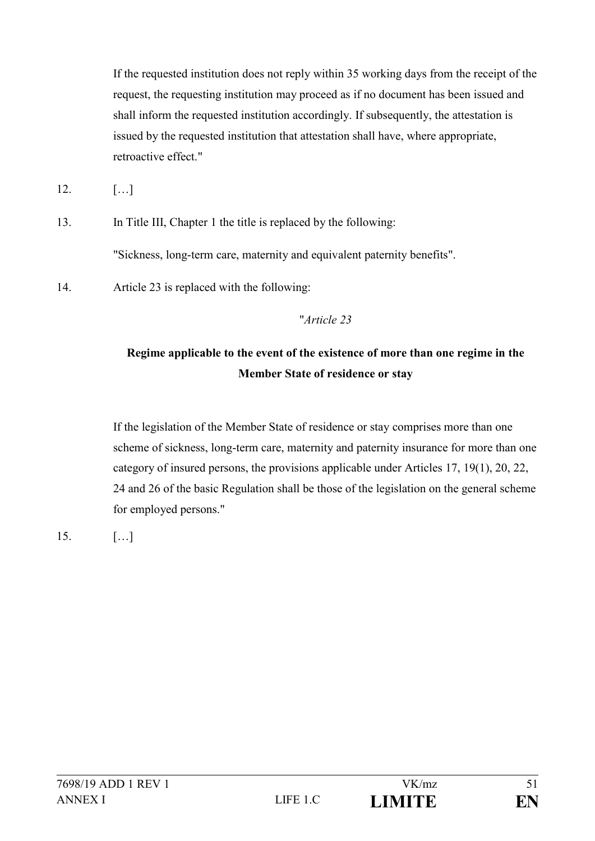If the requested institution does not reply within 35 working days from the receipt of the request, the requesting institution may proceed as if no document has been issued and shall inform the requested institution accordingly. If subsequently, the attestation is issued by the requested institution that attestation shall have, where appropriate, retroactive effect."

12. […]

13. In Title III, Chapter 1 the title is replaced by the following:

"Sickness, long-term care, maternity and equivalent paternity benefits".

14. Article 23 is replaced with the following:

## "*Article 23*

# **Regime applicable to the event of the existence of more than one regime in the Member State of residence or stay**

If the legislation of the Member State of residence or stay comprises more than one scheme of sickness, long-term care, maternity and paternity insurance for more than one category of insured persons, the provisions applicable under Articles 17, 19(1), 20, 22, 24 and 26 of the basic Regulation shall be those of the legislation on the general scheme for employed persons."

15. […]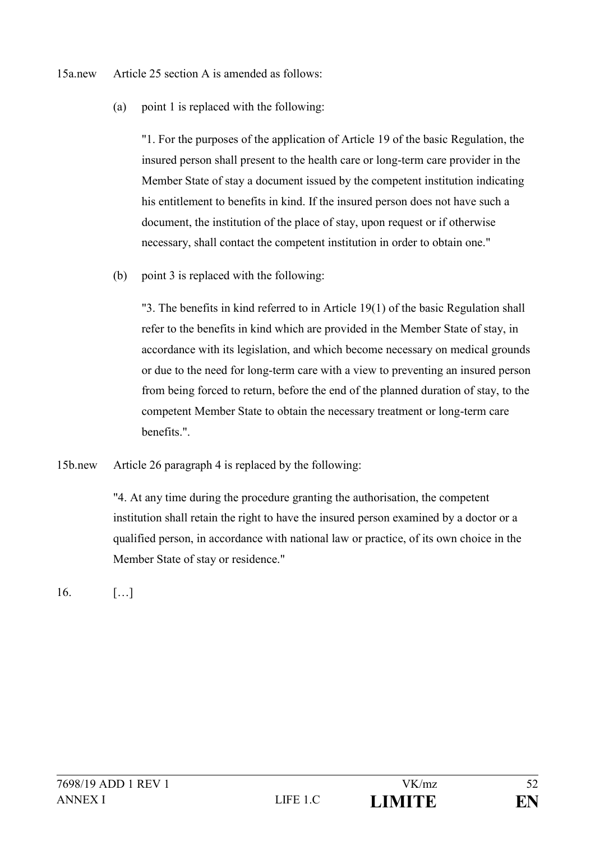15a.new Article 25 section A is amended as follows:

(a) point 1 is replaced with the following:

"1. For the purposes of the application of Article 19 of the basic Regulation, the insured person shall present to the health care or long-term care provider in the Member State of stay a document issued by the competent institution indicating his entitlement to benefits in kind. If the insured person does not have such a document, the institution of the place of stay, upon request or if otherwise necessary, shall contact the competent institution in order to obtain one."

(b) point 3 is replaced with the following:

"3. The benefits in kind referred to in Article 19(1) of the basic Regulation shall refer to the benefits in kind which are provided in the Member State of stay, in accordance with its legislation, and which become necessary on medical grounds or due to the need for long-term care with a view to preventing an insured person from being forced to return, before the end of the planned duration of stay, to the competent Member State to obtain the necessary treatment or long-term care benefits.".

15b.new Article 26 paragraph 4 is replaced by the following:

"4. At any time during the procedure granting the authorisation, the competent institution shall retain the right to have the insured person examined by a doctor or a qualified person, in accordance with national law or practice, of its own choice in the Member State of stay or residence."

16. […]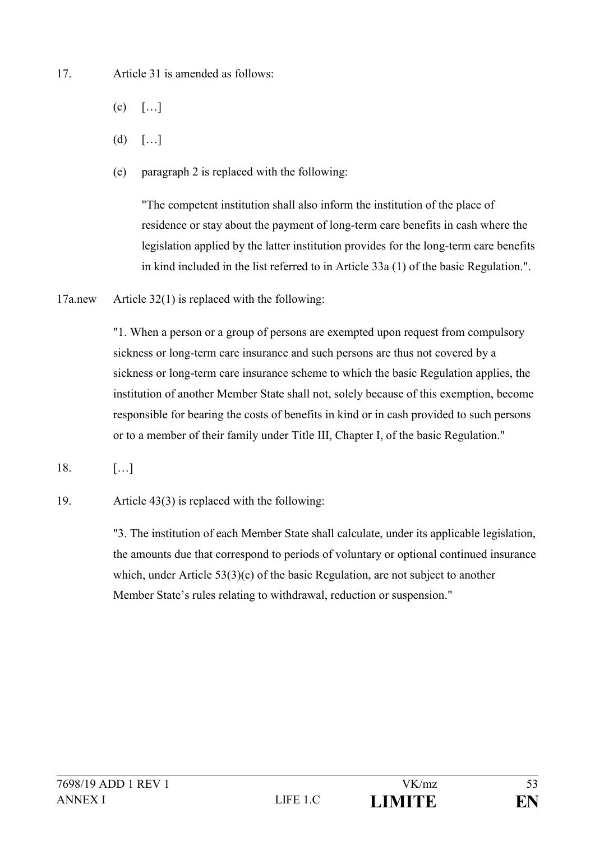17. Article 31 is amended as follows:

- $(c)$  [...]
- $(d)$   $[...]$
- (e) paragraph 2 is replaced with the following:

"The competent institution shall also inform the institution of the place of residence or stay about the payment of long-term care benefits in cash where the legislation applied by the latter institution provides for the long-term care benefits in kind included in the list referred to in Article 33a (1) of the basic Regulation.".

17a.new Article 32(1) is replaced with the following:

"1. When a person or a group of persons are exempted upon request from compulsory sickness or long-term care insurance and such persons are thus not covered by a sickness or long-term care insurance scheme to which the basic Regulation applies, the institution of another Member State shall not, solely because of this exemption, become responsible for bearing the costs of benefits in kind or in cash provided to such persons or to a member of their family under Title III, Chapter I, of the basic Regulation."

- 18. […]
- 19. Article 43(3) is replaced with the following:

"3. The institution of each Member State shall calculate, under its applicable legislation, the amounts due that correspond to periods of voluntary or optional continued insurance which, under Article 53(3)(c) of the basic Regulation, are not subject to another Member State's rules relating to withdrawal, reduction or suspension."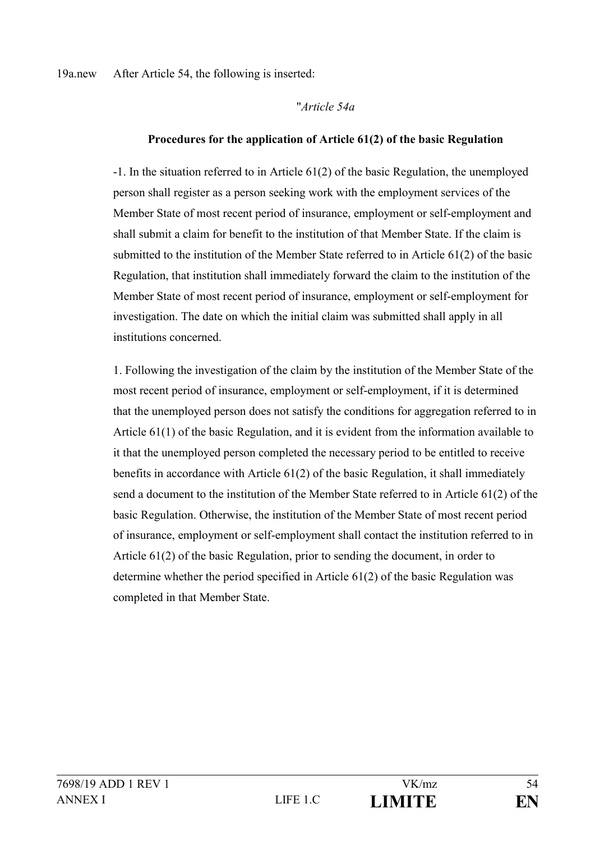19a.new After Article 54, the following is inserted:

#### "*Article 54a*

### **Procedures for the application of Article 61(2) of the basic Regulation**

-1. In the situation referred to in Article 61(2) of the basic Regulation, the unemployed person shall register as a person seeking work with the employment services of the Member State of most recent period of insurance, employment or self-employment and shall submit a claim for benefit to the institution of that Member State. If the claim is submitted to the institution of the Member State referred to in Article 61(2) of the basic Regulation, that institution shall immediately forward the claim to the institution of the Member State of most recent period of insurance, employment or self-employment for investigation. The date on which the initial claim was submitted shall apply in all institutions concerned.

1. Following the investigation of the claim by the institution of the Member State of the most recent period of insurance, employment or self-employment, if it is determined that the unemployed person does not satisfy the conditions for aggregation referred to in Article 61(1) of the basic Regulation, and it is evident from the information available to it that the unemployed person completed the necessary period to be entitled to receive benefits in accordance with Article 61(2) of the basic Regulation, it shall immediately send a document to the institution of the Member State referred to in Article 61(2) of the basic Regulation. Otherwise, the institution of the Member State of most recent period of insurance, employment or self-employment shall contact the institution referred to in Article 61(2) of the basic Regulation, prior to sending the document, in order to determine whether the period specified in Article 61(2) of the basic Regulation was completed in that Member State.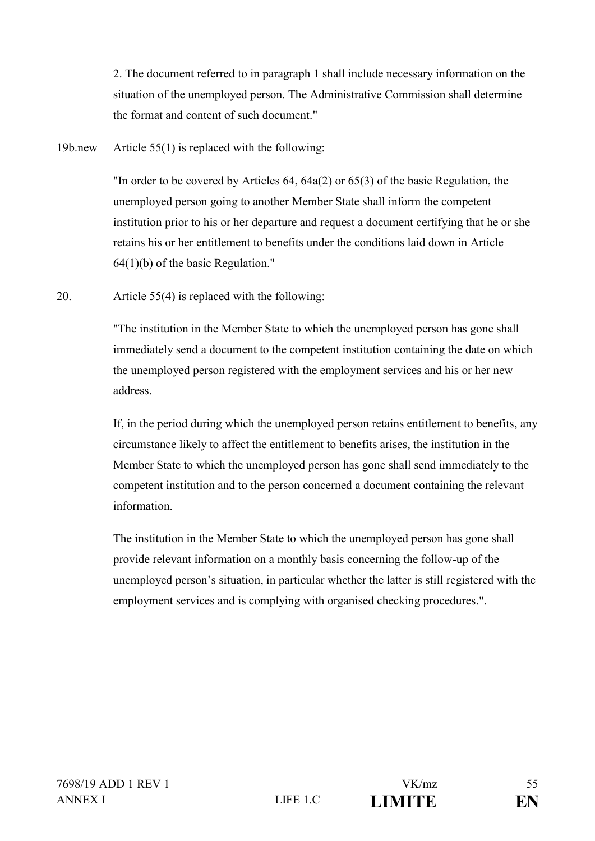2. The document referred to in paragraph 1 shall include necessary information on the situation of the unemployed person. The Administrative Commission shall determine the format and content of such document."

19b.new Article 55(1) is replaced with the following:

"In order to be covered by Articles 64, 64a(2) or 65(3) of the basic Regulation, the unemployed person going to another Member State shall inform the competent institution prior to his or her departure and request a document certifying that he or she retains his or her entitlement to benefits under the conditions laid down in Article 64(1)(b) of the basic Regulation."

20. Article 55(4) is replaced with the following:

"The institution in the Member State to which the unemployed person has gone shall immediately send a document to the competent institution containing the date on which the unemployed person registered with the employment services and his or her new address.

If, in the period during which the unemployed person retains entitlement to benefits, any circumstance likely to affect the entitlement to benefits arises, the institution in the Member State to which the unemployed person has gone shall send immediately to the competent institution and to the person concerned a document containing the relevant information.

The institution in the Member State to which the unemployed person has gone shall provide relevant information on a monthly basis concerning the follow-up of the unemployed person's situation, in particular whether the latter is still registered with the employment services and is complying with organised checking procedures.".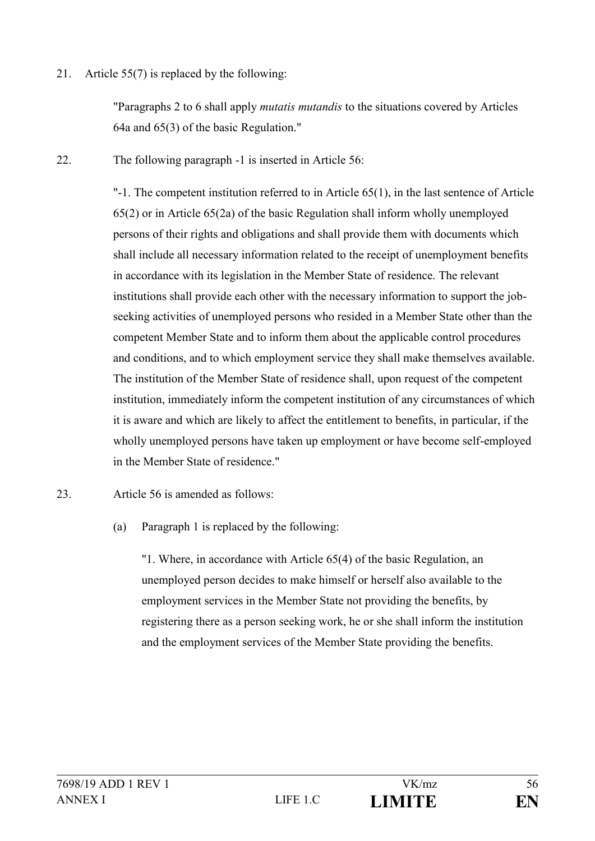21. Article 55(7) is replaced by the following:

"Paragraphs 2 to 6 shall apply *mutatis mutandis* to the situations covered by Articles 64a and 65(3) of the basic Regulation."

22. The following paragraph -1 is inserted in Article 56:

"-1. The competent institution referred to in Article 65(1), in the last sentence of Article 65(2) or in Article 65(2a) of the basic Regulation shall inform wholly unemployed persons of their rights and obligations and shall provide them with documents which shall include all necessary information related to the receipt of unemployment benefits in accordance with its legislation in the Member State of residence. The relevant institutions shall provide each other with the necessary information to support the jobseeking activities of unemployed persons who resided in a Member State other than the competent Member State and to inform them about the applicable control procedures and conditions, and to which employment service they shall make themselves available. The institution of the Member State of residence shall, upon request of the competent institution, immediately inform the competent institution of any circumstances of which it is aware and which are likely to affect the entitlement to benefits, in particular, if the wholly unemployed persons have taken up employment or have become self-employed in the Member State of residence."

- 23. Article 56 is amended as follows:
	- (a) Paragraph 1 is replaced by the following:

"1. Where, in accordance with Article 65(4) of the basic Regulation, an unemployed person decides to make himself or herself also available to the employment services in the Member State not providing the benefits, by registering there as a person seeking work, he or she shall inform the institution and the employment services of the Member State providing the benefits.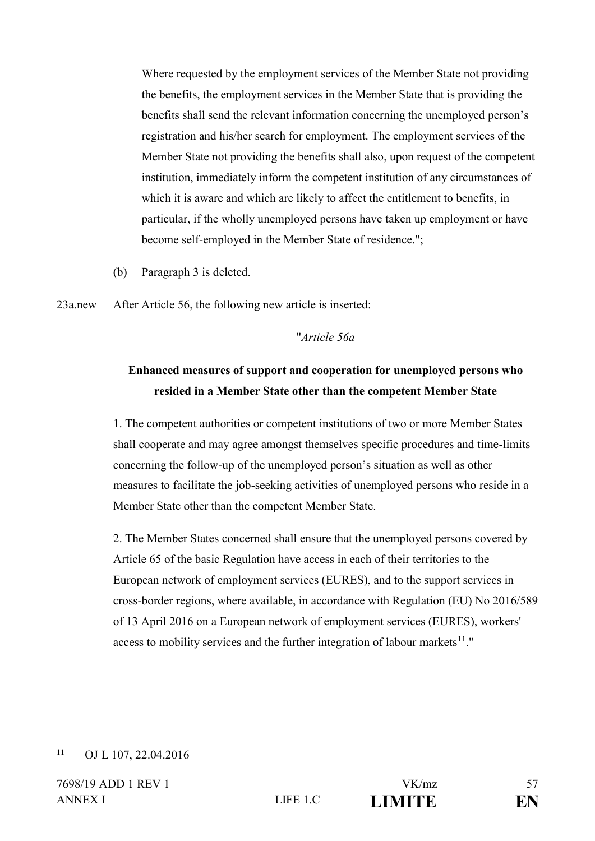Where requested by the employment services of the Member State not providing the benefits, the employment services in the Member State that is providing the benefits shall send the relevant information concerning the unemployed person's registration and his/her search for employment. The employment services of the Member State not providing the benefits shall also, upon request of the competent institution, immediately inform the competent institution of any circumstances of which it is aware and which are likely to affect the entitlement to benefits, in particular, if the wholly unemployed persons have taken up employment or have become self-employed in the Member State of residence.";

(b) Paragraph 3 is deleted.

23a.new After Article 56, the following new article is inserted:

### "*Article 56a*

# **Enhanced measures of support and cooperation for unemployed persons who resided in a Member State other than the competent Member State**

1. The competent authorities or competent institutions of two or more Member States shall cooperate and may agree amongst themselves specific procedures and time-limits concerning the follow-up of the unemployed person's situation as well as other measures to facilitate the job-seeking activities of unemployed persons who reside in a Member State other than the competent Member State.

2. The Member States concerned shall ensure that the unemployed persons covered by Article 65 of the basic Regulation have access in each of their territories to the European network of employment services (EURES), and to the support services in cross-border regions, where available, in accordance with Regulation (EU) No 2016/589 of 13 April 2016 on a European network of employment services (EURES), workers' access to mobility services and the further integration of labour markets $11$ ."

<sup>1</sup> **<sup>11</sup>** OJ L 107, 22.04.2016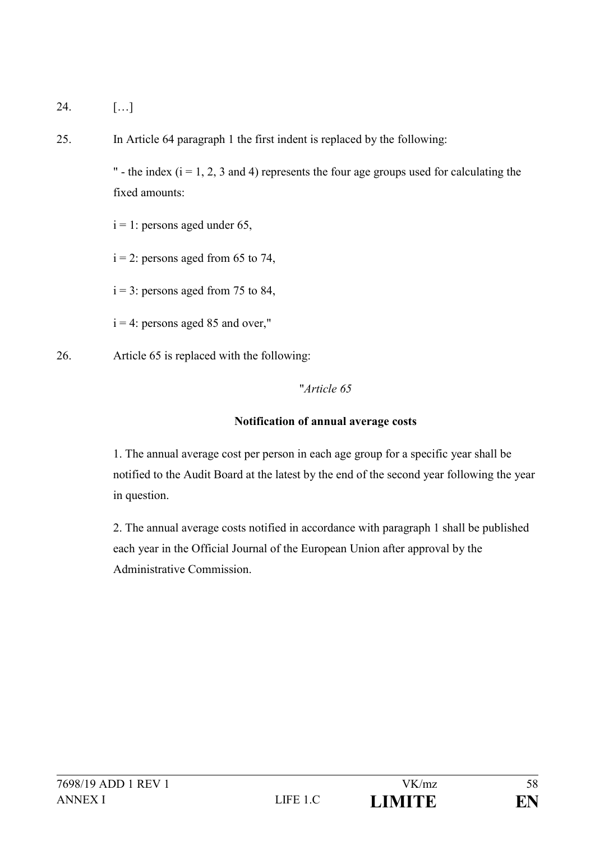24. […]

25. In Article 64 paragraph 1 the first indent is replaced by the following:

" - the index  $(i = 1, 2, 3$  and 4) represents the four age groups used for calculating the fixed amounts:

 $i = 1$ : persons aged under 65,

 $i = 2$ : persons aged from 65 to 74,

 $i = 3$ : persons aged from 75 to 84,

 $i = 4$ : persons aged 85 and over,"

26. Article 65 is replaced with the following:

## "*Article 65*

## **Notification of annual average costs**

1. The annual average cost per person in each age group for a specific year shall be notified to the Audit Board at the latest by the end of the second year following the year in question.

2. The annual average costs notified in accordance with paragraph 1 shall be published each year in the Official Journal of the European Union after approval by the Administrative Commission.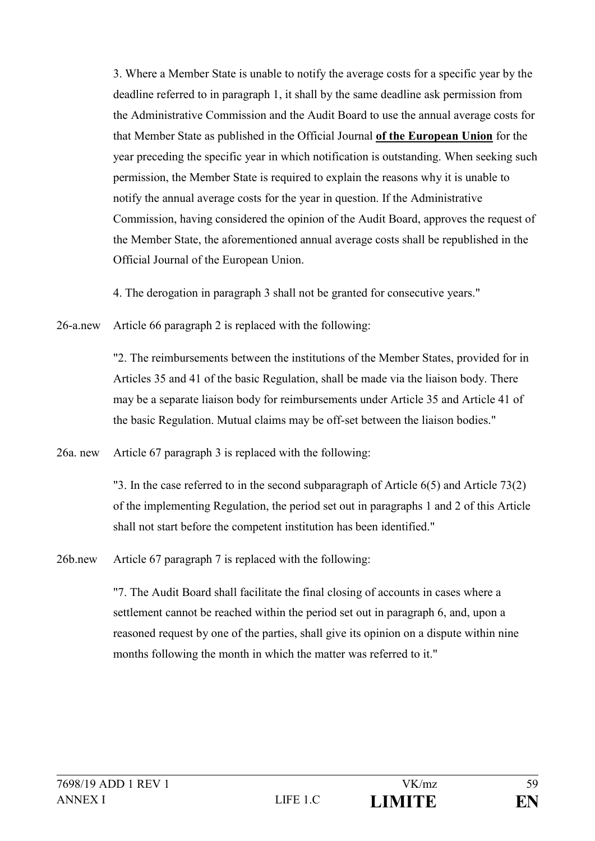3. Where a Member State is unable to notify the average costs for a specific year by the deadline referred to in paragraph 1, it shall by the same deadline ask permission from the Administrative Commission and the Audit Board to use the annual average costs for that Member State as published in the Official Journal **of the European Union** for the year preceding the specific year in which notification is outstanding. When seeking such permission, the Member State is required to explain the reasons why it is unable to notify the annual average costs for the year in question. If the Administrative Commission, having considered the opinion of the Audit Board, approves the request of the Member State, the aforementioned annual average costs shall be republished in the Official Journal of the European Union.

4. The derogation in paragraph 3 shall not be granted for consecutive years."

26-a.new Article 66 paragraph 2 is replaced with the following:

"2. The reimbursements between the institutions of the Member States, provided for in Articles 35 and 41 of the basic Regulation, shall be made via the liaison body. There may be a separate liaison body for reimbursements under Article 35 and Article 41 of the basic Regulation. Mutual claims may be off-set between the liaison bodies."

26a. new Article 67 paragraph 3 is replaced with the following:

"3. In the case referred to in the second subparagraph of Article 6(5) and Article 73(2) of the implementing Regulation, the period set out in paragraphs 1 and 2 of this Article shall not start before the competent institution has been identified."

26b.new Article 67 paragraph 7 is replaced with the following:

"7. The Audit Board shall facilitate the final closing of accounts in cases where a settlement cannot be reached within the period set out in paragraph 6, and, upon a reasoned request by one of the parties, shall give its opinion on a dispute within nine months following the month in which the matter was referred to it."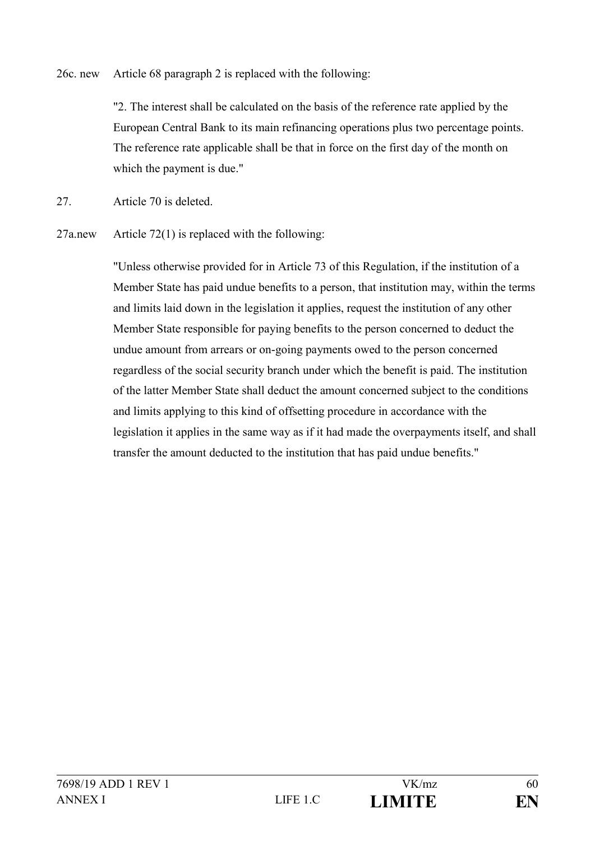26c. new Article 68 paragraph 2 is replaced with the following:

"2. The interest shall be calculated on the basis of the reference rate applied by the European Central Bank to its main refinancing operations plus two percentage points. The reference rate applicable shall be that in force on the first day of the month on which the payment is due."

27. Article 70 is deleted.

27a.new Article 72(1) is replaced with the following:

"Unless otherwise provided for in Article 73 of this Regulation, if the institution of a Member State has paid undue benefits to a person, that institution may, within the terms and limits laid down in the legislation it applies, request the institution of any other Member State responsible for paying benefits to the person concerned to deduct the undue amount from arrears or on-going payments owed to the person concerned regardless of the social security branch under which the benefit is paid. The institution of the latter Member State shall deduct the amount concerned subject to the conditions and limits applying to this kind of offsetting procedure in accordance with the legislation it applies in the same way as if it had made the overpayments itself, and shall transfer the amount deducted to the institution that has paid undue benefits."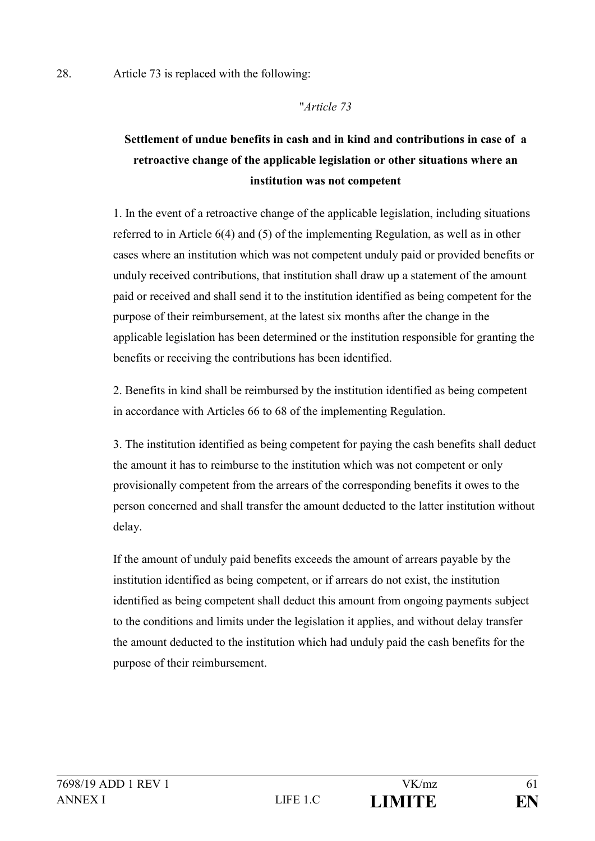#### "*Article 73*

# **Settlement of undue benefits in cash and in kind and contributions in case of a retroactive change of the applicable legislation or other situations where an institution was not competent**

1. In the event of a retroactive change of the applicable legislation, including situations referred to in Article 6(4) and (5) of the implementing Regulation, as well as in other cases where an institution which was not competent unduly paid or provided benefits or unduly received contributions, that institution shall draw up a statement of the amount paid or received and shall send it to the institution identified as being competent for the purpose of their reimbursement, at the latest six months after the change in the applicable legislation has been determined or the institution responsible for granting the benefits or receiving the contributions has been identified.

2. Benefits in kind shall be reimbursed by the institution identified as being competent in accordance with Articles 66 to 68 of the implementing Regulation.

3. The institution identified as being competent for paying the cash benefits shall deduct the amount it has to reimburse to the institution which was not competent or only provisionally competent from the arrears of the corresponding benefits it owes to the person concerned and shall transfer the amount deducted to the latter institution without delay.

If the amount of unduly paid benefits exceeds the amount of arrears payable by the institution identified as being competent, or if arrears do not exist, the institution identified as being competent shall deduct this amount from ongoing payments subject to the conditions and limits under the legislation it applies, and without delay transfer the amount deducted to the institution which had unduly paid the cash benefits for the purpose of their reimbursement.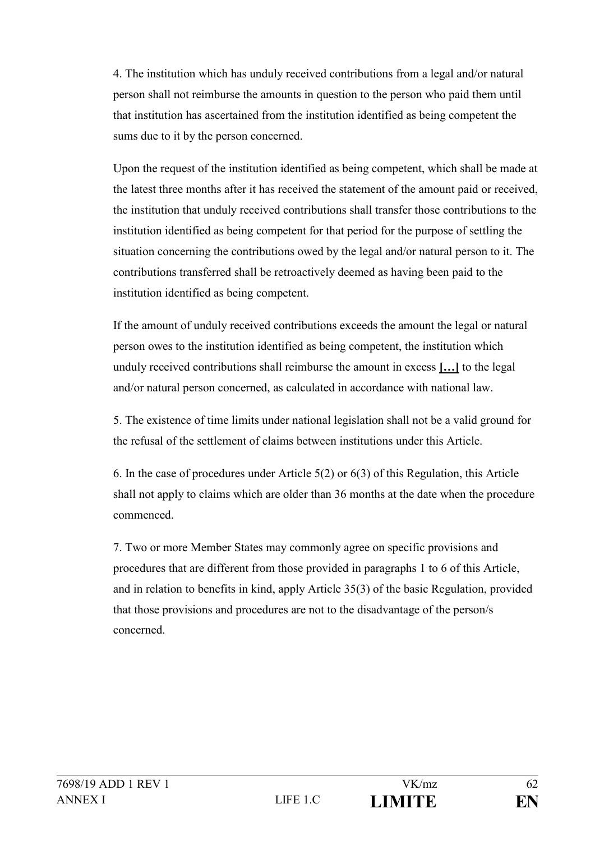4. The institution which has unduly received contributions from a legal and/or natural person shall not reimburse the amounts in question to the person who paid them until that institution has ascertained from the institution identified as being competent the sums due to it by the person concerned.

Upon the request of the institution identified as being competent, which shall be made at the latest three months after it has received the statement of the amount paid or received, the institution that unduly received contributions shall transfer those contributions to the institution identified as being competent for that period for the purpose of settling the situation concerning the contributions owed by the legal and/or natural person to it. The contributions transferred shall be retroactively deemed as having been paid to the institution identified as being competent.

If the amount of unduly received contributions exceeds the amount the legal or natural person owes to the institution identified as being competent, the institution which unduly received contributions shall reimburse the amount in excess **[…]** to the legal and/or natural person concerned, as calculated in accordance with national law.

5. The existence of time limits under national legislation shall not be a valid ground for the refusal of the settlement of claims between institutions under this Article.

6. In the case of procedures under Article 5(2) or 6(3) of this Regulation, this Article shall not apply to claims which are older than 36 months at the date when the procedure commenced.

7. Two or more Member States may commonly agree on specific provisions and procedures that are different from those provided in paragraphs 1 to 6 of this Article, and in relation to benefits in kind, apply Article 35(3) of the basic Regulation, provided that those provisions and procedures are not to the disadvantage of the person/s concerned.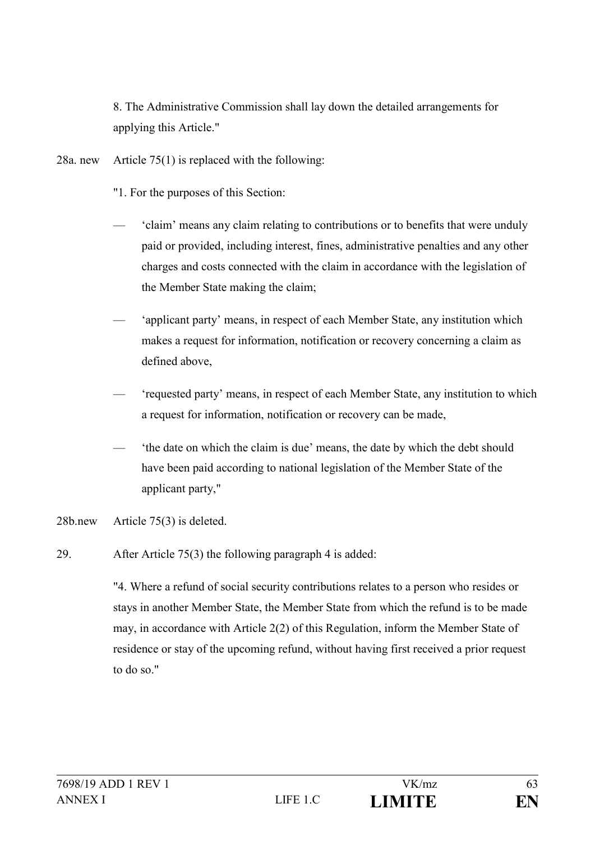8. The Administrative Commission shall lay down the detailed arrangements for applying this Article."

- 28a. new Article 75(1) is replaced with the following:
	- "1. For the purposes of this Section:
	- 'claim' means any claim relating to contributions or to benefits that were unduly paid or provided, including interest, fines, administrative penalties and any other charges and costs connected with the claim in accordance with the legislation of the Member State making the claim;
	- 'applicant party' means, in respect of each Member State, any institution which makes a request for information, notification or recovery concerning a claim as defined above,
	- 'requested party' means, in respect of each Member State, any institution to which a request for information, notification or recovery can be made,
	- 'the date on which the claim is due' means, the date by which the debt should have been paid according to national legislation of the Member State of the applicant party,"
- 28b.new Article 75(3) is deleted.
- 29. After Article 75(3) the following paragraph 4 is added:

"4. Where a refund of social security contributions relates to a person who resides or stays in another Member State, the Member State from which the refund is to be made may, in accordance with Article 2(2) of this Regulation, inform the Member State of residence or stay of the upcoming refund, without having first received a prior request to do so."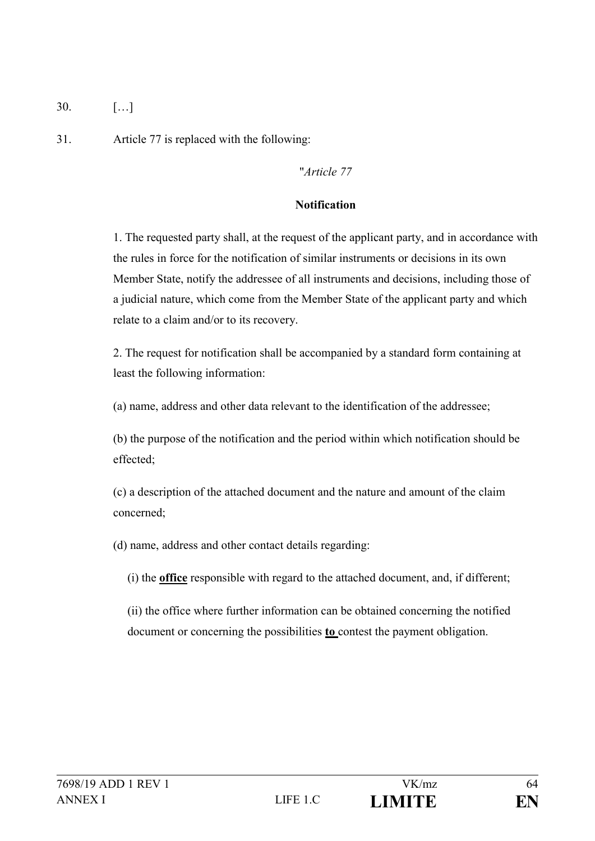30. […]

31. Article 77 is replaced with the following:

## "*Article 77*

## **Notification**

1. The requested party shall, at the request of the applicant party, and in accordance with the rules in force for the notification of similar instruments or decisions in its own Member State, notify the addressee of all instruments and decisions, including those of a judicial nature, which come from the Member State of the applicant party and which relate to a claim and/or to its recovery.

2. The request for notification shall be accompanied by a standard form containing at least the following information:

(a) name, address and other data relevant to the identification of the addressee;

(b) the purpose of the notification and the period within which notification should be effected;

(c) a description of the attached document and the nature and amount of the claim concerned;

(d) name, address and other contact details regarding:

(i) the **office** responsible with regard to the attached document, and, if different;

(ii) the office where further information can be obtained concerning the notified document or concerning the possibilities **to** contest the payment obligation.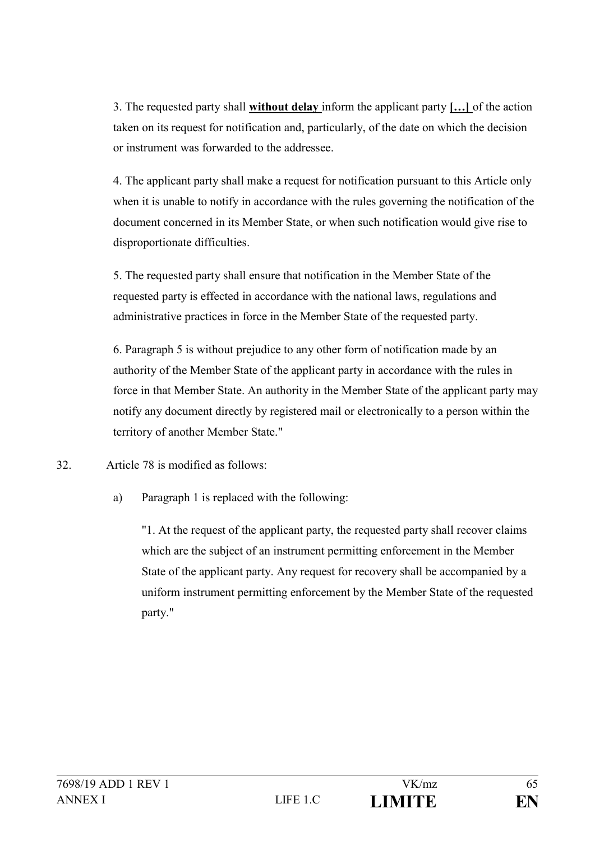3. The requested party shall **without delay** inform the applicant party **[…]** of the action taken on its request for notification and, particularly, of the date on which the decision or instrument was forwarded to the addressee.

4. The applicant party shall make a request for notification pursuant to this Article only when it is unable to notify in accordance with the rules governing the notification of the document concerned in its Member State, or when such notification would give rise to disproportionate difficulties.

5. The requested party shall ensure that notification in the Member State of the requested party is effected in accordance with the national laws, regulations and administrative practices in force in the Member State of the requested party.

6. Paragraph 5 is without prejudice to any other form of notification made by an authority of the Member State of the applicant party in accordance with the rules in force in that Member State. An authority in the Member State of the applicant party may notify any document directly by registered mail or electronically to a person within the territory of another Member State."

32. Article 78 is modified as follows:

a) Paragraph 1 is replaced with the following:

"1. At the request of the applicant party, the requested party shall recover claims which are the subject of an instrument permitting enforcement in the Member State of the applicant party. Any request for recovery shall be accompanied by a uniform instrument permitting enforcement by the Member State of the requested party."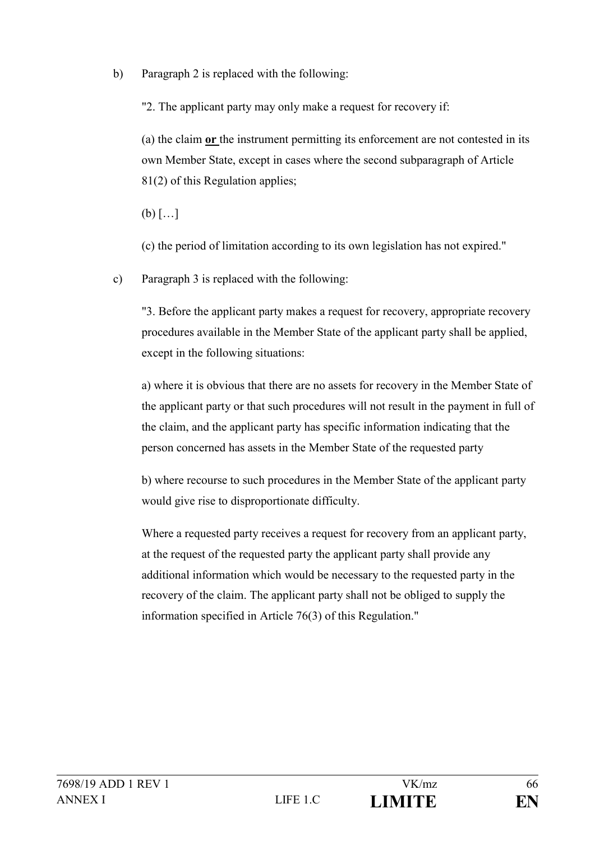b) Paragraph 2 is replaced with the following:

"2. The applicant party may only make a request for recovery if:

(a) the claim **or** the instrument permitting its enforcement are not contested in its own Member State, except in cases where the second subparagraph of Article 81(2) of this Regulation applies;

 $(b)$   $\lceil \dots \rceil$ 

(c) the period of limitation according to its own legislation has not expired."

c) Paragraph 3 is replaced with the following:

"3. Before the applicant party makes a request for recovery, appropriate recovery procedures available in the Member State of the applicant party shall be applied, except in the following situations:

a) where it is obvious that there are no assets for recovery in the Member State of the applicant party or that such procedures will not result in the payment in full of the claim, and the applicant party has specific information indicating that the person concerned has assets in the Member State of the requested party

b) where recourse to such procedures in the Member State of the applicant party would give rise to disproportionate difficulty.

Where a requested party receives a request for recovery from an applicant party, at the request of the requested party the applicant party shall provide any additional information which would be necessary to the requested party in the recovery of the claim. The applicant party shall not be obliged to supply the information specified in Article 76(3) of this Regulation."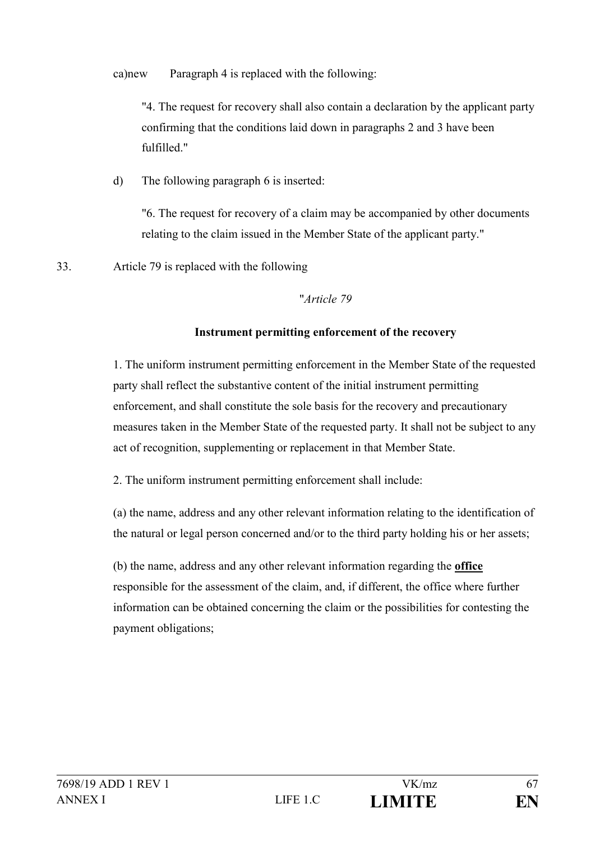ca)new Paragraph 4 is replaced with the following:

"4. The request for recovery shall also contain a declaration by the applicant party confirming that the conditions laid down in paragraphs 2 and 3 have been fulfilled."

d) The following paragraph 6 is inserted:

"6. The request for recovery of a claim may be accompanied by other documents relating to the claim issued in the Member State of the applicant party."

33. Article 79 is replaced with the following

## "*Article 79*

## **Instrument permitting enforcement of the recovery**

1. The uniform instrument permitting enforcement in the Member State of the requested party shall reflect the substantive content of the initial instrument permitting enforcement, and shall constitute the sole basis for the recovery and precautionary measures taken in the Member State of the requested party. It shall not be subject to any act of recognition, supplementing or replacement in that Member State.

2. The uniform instrument permitting enforcement shall include:

(a) the name, address and any other relevant information relating to the identification of the natural or legal person concerned and/or to the third party holding his or her assets;

(b) the name, address and any other relevant information regarding the **office**  responsible for the assessment of the claim, and, if different, the office where further information can be obtained concerning the claim or the possibilities for contesting the payment obligations;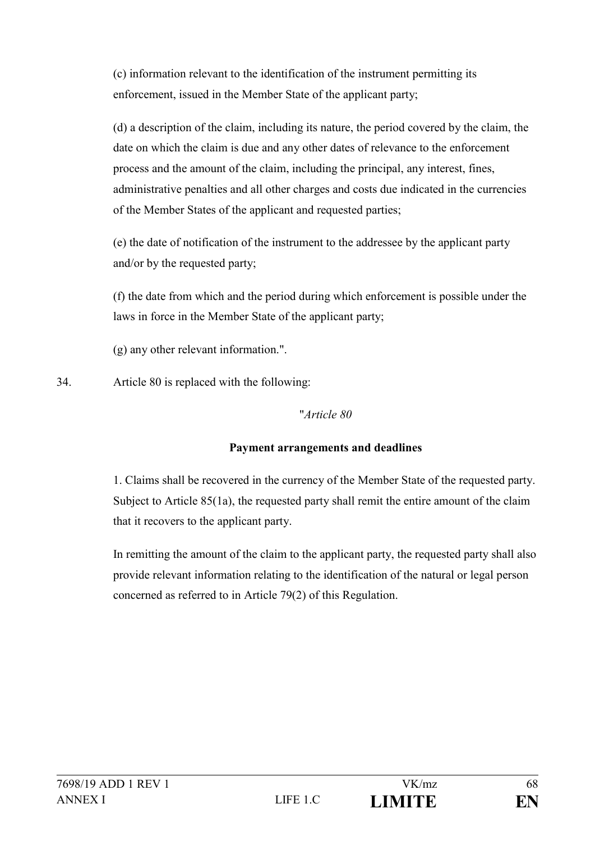(c) information relevant to the identification of the instrument permitting its enforcement, issued in the Member State of the applicant party;

(d) a description of the claim, including its nature, the period covered by the claim, the date on which the claim is due and any other dates of relevance to the enforcement process and the amount of the claim, including the principal, any interest, fines, administrative penalties and all other charges and costs due indicated in the currencies of the Member States of the applicant and requested parties;

(e) the date of notification of the instrument to the addressee by the applicant party and/or by the requested party;

(f) the date from which and the period during which enforcement is possible under the laws in force in the Member State of the applicant party;

(g) any other relevant information.".

34. Article 80 is replaced with the following:

### "*Article 80*

## **Payment arrangements and deadlines**

1. Claims shall be recovered in the currency of the Member State of the requested party. Subject to Article 85(1a), the requested party shall remit the entire amount of the claim that it recovers to the applicant party.

In remitting the amount of the claim to the applicant party, the requested party shall also provide relevant information relating to the identification of the natural or legal person concerned as referred to in Article 79(2) of this Regulation.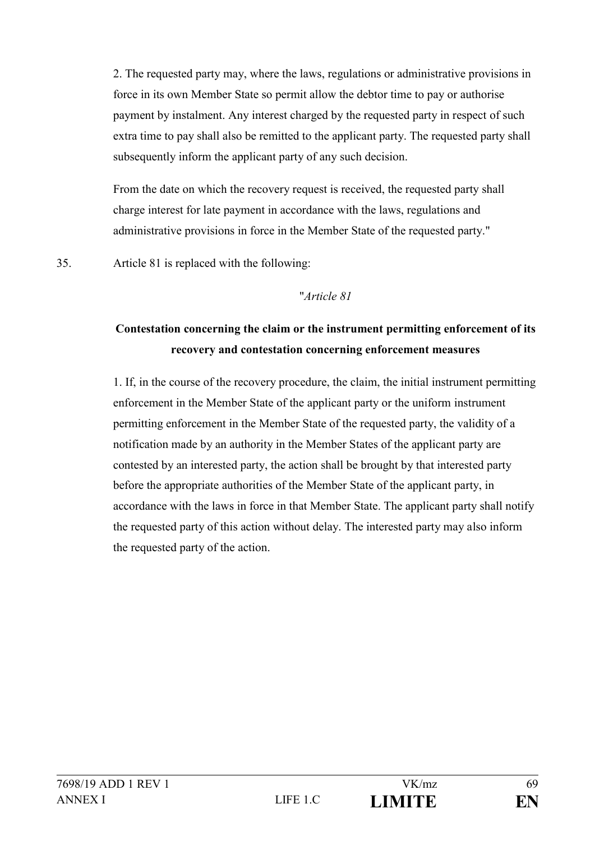2. The requested party may, where the laws, regulations or administrative provisions in force in its own Member State so permit allow the debtor time to pay or authorise payment by instalment. Any interest charged by the requested party in respect of such extra time to pay shall also be remitted to the applicant party. The requested party shall subsequently inform the applicant party of any such decision.

From the date on which the recovery request is received, the requested party shall charge interest for late payment in accordance with the laws, regulations and administrative provisions in force in the Member State of the requested party."

35. Article 81 is replaced with the following:

#### "*Article 81*

## **Contestation concerning the claim or the instrument permitting enforcement of its recovery and contestation concerning enforcement measures**

1. If, in the course of the recovery procedure, the claim, the initial instrument permitting enforcement in the Member State of the applicant party or the uniform instrument permitting enforcement in the Member State of the requested party, the validity of a notification made by an authority in the Member States of the applicant party are contested by an interested party, the action shall be brought by that interested party before the appropriate authorities of the Member State of the applicant party, in accordance with the laws in force in that Member State. The applicant party shall notify the requested party of this action without delay. The interested party may also inform the requested party of the action.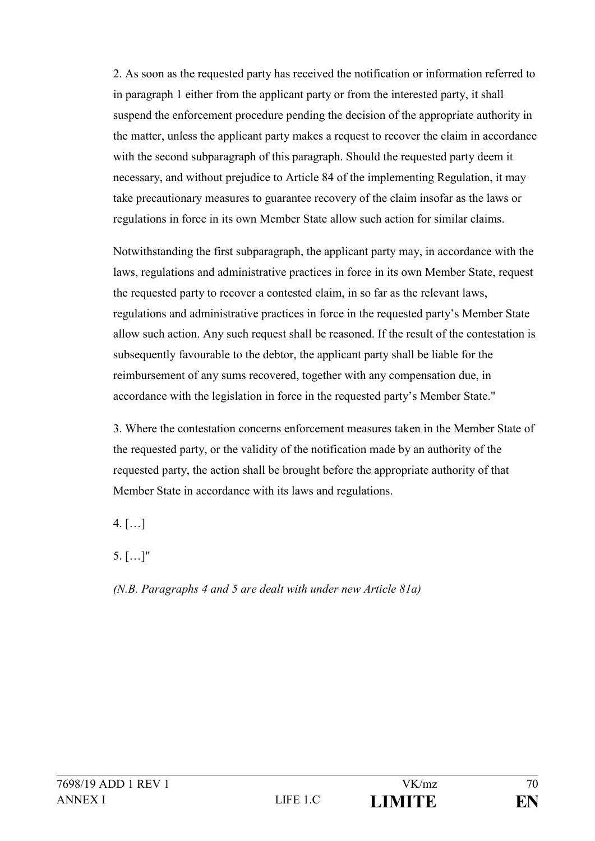2. As soon as the requested party has received the notification or information referred to in paragraph 1 either from the applicant party or from the interested party, it shall suspend the enforcement procedure pending the decision of the appropriate authority in the matter, unless the applicant party makes a request to recover the claim in accordance with the second subparagraph of this paragraph. Should the requested party deem it necessary, and without prejudice to Article 84 of the implementing Regulation, it may take precautionary measures to guarantee recovery of the claim insofar as the laws or regulations in force in its own Member State allow such action for similar claims.

Notwithstanding the first subparagraph, the applicant party may, in accordance with the laws, regulations and administrative practices in force in its own Member State, request the requested party to recover a contested claim, in so far as the relevant laws, regulations and administrative practices in force in the requested party's Member State allow such action. Any such request shall be reasoned. If the result of the contestation is subsequently favourable to the debtor, the applicant party shall be liable for the reimbursement of any sums recovered, together with any compensation due, in accordance with the legislation in force in the requested party's Member State."

3. Where the contestation concerns enforcement measures taken in the Member State of the requested party, or the validity of the notification made by an authority of the requested party, the action shall be brought before the appropriate authority of that Member State in accordance with its laws and regulations.

 $4.$  [...]

5. […]"

*(N.B. Paragraphs 4 and 5 are dealt with under new Article 81a)*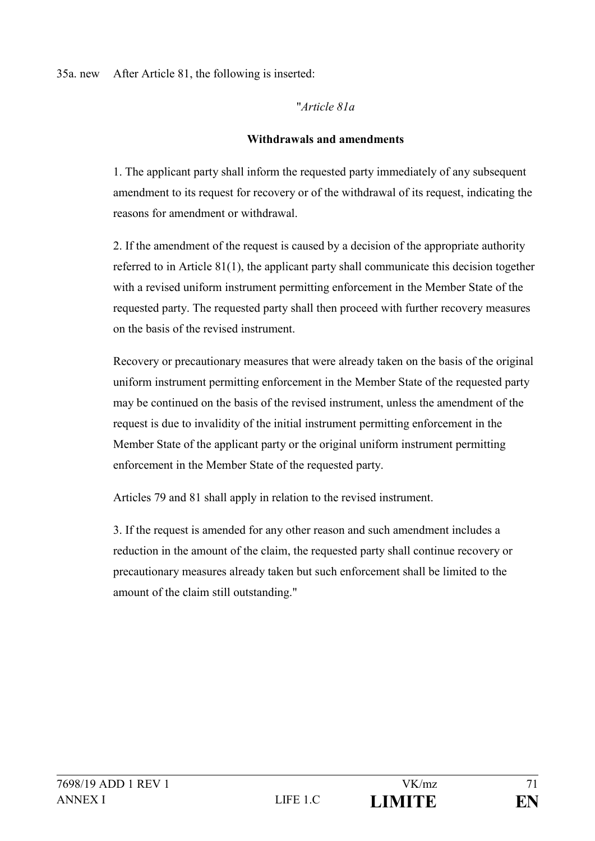#### 35a. new After Article 81, the following is inserted:

#### "*Article 81a*

#### **Withdrawals and amendments**

1. The applicant party shall inform the requested party immediately of any subsequent amendment to its request for recovery or of the withdrawal of its request, indicating the reasons for amendment or withdrawal.

2. If the amendment of the request is caused by a decision of the appropriate authority referred to in Article 81(1), the applicant party shall communicate this decision together with a revised uniform instrument permitting enforcement in the Member State of the requested party. The requested party shall then proceed with further recovery measures on the basis of the revised instrument.

Recovery or precautionary measures that were already taken on the basis of the original uniform instrument permitting enforcement in the Member State of the requested party may be continued on the basis of the revised instrument, unless the amendment of the request is due to invalidity of the initial instrument permitting enforcement in the Member State of the applicant party or the original uniform instrument permitting enforcement in the Member State of the requested party.

Articles 79 and 81 shall apply in relation to the revised instrument.

3. If the request is amended for any other reason and such amendment includes a reduction in the amount of the claim, the requested party shall continue recovery or precautionary measures already taken but such enforcement shall be limited to the amount of the claim still outstanding."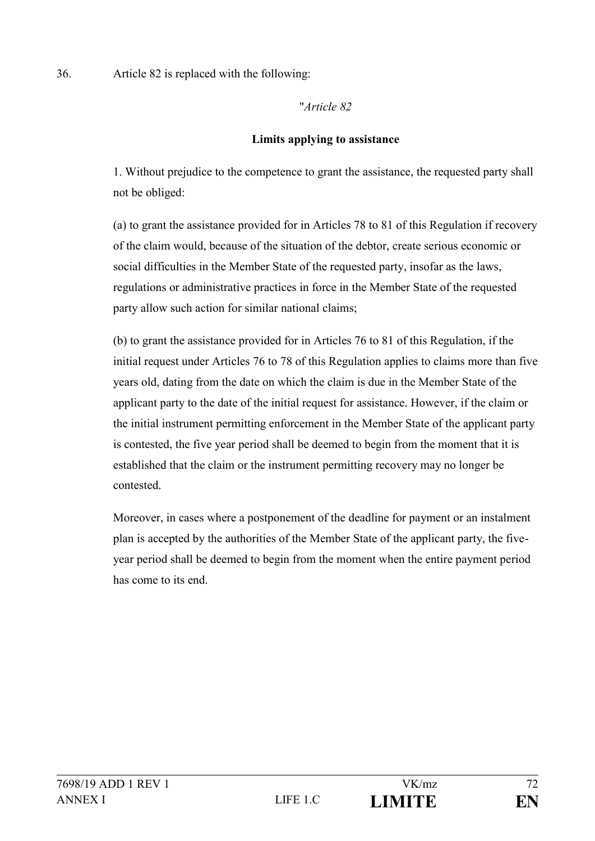### 36. Article 82 is replaced with the following:

#### "*Article 82*

#### **Limits applying to assistance**

1. Without prejudice to the competence to grant the assistance, the requested party shall not be obliged:

(a) to grant the assistance provided for in Articles 78 to 81 of this Regulation if recovery of the claim would, because of the situation of the debtor, create serious economic or social difficulties in the Member State of the requested party, insofar as the laws, regulations or administrative practices in force in the Member State of the requested party allow such action for similar national claims;

(b) to grant the assistance provided for in Articles 76 to 81 of this Regulation, if the initial request under Articles 76 to 78 of this Regulation applies to claims more than five years old, dating from the date on which the claim is due in the Member State of the applicant party to the date of the initial request for assistance. However, if the claim or the initial instrument permitting enforcement in the Member State of the applicant party is contested, the five year period shall be deemed to begin from the moment that it is established that the claim or the instrument permitting recovery may no longer be contested.

Moreover, in cases where a postponement of the deadline for payment or an instalment plan is accepted by the authorities of the Member State of the applicant party, the fiveyear period shall be deemed to begin from the moment when the entire payment period has come to its end.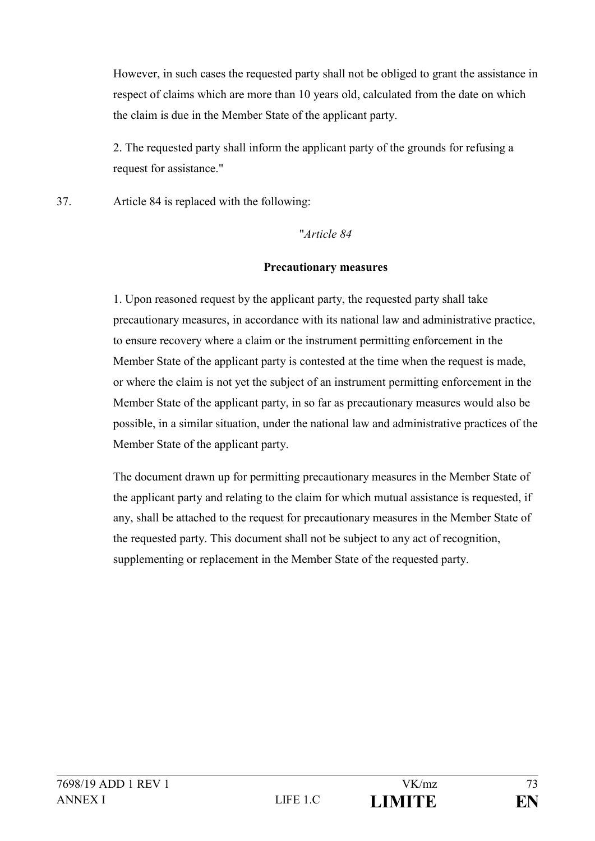However, in such cases the requested party shall not be obliged to grant the assistance in respect of claims which are more than 10 years old, calculated from the date on which the claim is due in the Member State of the applicant party.

2. The requested party shall inform the applicant party of the grounds for refusing a request for assistance."

37. Article 84 is replaced with the following:

"*Article 84*

#### **Precautionary measures**

1. Upon reasoned request by the applicant party, the requested party shall take precautionary measures, in accordance with its national law and administrative practice, to ensure recovery where a claim or the instrument permitting enforcement in the Member State of the applicant party is contested at the time when the request is made, or where the claim is not yet the subject of an instrument permitting enforcement in the Member State of the applicant party, in so far as precautionary measures would also be possible, in a similar situation, under the national law and administrative practices of the Member State of the applicant party.

The document drawn up for permitting precautionary measures in the Member State of the applicant party and relating to the claim for which mutual assistance is requested, if any, shall be attached to the request for precautionary measures in the Member State of the requested party. This document shall not be subject to any act of recognition, supplementing or replacement in the Member State of the requested party.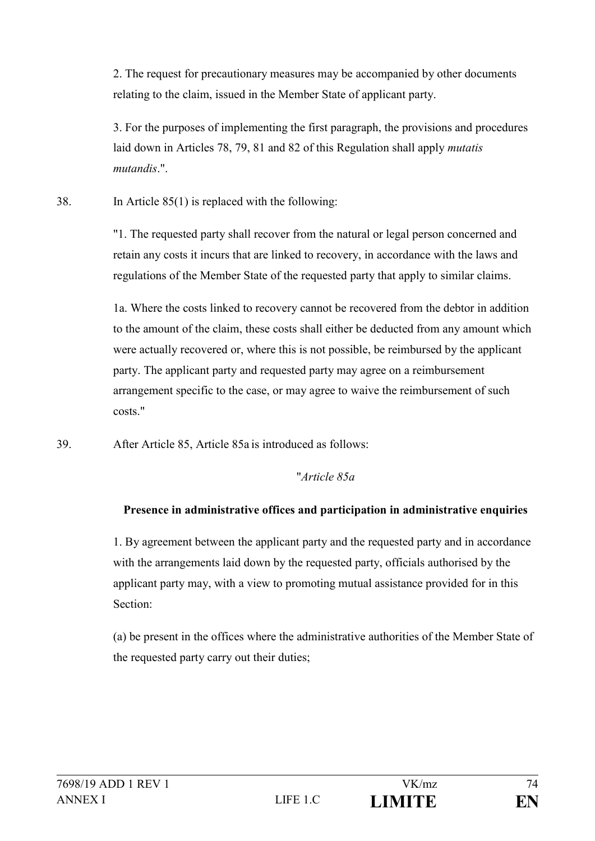2. The request for precautionary measures may be accompanied by other documents relating to the claim, issued in the Member State of applicant party.

3. For the purposes of implementing the first paragraph, the provisions and procedures laid down in Articles 78, 79, 81 and 82 of this Regulation shall apply *mutatis mutandis*.".

38. In Article 85(1) is replaced with the following:

"1. The requested party shall recover from the natural or legal person concerned and retain any costs it incurs that are linked to recovery, in accordance with the laws and regulations of the Member State of the requested party that apply to similar claims.

1a. Where the costs linked to recovery cannot be recovered from the debtor in addition to the amount of the claim, these costs shall either be deducted from any amount which were actually recovered or, where this is not possible, be reimbursed by the applicant party. The applicant party and requested party may agree on a reimbursement arrangement specific to the case, or may agree to waive the reimbursement of such costs."

39. After Article 85, Article 85a is introduced as follows:

# "*Article 85a*

# **Presence in administrative offices and participation in administrative enquiries**

1. By agreement between the applicant party and the requested party and in accordance with the arrangements laid down by the requested party, officials authorised by the applicant party may, with a view to promoting mutual assistance provided for in this Section:

(a) be present in the offices where the administrative authorities of the Member State of the requested party carry out their duties;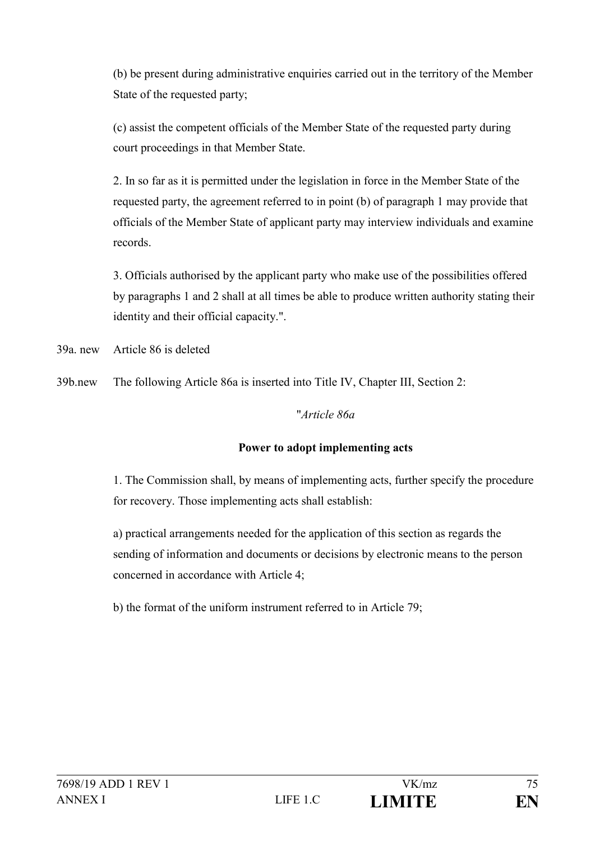(b) be present during administrative enquiries carried out in the territory of the Member State of the requested party;

(c) assist the competent officials of the Member State of the requested party during court proceedings in that Member State.

2. In so far as it is permitted under the legislation in force in the Member State of the requested party, the agreement referred to in point (b) of paragraph 1 may provide that officials of the Member State of applicant party may interview individuals and examine records.

3. Officials authorised by the applicant party who make use of the possibilities offered by paragraphs 1 and 2 shall at all times be able to produce written authority stating their identity and their official capacity.".

39a. new Article 86 is deleted

39b.new The following Article 86a is inserted into Title IV, Chapter III, Section 2:

#### "*Article 86a*

#### **Power to adopt implementing acts**

1. The Commission shall, by means of implementing acts, further specify the procedure for recovery. Those implementing acts shall establish:

a) practical arrangements needed for the application of this section as regards the sending of information and documents or decisions by electronic means to the person concerned in accordance with Article 4;

b) the format of the uniform instrument referred to in Article 79;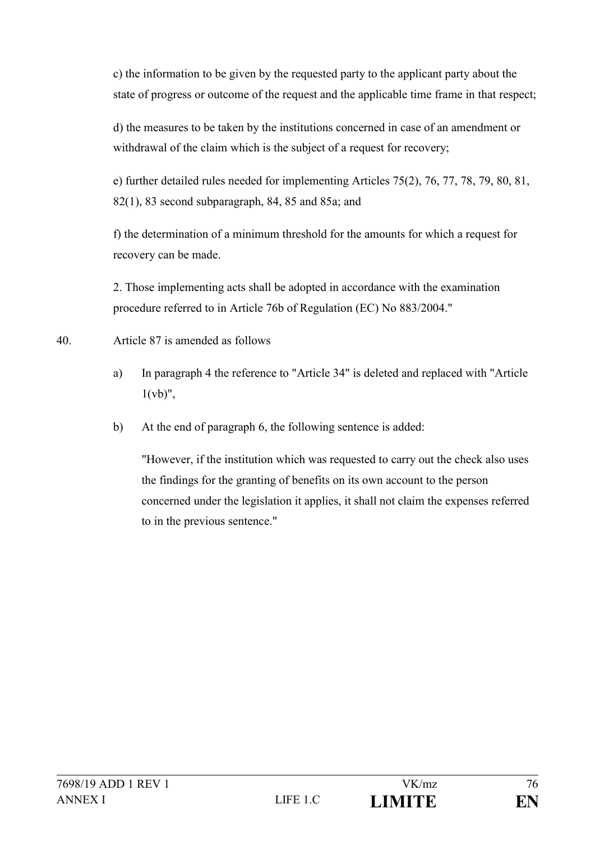c) the information to be given by the requested party to the applicant party about the state of progress or outcome of the request and the applicable time frame in that respect;

d) the measures to be taken by the institutions concerned in case of an amendment or withdrawal of the claim which is the subject of a request for recovery;

e) further detailed rules needed for implementing Articles 75(2), 76, 77, 78, 79, 80, 81, 82(1), 83 second subparagraph, 84, 85 and 85a; and

f) the determination of a minimum threshold for the amounts for which a request for recovery can be made.

2. Those implementing acts shall be adopted in accordance with the examination procedure referred to in Article 76b of Regulation (EC) No 883/2004."

- 40. Article 87 is amended as follows
	- a) In paragraph 4 the reference to "Article 34" is deleted and replaced with "Article  $1(vb)$ ",
	- b) At the end of paragraph 6, the following sentence is added:

"However, if the institution which was requested to carry out the check also uses the findings for the granting of benefits on its own account to the person concerned under the legislation it applies, it shall not claim the expenses referred to in the previous sentence."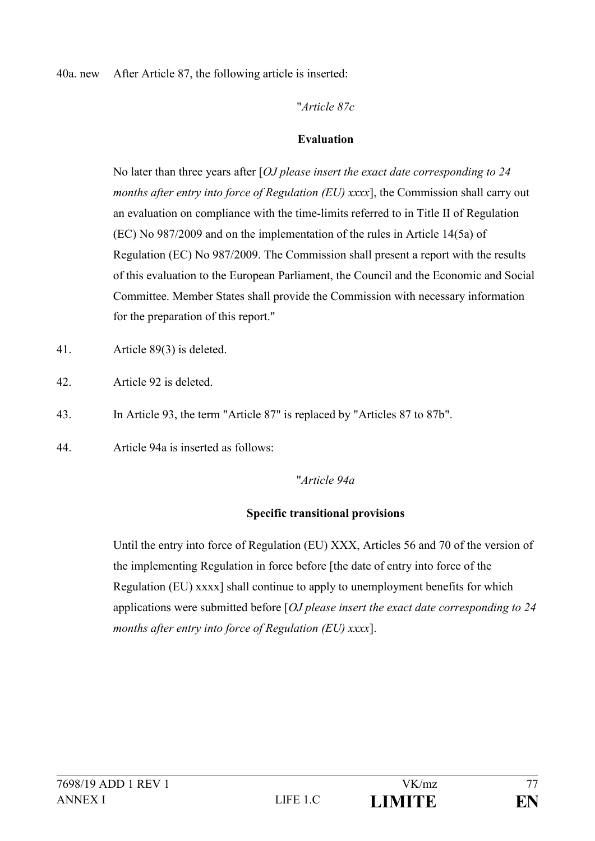40a. new After Article 87, the following article is inserted:

"*Article 87c*

#### **Evaluation**

No later than three years after [*OJ please insert the exact date corresponding to 24 months after entry into force of Regulation (EU) xxxx*], the Commission shall carry out an evaluation on compliance with the time-limits referred to in Title II of Regulation (EC) No 987/2009 and on the implementation of the rules in Article 14(5a) of Regulation (EC) No 987/2009. The Commission shall present a report with the results of this evaluation to the European Parliament, the Council and the Economic and Social Committee. Member States shall provide the Commission with necessary information for the preparation of this report."

- 41. Article 89(3) is deleted.
- 42. Article 92 is deleted.
- 43. In Article 93, the term "Article 87" is replaced by "Articles 87 to 87b".
- 44. Article 94a is inserted as follows:

# "*Article 94a*

# **Specific transitional provisions**

Until the entry into force of Regulation (EU) XXX, Articles 56 and 70 of the version of the implementing Regulation in force before [the date of entry into force of the Regulation (EU) xxxx] shall continue to apply to unemployment benefits for which applications were submitted before [*OJ please insert the exact date corresponding to 24 months after entry into force of Regulation (EU) xxxx*].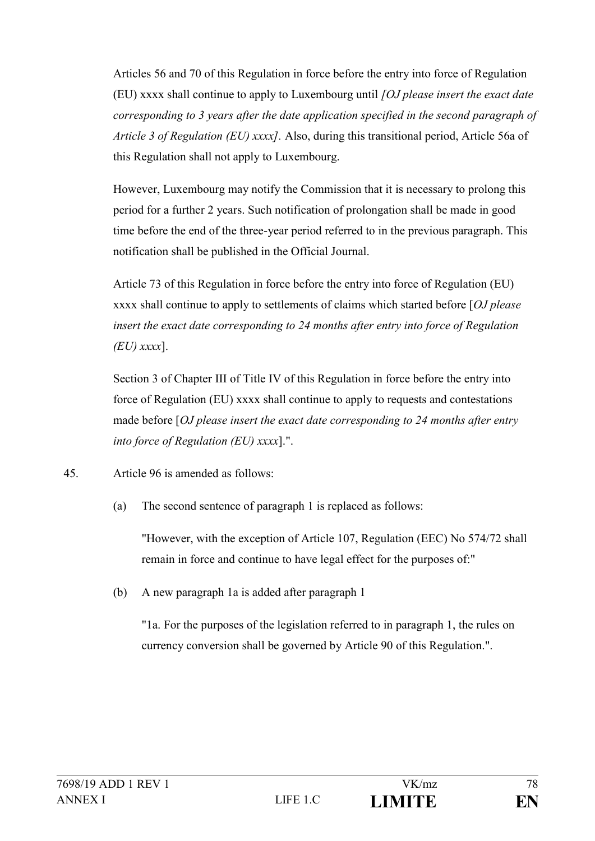Articles 56 and 70 of this Regulation in force before the entry into force of Regulation (EU) xxxx shall continue to apply to Luxembourg until *[OJ please insert the exact date corresponding to 3 years after the date application specified in the second paragraph of Article 3 of Regulation (EU) xxxx].* Also, during this transitional period, Article 56a of this Regulation shall not apply to Luxembourg.

However, Luxembourg may notify the Commission that it is necessary to prolong this period for a further 2 years. Such notification of prolongation shall be made in good time before the end of the three-year period referred to in the previous paragraph. This notification shall be published in the Official Journal.

Article 73 of this Regulation in force before the entry into force of Regulation (EU) xxxx shall continue to apply to settlements of claims which started before [*OJ please insert the exact date corresponding to 24 months after entry into force of Regulation (EU) xxxx*].

Section 3 of Chapter III of Title IV of this Regulation in force before the entry into force of Regulation (EU) xxxx shall continue to apply to requests and contestations made before [*OJ please insert the exact date corresponding to 24 months after entry into force of Regulation (EU) xxxx*].".

- 45. Article 96 is amended as follows:
	- (a) The second sentence of paragraph 1 is replaced as follows:

"However, with the exception of Article 107, Regulation (EEC) No 574/72 shall remain in force and continue to have legal effect for the purposes of:"

(b) A new paragraph 1a is added after paragraph 1

"1a. For the purposes of the legislation referred to in paragraph 1, the rules on currency conversion shall be governed by Article 90 of this Regulation.".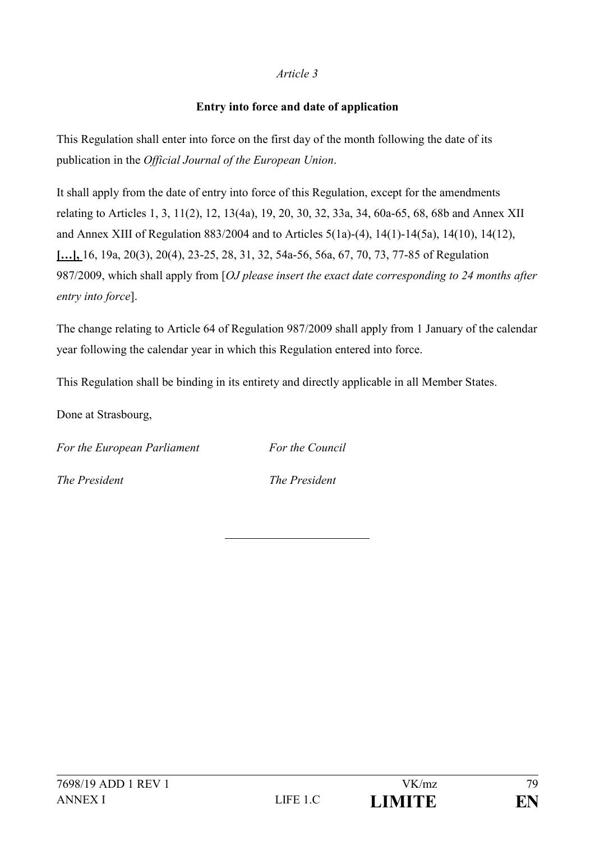### *Article 3*

### **Entry into force and date of application**

This Regulation shall enter into force on the first day of the month following the date of its publication in the *Official Journal of the European Union*.

It shall apply from the date of entry into force of this Regulation, except for the amendments relating to Articles 1, 3, 11(2), 12, 13(4a), 19, 20, 30, 32, 33a, 34, 60a-65, 68, 68b and Annex XII and Annex XIII of Regulation 883/2004 and to Articles 5(1a)-(4), 14(1)-14(5a), 14(10), 14(12), **[…],** 16, 19a, 20(3), 20(4), 23-25, 28, 31, 32, 54a-56, 56a, 67, 70, 73, 77-85 of Regulation 987/2009, which shall apply from [*OJ please insert the exact date corresponding to 24 months after entry into force*].

The change relating to Article 64 of Regulation 987/2009 shall apply from 1 January of the calendar year following the calendar year in which this Regulation entered into force.

This Regulation shall be binding in its entirety and directly applicable in all Member States.

Done at Strasbourg,

*For the European Parliament For the Council*

*The President The President*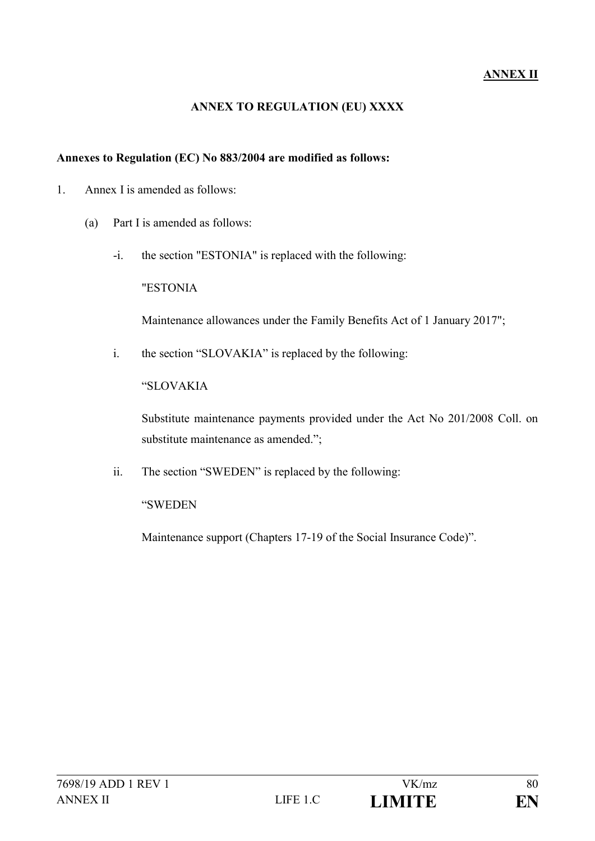# **ANNEX II**

#### **ANNEX TO REGULATION (EU) XXXX**

#### **Annexes to Regulation (EC) No 883/2004 are modified as follows:**

- 1. Annex I is amended as follows:
	- (a) Part I is amended as follows:
		- -i. the section "ESTONIA" is replaced with the following:

"ESTONIA

Maintenance allowances under the Family Benefits Act of 1 January 2017";

i. the section "SLOVAKIA" is replaced by the following:

"SLOVAKIA

Substitute maintenance payments provided under the Act No 201/2008 Coll. on substitute maintenance as amended.";

ii. The section "SWEDEN" is replaced by the following:

"SWEDEN

Maintenance support (Chapters 17-19 of the Social Insurance Code)".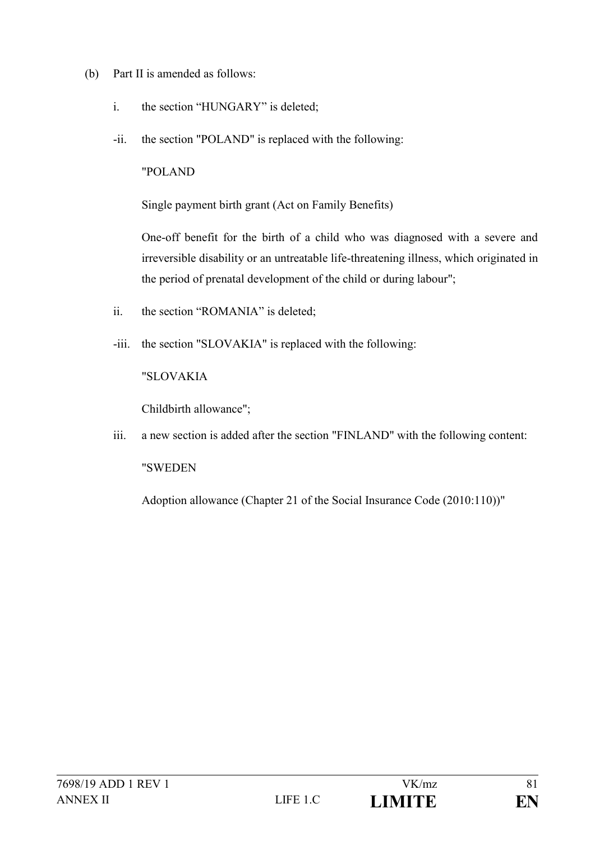- (b) Part II is amended as follows:
	- i. the section "HUNGARY" is deleted;
	- -ii. the section "POLAND" is replaced with the following:

"POLAND

Single payment birth grant (Act on Family Benefits)

One-off benefit for the birth of a child who was diagnosed with a severe and irreversible disability or an untreatable life-threatening illness, which originated in the period of prenatal development of the child or during labour";

- ii. the section "ROMANIA" is deleted;
- -iii. the section "SLOVAKIA" is replaced with the following:

"SLOVAKIA

Childbirth allowance";

iii. a new section is added after the section "FINLAND" with the following content: "SWEDEN

Adoption allowance (Chapter 21 of the Social Insurance Code (2010:110))"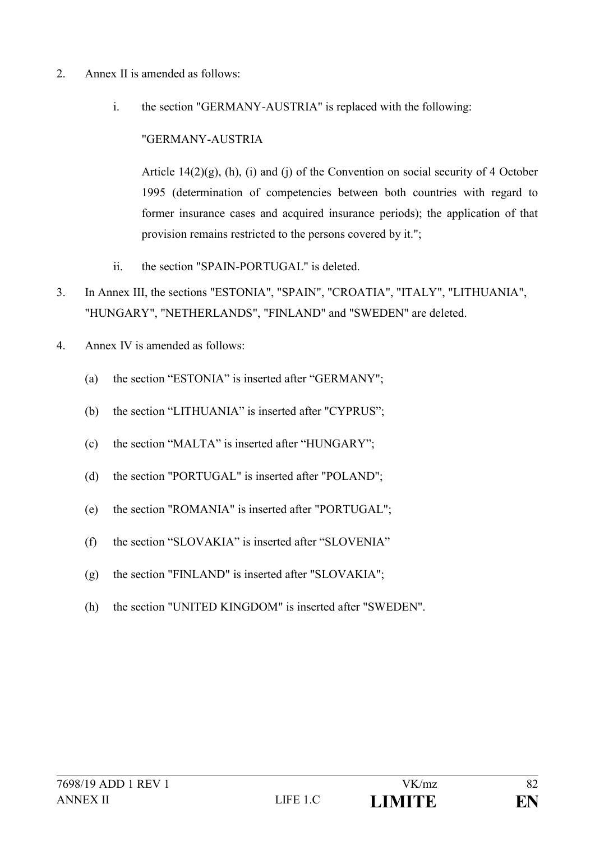- 2. Annex II is amended as follows:
	- i. the section "GERMANY-AUSTRIA" is replaced with the following:

"GERMANY-AUSTRIA

Article  $14(2)(g)$ , (h), (i) and (j) of the Convention on social security of 4 October 1995 (determination of competencies between both countries with regard to former insurance cases and acquired insurance periods); the application of that provision remains restricted to the persons covered by it.";

- ii. the section "SPAIN-PORTUGAL" is deleted.
- 3. In Annex III, the sections "ESTONIA", "SPAIN", "CROATIA", "ITALY", "LITHUANIA", "HUNGARY", "NETHERLANDS", "FINLAND" and "SWEDEN" are deleted.
- 4. Annex IV is amended as follows:
	- (a) the section "ESTONIA" is inserted after "GERMANY";
	- (b) the section "LITHUANIA" is inserted after "CYPRUS";
	- (c) the section "MALTA" is inserted after "HUNGARY";
	- (d) the section "PORTUGAL" is inserted after "POLAND";
	- (e) the section "ROMANIA" is inserted after "PORTUGAL";
	- (f) the section "SLOVAKIA" is inserted after "SLOVENIA"
	- (g) the section "FINLAND" is inserted after "SLOVAKIA";
	- (h) the section "UNITED KINGDOM" is inserted after "SWEDEN".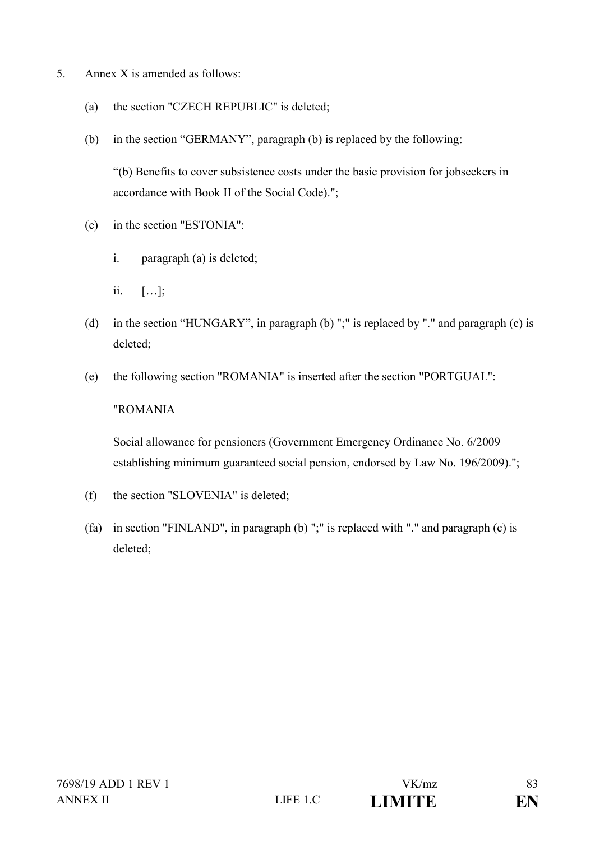- 5. Annex X is amended as follows:
	- (a) the section "CZECH REPUBLIC" is deleted;
	- (b) in the section "GERMANY", paragraph (b) is replaced by the following:

"(b) Benefits to cover subsistence costs under the basic provision for jobseekers in accordance with Book II of the Social Code).";

- (c) in the section "ESTONIA":
	- i. paragraph (a) is deleted;
	- ii. […];
- (d) in the section "HUNGARY", in paragraph (b) ";" is replaced by "." and paragraph (c) is deleted;
- (e) the following section "ROMANIA" is inserted after the section "PORTGUAL":

#### "ROMANIA

Social allowance for pensioners (Government Emergency Ordinance No. 6/2009 establishing minimum guaranteed social pension, endorsed by Law No. 196/2009).";

- (f) the section "SLOVENIA" is deleted;
- (fa) in section "FINLAND", in paragraph (b) ";" is replaced with "." and paragraph (c) is deleted;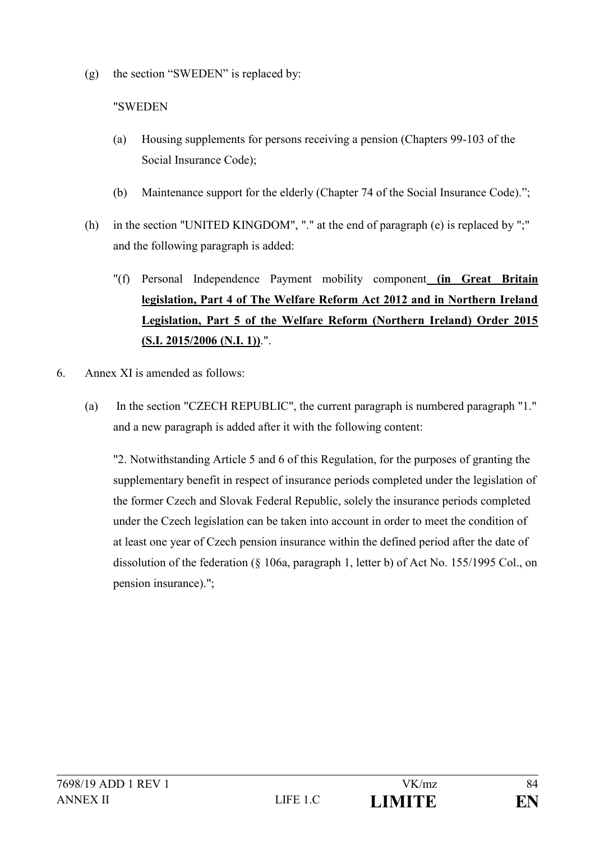(g) the section "SWEDEN" is replaced by:

### "SWEDEN

- (a) Housing supplements for persons receiving a pension (Chapters 99-103 of the Social Insurance Code);
- (b) Maintenance support for the elderly (Chapter 74 of the Social Insurance Code).";
- (h) in the section "UNITED KINGDOM", "." at the end of paragraph (e) is replaced by ";" and the following paragraph is added:
	- "(f) Personal Independence Payment mobility component **(in Great Britain legislation, Part 4 of The Welfare Reform Act 2012 and in Northern Ireland Legislation, Part 5 of the Welfare Reform (Northern Ireland) Order 2015 (S.I. 2015/2006 (N.I. 1))**.".
- 6. Annex XI is amended as follows:
	- (a) In the section "CZECH REPUBLIC", the current paragraph is numbered paragraph "1." and a new paragraph is added after it with the following content:

"2. Notwithstanding Article 5 and 6 of this Regulation, for the purposes of granting the supplementary benefit in respect of insurance periods completed under the legislation of the former Czech and Slovak Federal Republic, solely the insurance periods completed under the Czech legislation can be taken into account in order to meet the condition of at least one year of Czech pension insurance within the defined period after the date of dissolution of the federation (§ 106a, paragraph 1, letter b) of Act No. 155/1995 Col., on pension insurance).";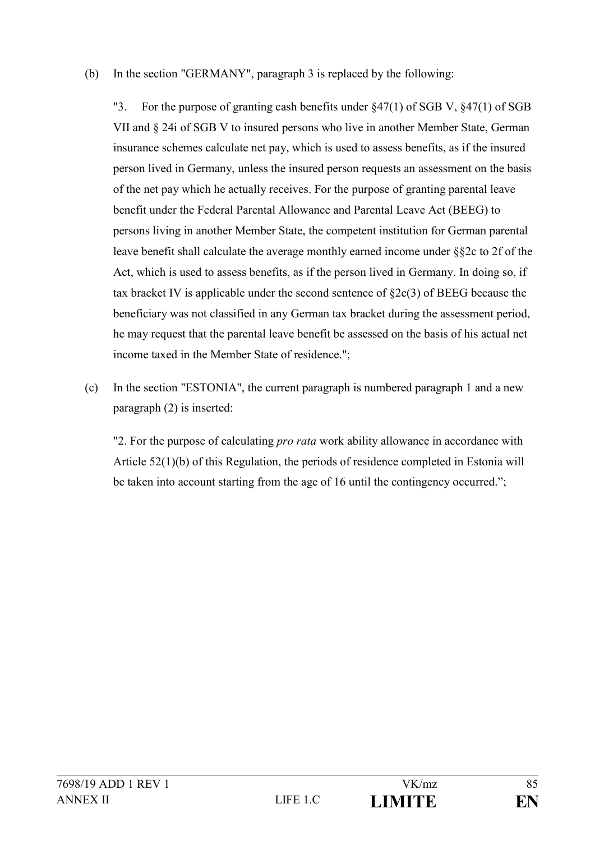### (b) In the section "GERMANY", paragraph 3 is replaced by the following:

"3. For the purpose of granting cash benefits under §47(1) of SGB V, §47(1) of SGB VII and § 24i of SGB V to insured persons who live in another Member State, German insurance schemes calculate net pay, which is used to assess benefits, as if the insured person lived in Germany, unless the insured person requests an assessment on the basis of the net pay which he actually receives. For the purpose of granting parental leave benefit under the Federal Parental Allowance and Parental Leave Act (BEEG) to persons living in another Member State, the competent institution for German parental leave benefit shall calculate the average monthly earned income under §§2c to 2f of the Act, which is used to assess benefits, as if the person lived in Germany. In doing so, if tax bracket IV is applicable under the second sentence of §2e(3) of BEEG because the beneficiary was not classified in any German tax bracket during the assessment period, he may request that the parental leave benefit be assessed on the basis of his actual net income taxed in the Member State of residence.";

(c) In the section "ESTONIA", the current paragraph is numbered paragraph 1 and a new paragraph (2) is inserted:

"2. For the purpose of calculating *pro rata* work ability allowance in accordance with Article 52(1)(b) of this Regulation, the periods of residence completed in Estonia will be taken into account starting from the age of 16 until the contingency occurred.";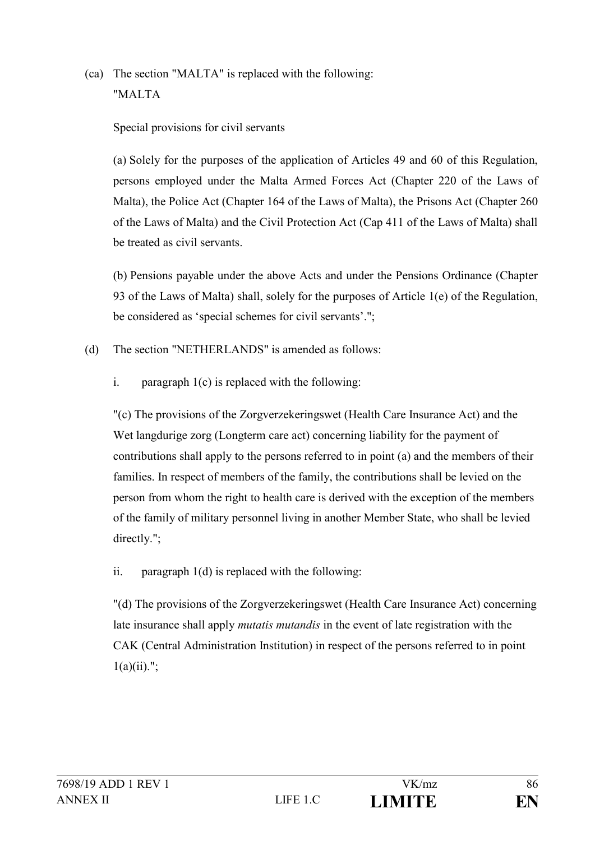(ca) The section "MALTA" is replaced with the following: "MALTA

# Special provisions for civil servants

(a) Solely for the purposes of the application of Articles 49 and 60 of this Regulation, persons employed under the Malta Armed Forces Act (Chapter 220 of the Laws of Malta), the Police Act (Chapter 164 of the Laws of Malta), the Prisons Act (Chapter 260 of the Laws of Malta) and the Civil Protection Act (Cap 411 of the Laws of Malta) shall be treated as civil servants.

(b) Pensions payable under the above Acts and under the Pensions Ordinance (Chapter 93 of the Laws of Malta) shall, solely for the purposes of Article 1(e) of the Regulation, be considered as 'special schemes for civil servants'.";

- (d) The section "NETHERLANDS" is amended as follows:
	- i. paragraph 1(c) is replaced with the following:

"(c) The provisions of the Zorgverzekeringswet (Health Care Insurance Act) and the Wet langdurige zorg (Longterm care act) concerning liability for the payment of contributions shall apply to the persons referred to in point (a) and the members of their families. In respect of members of the family, the contributions shall be levied on the person from whom the right to health care is derived with the exception of the members of the family of military personnel living in another Member State, who shall be levied directly.";

ii. paragraph 1(d) is replaced with the following:

"(d) The provisions of the Zorgverzekeringswet (Health Care Insurance Act) concerning late insurance shall apply *mutatis mutandis* in the event of late registration with the CAK (Central Administration Institution) in respect of the persons referred to in point  $1(a)(ii)$ .";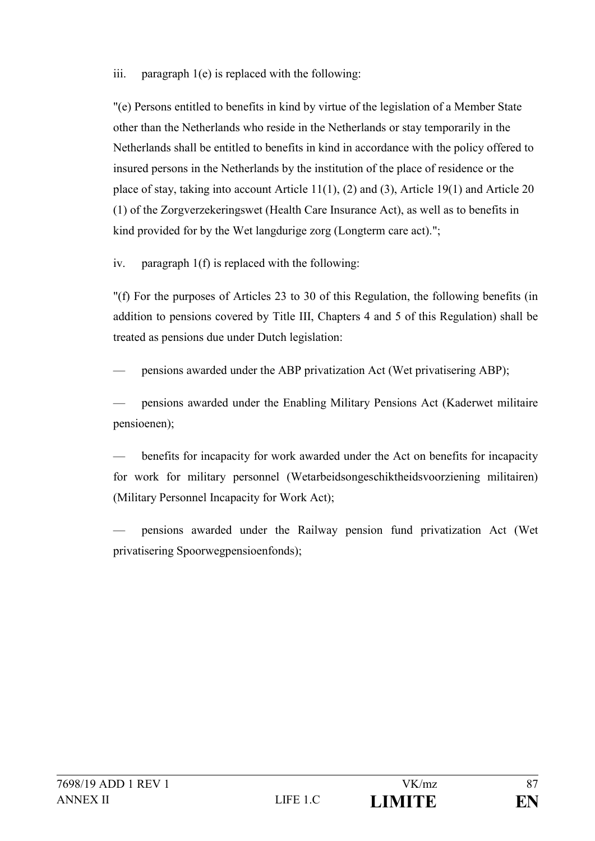#### iii. paragraph 1(e) is replaced with the following:

"(e) Persons entitled to benefits in kind by virtue of the legislation of a Member State other than the Netherlands who reside in the Netherlands or stay temporarily in the Netherlands shall be entitled to benefits in kind in accordance with the policy offered to insured persons in the Netherlands by the institution of the place of residence or the place of stay, taking into account Article 11(1), (2) and (3), Article 19(1) and Article 20 (1) of the Zorgverzekeringswet (Health Care Insurance Act), as well as to benefits in kind provided for by the Wet langdurige zorg (Longterm care act).";

iv. paragraph 1(f) is replaced with the following:

"(f) For the purposes of Articles 23 to 30 of this Regulation, the following benefits (in addition to pensions covered by Title III, Chapters 4 and 5 of this Regulation) shall be treated as pensions due under Dutch legislation:

— pensions awarded under the ABP privatization Act (Wet privatisering ABP);

— pensions awarded under the Enabling Military Pensions Act (Kaderwet militaire pensioenen);

benefits for incapacity for work awarded under the Act on benefits for incapacity for work for military personnel (Wetarbeidsongeschiktheidsvoorziening militairen) (Military Personnel Incapacity for Work Act);

— pensions awarded under the Railway pension fund privatization Act (Wet privatisering Spoorwegpensioenfonds);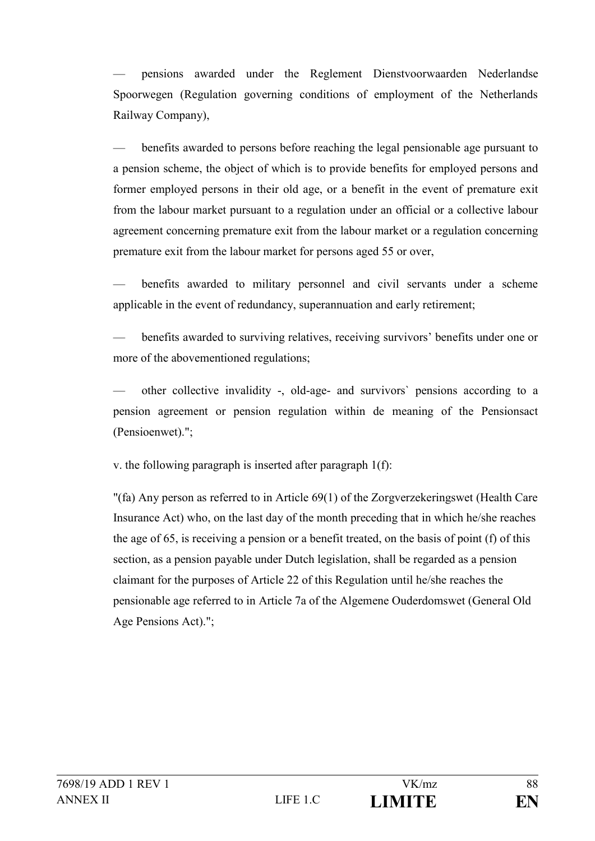— pensions awarded under the Reglement Dienstvoorwaarden Nederlandse Spoorwegen (Regulation governing conditions of employment of the Netherlands Railway Company),

— benefits awarded to persons before reaching the legal pensionable age pursuant to a pension scheme, the object of which is to provide benefits for employed persons and former employed persons in their old age, or a benefit in the event of premature exit from the labour market pursuant to a regulation under an official or a collective labour agreement concerning premature exit from the labour market or a regulation concerning premature exit from the labour market for persons aged 55 or over,

benefits awarded to military personnel and civil servants under a scheme applicable in the event of redundancy, superannuation and early retirement;

— benefits awarded to surviving relatives, receiving survivors' benefits under one or more of the abovementioned regulations;

— other collective invalidity -, old-age- and survivors` pensions according to a pension agreement or pension regulation within de meaning of the Pensionsact (Pensioenwet).";

v. the following paragraph is inserted after paragraph 1(f):

"(fa) Any person as referred to in Article 69(1) of the Zorgverzekeringswet (Health Care Insurance Act) who, on the last day of the month preceding that in which he/she reaches the age of 65, is receiving a pension or a benefit treated, on the basis of point (f) of this section, as a pension payable under Dutch legislation, shall be regarded as a pension claimant for the purposes of Article 22 of this Regulation until he/she reaches the pensionable age referred to in Article 7a of the Algemene Ouderdomswet (General Old Age Pensions Act).";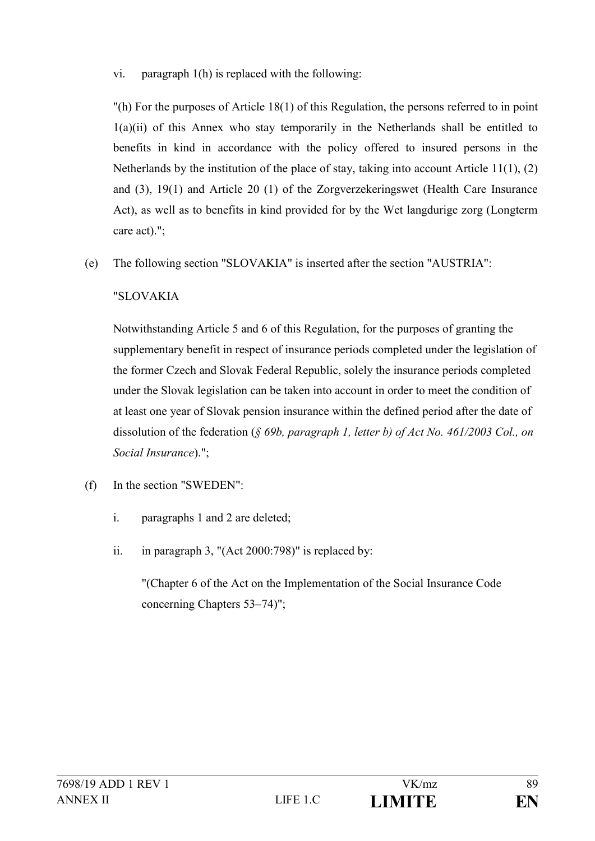### vi. paragraph 1(h) is replaced with the following:

"(h) For the purposes of Article 18(1) of this Regulation, the persons referred to in point  $1(a)(ii)$  of this Annex who stay temporarily in the Netherlands shall be entitled to benefits in kind in accordance with the policy offered to insured persons in the Netherlands by the institution of the place of stay, taking into account Article 11(1), (2) and (3), 19(1) and Article 20 (1) of the Zorgverzekeringswet (Health Care Insurance Act), as well as to benefits in kind provided for by the Wet langdurige zorg (Longterm care act).";

(e) The following section "SLOVAKIA" is inserted after the section "AUSTRIA":

# "SLOVAKIA

Notwithstanding Article 5 and 6 of this Regulation, for the purposes of granting the supplementary benefit in respect of insurance periods completed under the legislation of the former Czech and Slovak Federal Republic, solely the insurance periods completed under the Slovak legislation can be taken into account in order to meet the condition of at least one year of Slovak pension insurance within the defined period after the date of dissolution of the federation (*§ 69b, paragraph 1, letter b) of Act No. 461/2003 Col., on Social Insurance*).";

- (f) In the section "SWEDEN":
	- i. paragraphs 1 and 2 are deleted;
	- ii. in paragraph 3, "(Act 2000:798)" is replaced by:

"(Chapter 6 of the Act on the Implementation of the Social Insurance Code concerning Chapters 53–74)";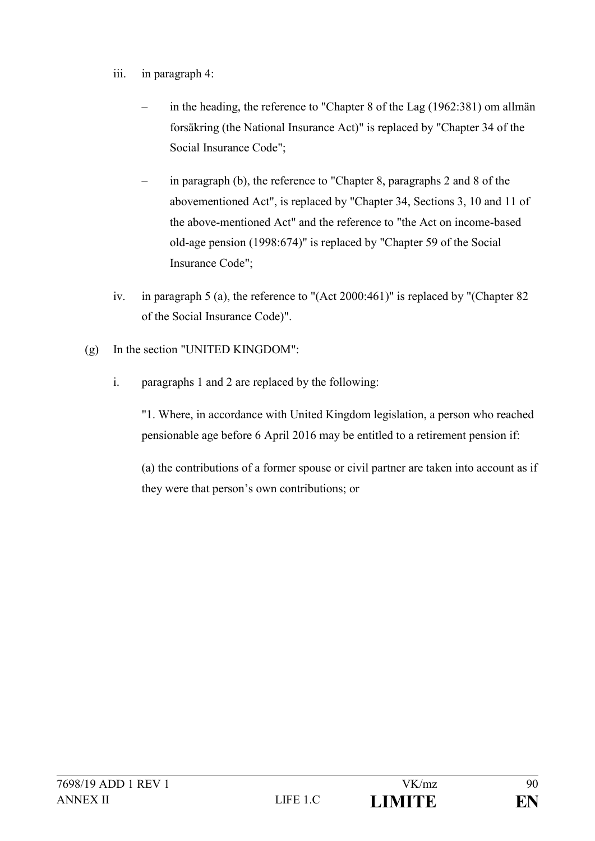- iii. in paragraph 4:
	- in the heading, the reference to "Chapter 8 of the Lag (1962:381) om allmän forsäkring (the National Insurance Act)" is replaced by "Chapter 34 of the Social Insurance Code";
	- in paragraph (b), the reference to "Chapter 8, paragraphs 2 and 8 of the abovementioned Act", is replaced by "Chapter 34, Sections 3, 10 and 11 of the above-mentioned Act" and the reference to "the Act on income-based old-age pension (1998:674)" is replaced by "Chapter 59 of the Social Insurance Code";
- iv. in paragraph 5 (a), the reference to "(Act 2000:461)" is replaced by "(Chapter 82 of the Social Insurance Code)".
- (g) In the section "UNITED KINGDOM":
	- i. paragraphs 1 and 2 are replaced by the following:

"1. Where, in accordance with United Kingdom legislation, a person who reached pensionable age before 6 April 2016 may be entitled to a retirement pension if:

(a) the contributions of a former spouse or civil partner are taken into account as if they were that person's own contributions; or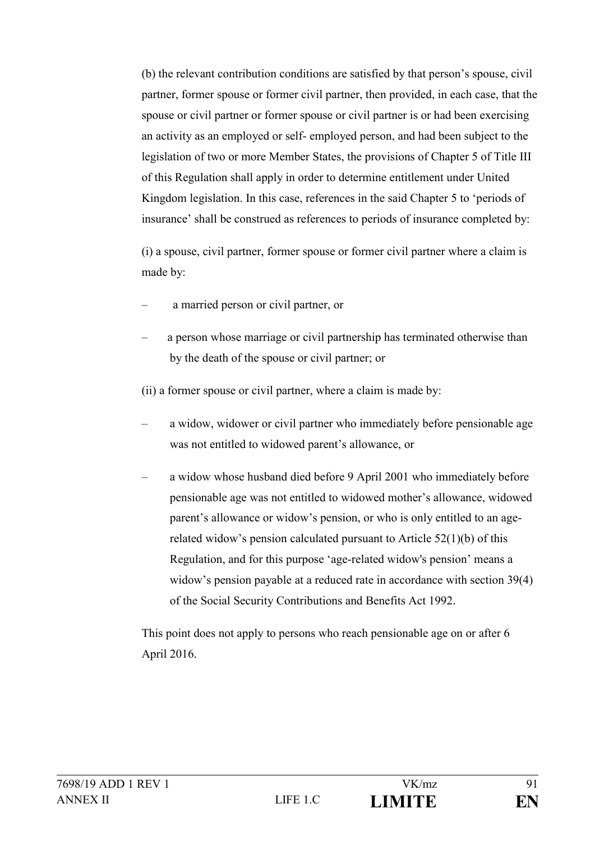(b) the relevant contribution conditions are satisfied by that person's spouse, civil partner, former spouse or former civil partner, then provided, in each case, that the spouse or civil partner or former spouse or civil partner is or had been exercising an activity as an employed or self- employed person, and had been subject to the legislation of two or more Member States, the provisions of Chapter 5 of Title III of this Regulation shall apply in order to determine entitlement under United Kingdom legislation. In this case, references in the said Chapter 5 to 'periods of insurance' shall be construed as references to periods of insurance completed by:

(i) a spouse, civil partner, former spouse or former civil partner where a claim is made by:

- a married person or civil partner, or
- a person whose marriage or civil partnership has terminated otherwise than by the death of the spouse or civil partner; or

(ii) a former spouse or civil partner, where a claim is made by:

- a widow, widower or civil partner who immediately before pensionable age was not entitled to widowed parent's allowance, or
- a widow whose husband died before 9 April 2001 who immediately before pensionable age was not entitled to widowed mother's allowance, widowed parent's allowance or widow's pension, or who is only entitled to an agerelated widow's pension calculated pursuant to Article  $52(1)(b)$  of this Regulation, and for this purpose 'age-related widow's pension' means a widow's pension payable at a reduced rate in accordance with section 39(4) of the Social Security Contributions and Benefits Act 1992.

This point does not apply to persons who reach pensionable age on or after 6 April 2016.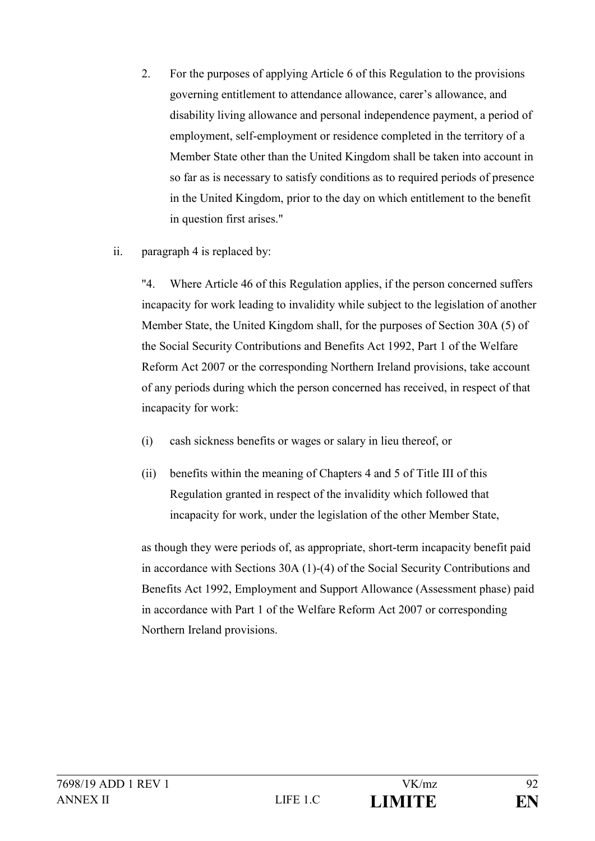- 2. For the purposes of applying Article 6 of this Regulation to the provisions governing entitlement to attendance allowance, carer's allowance, and disability living allowance and personal independence payment, a period of employment, self-employment or residence completed in the territory of a Member State other than the United Kingdom shall be taken into account in so far as is necessary to satisfy conditions as to required periods of presence in the United Kingdom, prior to the day on which entitlement to the benefit in question first arises."
- ii. paragraph 4 is replaced by:

"4. Where Article 46 of this Regulation applies, if the person concerned suffers incapacity for work leading to invalidity while subject to the legislation of another Member State, the United Kingdom shall, for the purposes of Section 30A (5) of the Social Security Contributions and Benefits Act 1992, Part 1 of the Welfare Reform Act 2007 or the corresponding Northern Ireland provisions, take account of any periods during which the person concerned has received, in respect of that incapacity for work:

- (i) cash sickness benefits or wages or salary in lieu thereof, or
- (ii) benefits within the meaning of Chapters 4 and 5 of Title III of this Regulation granted in respect of the invalidity which followed that incapacity for work, under the legislation of the other Member State,

as though they were periods of, as appropriate, short-term incapacity benefit paid in accordance with Sections 30A (1)-(4) of the Social Security Contributions and Benefits Act 1992, Employment and Support Allowance (Assessment phase) paid in accordance with Part 1 of the Welfare Reform Act 2007 or corresponding Northern Ireland provisions.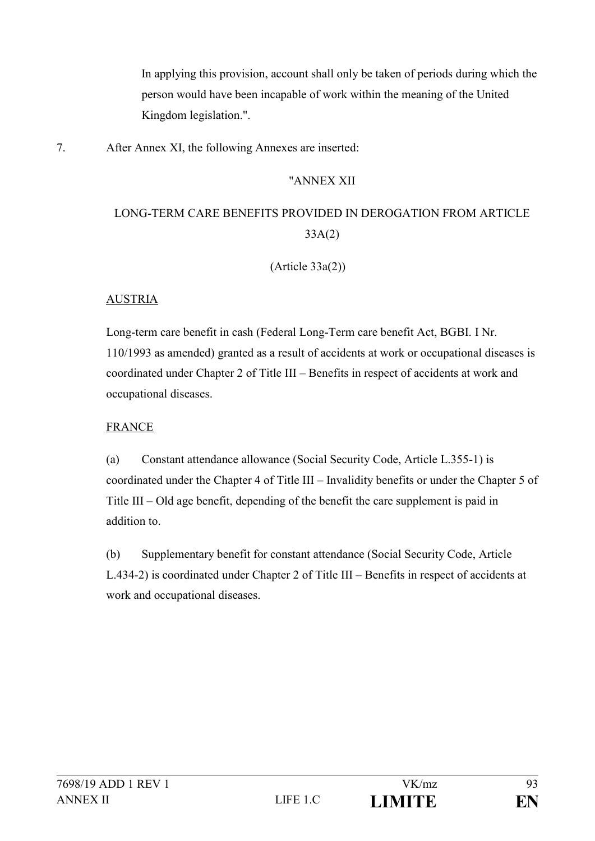In applying this provision, account shall only be taken of periods during which the person would have been incapable of work within the meaning of the United Kingdom legislation.".

7. After Annex XI, the following Annexes are inserted:

# "ANNEX XII

# LONG-TERM CARE BENEFITS PROVIDED IN DEROGATION FROM ARTICLE 33A(2)

(Article 33a(2))

# AUSTRIA

Long-term care benefit in cash (Federal Long-Term care benefit Act, BGBI. I Nr. 110/1993 as amended) granted as a result of accidents at work or occupational diseases is coordinated under Chapter 2 of Title III – Benefits in respect of accidents at work and occupational diseases.

### FRANCE

(a) Constant attendance allowance (Social Security Code, Article L.355-1) is coordinated under the Chapter 4 of Title III – Invalidity benefits or under the Chapter 5 of Title III – Old age benefit, depending of the benefit the care supplement is paid in addition to.

(b) Supplementary benefit for constant attendance (Social Security Code, Article L.434-2) is coordinated under Chapter 2 of Title III – Benefits in respect of accidents at work and occupational diseases.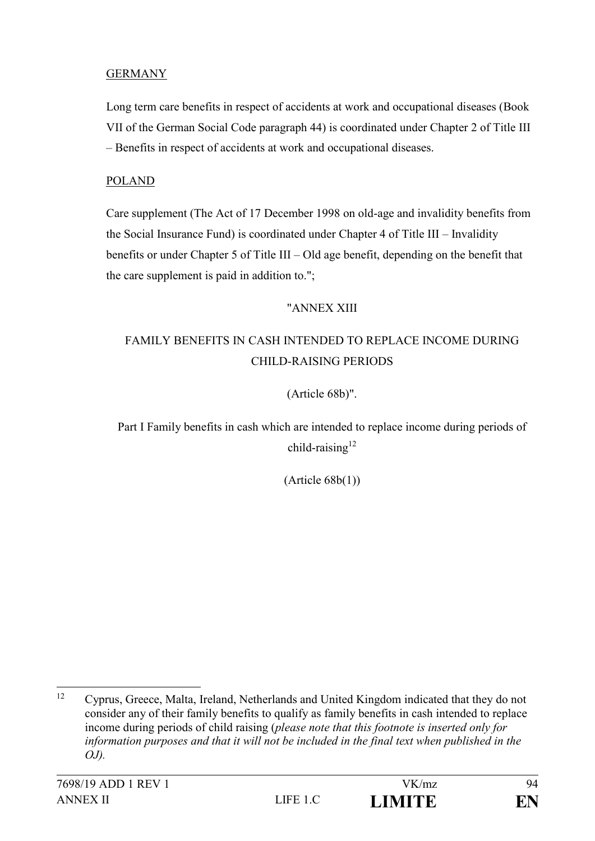### **GERMANY**

Long term care benefits in respect of accidents at work and occupational diseases (Book VII of the German Social Code paragraph 44) is coordinated under Chapter 2 of Title III – Benefits in respect of accidents at work and occupational diseases.

#### POLAND

Care supplement (The Act of 17 December 1998 on old-age and invalidity benefits from the Social Insurance Fund) is coordinated under Chapter 4 of Title III – Invalidity benefits or under Chapter 5 of Title III – Old age benefit, depending on the benefit that the care supplement is paid in addition to.";

#### "ANNEX XIII

# FAMILY BENEFITS IN CASH INTENDED TO REPLACE INCOME DURING CHILD-RAISING PERIODS

#### (Article 68b)".

Part I Family benefits in cash which are intended to replace income during periods of child-raising<sup>12</sup>

 $(Article 68b(1))$ 

 $12<sup>°</sup>$ <sup>12</sup> Cyprus, Greece, Malta, Ireland, Netherlands and United Kingdom indicated that they do not consider any of their family benefits to qualify as family benefits in cash intended to replace income during periods of child raising (*please note that this footnote is inserted only for*  information purposes and that it will not be included in the final text when published in the *OJ).*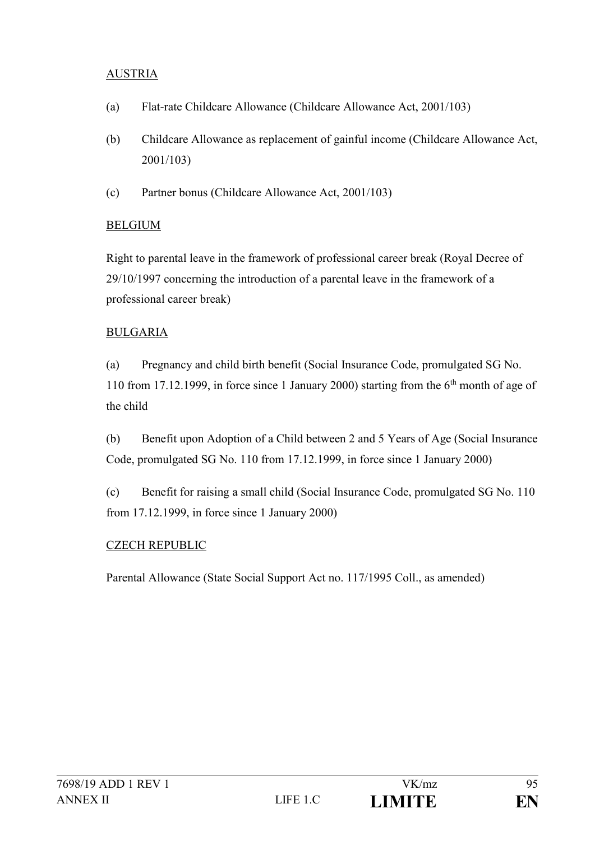### AUSTRIA

- (a) Flat-rate Childcare Allowance (Childcare Allowance Act, 2001/103)
- (b) Childcare Allowance as replacement of gainful income (Childcare Allowance Act, 2001/103)
- (c) Partner bonus (Childcare Allowance Act, 2001/103)

#### BELGIUM

Right to parental leave in the framework of professional career break (Royal Decree of 29/10/1997 concerning the introduction of a parental leave in the framework of a professional career break)

#### BULGARIA

(a) Pregnancy and child birth benefit (Social Insurance Code, promulgated SG No. 110 from 17.12.1999, in force since 1 January 2000) starting from the  $6<sup>th</sup>$  month of age of the child

(b) Benefit upon Adoption of a Child between 2 and 5 Years of Age (Social Insurance Code, promulgated SG No. 110 from 17.12.1999, in force since 1 January 2000)

(c) Benefit for raising a small child (Social Insurance Code, promulgated SG No. 110 from 17.12.1999, in force since 1 January 2000)

#### CZECH REPUBLIC

Parental Allowance (State Social Support Act no. 117/1995 Coll., as amended)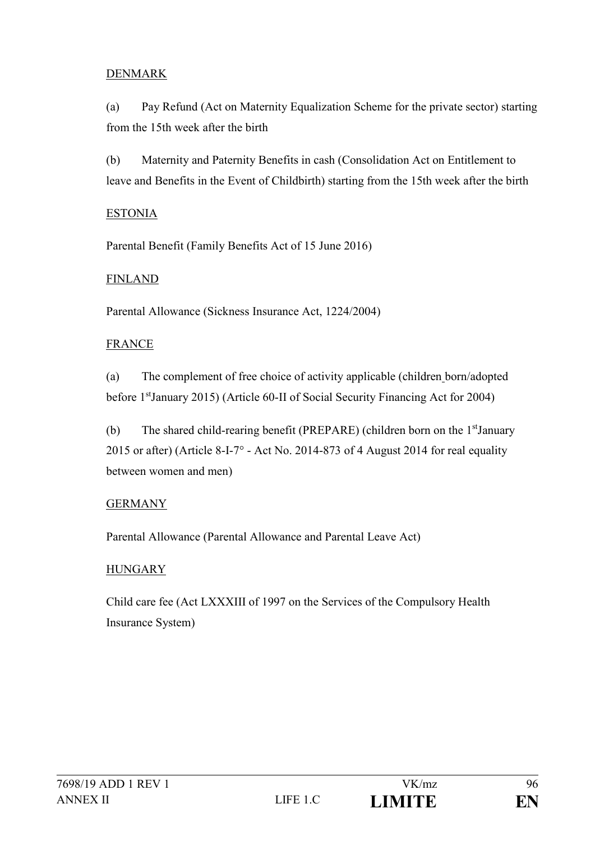### DENMARK

(a) Pay Refund (Act on Maternity Equalization Scheme for the private sector) starting from the 15th week after the birth

(b) Maternity and Paternity Benefits in cash (Consolidation Act on Entitlement to leave and Benefits in the Event of Childbirth) starting from the 15th week after the birth

#### ESTONIA

Parental Benefit (Family Benefits Act of 15 June 2016)

### FINLAND

Parental Allowance (Sickness Insurance Act, 1224/2004)

# FRANCE

(a) The complement of free choice of activity applicable (children born/adopted before 1stJanuary 2015) (Article 60-II of Social Security Financing Act for 2004)

(b) The shared child-rearing benefit (PREPARE) (children born on the 1stJanuary 2015 or after) (Article 8-I-7° - Act No. 2014-873 of 4 August 2014 for real equality between women and men)

# GERMANY

Parental Allowance (Parental Allowance and Parental Leave Act)

# **HUNGARY**

Child care fee (Act LXXXIII of 1997 on the Services of the Compulsory Health Insurance System)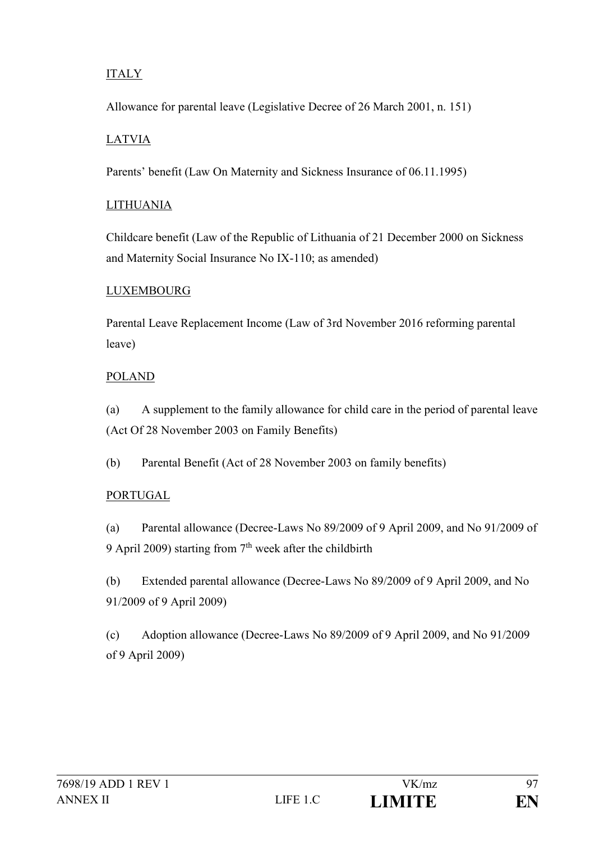# ITALY

Allowance for parental leave (Legislative Decree of 26 March 2001, n. 151)

# LATVIA

Parents' benefit (Law On Maternity and Sickness Insurance of 06.11.1995)

# LITHUANIA

Childcare benefit (Law of the Republic of Lithuania of 21 December 2000 on Sickness and Maternity Social Insurance No IX-110; as amended)

# LUXEMBOURG

Parental Leave Replacement Income (Law of 3rd November 2016 reforming parental leave)

# POLAND

(a) A supplement to the family allowance for child care in the period of parental leave (Act Of 28 November 2003 on Family Benefits)

(b) Parental Benefit (Act of 28 November 2003 on family benefits)

# PORTUGAL

(a) Parental allowance (Decree-Laws No 89/2009 of 9 April 2009, and No 91/2009 of 9 April 2009) starting from  $7<sup>th</sup>$  week after the childbirth

(b) Extended parental allowance (Decree-Laws No 89/2009 of 9 April 2009, and No 91/2009 of 9 April 2009)

(c) Adoption allowance (Decree-Laws No 89/2009 of 9 April 2009, and No 91/2009 of 9 April 2009)